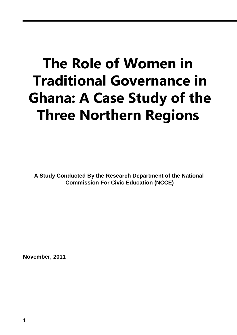# **The Role of Women in Traditional Governance in Ghana: A Case Study of the Three Northern Regions**

**A Study Conducted By the Research Department of the National Commission For Civic Education (NCCE)**

**November, 2011**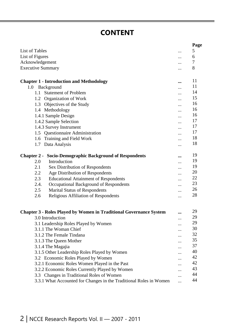## **CONTENT**

|                                                                           |                      | Page |
|---------------------------------------------------------------------------|----------------------|------|
| List of Tables                                                            |                      | 5    |
| List of Figures                                                           |                      | 6    |
| Acknowledgement                                                           |                      | 7    |
| <b>Executive Summary</b>                                                  | .                    | 8    |
| <b>Chapter 1 - Introduction and Methodology</b>                           |                      | 11   |
| Background<br>1.0                                                         | $\ddot{\phantom{a}}$ | 11   |
| <b>Statement of Problem</b><br>1.1                                        |                      | 14   |
| 1.2 Organization of Work                                                  |                      | 15   |
| 1.3 Objectives of the Study                                               |                      | 16   |
| 1.4 Methodology                                                           |                      | 16   |
| 1.4.1 Sample Design                                                       | .                    | 16   |
| 1.4.2 Sample Selection                                                    |                      | 17   |
| 1.4.3 Survey Instrument                                                   |                      | 17   |
| 1.5 Questionnaire Administration                                          |                      | 17   |
| Training and Field Work<br>1.6                                            |                      | 18   |
| Data Analysis<br>1.7                                                      |                      | 18   |
|                                                                           |                      |      |
| <b>Chapter 2 - Socio-Demographic Background of Respondents</b>            | $\ddot{\phantom{a}}$ | 19   |
| 2.0<br>Introduction                                                       |                      | 19   |
| Sex Distribution of Respondents<br>2.1                                    |                      | 19   |
| 2.2<br>Age Distribution of Respondents                                    |                      | 20   |
| 2.3<br><b>Educational Attainment of Respondents</b>                       | $\cdot$              | 22   |
| 2.4.<br>Occupational Background of Respondents                            |                      | 23   |
| 2.5<br><b>Marital Status of Respondents</b>                               |                      | 26   |
| Religious Affiliation of Respondents<br>2.6                               |                      | 28   |
|                                                                           |                      |      |
| <b>Chapter 3 - Roles Played by Women in Traditional Governance System</b> |                      | 29   |
| 3.0 Introduction                                                          |                      | 29   |
| 3.1 Leadership Roles Played by Women                                      |                      | 29   |
| 3.1.1 The Woman Chief                                                     |                      | 30   |
| 3.1.2 The Female Tindana                                                  |                      | 32   |
| 3.1.3 The Queen Mother                                                    |                      | 35   |
| 3.1.4 The Magajia                                                         |                      | 37   |
| 3.1.5 Other Leadership Roles Played by Women                              |                      | 40   |
| 3.2 Economic Roles Played by Women                                        |                      | 42   |
| 3.2.1 Economic Roles Women Played in the Past                             |                      | 42   |
| 3.2.2 Economic Roles Currently Played by Women                            |                      | 43   |
| 3.3 Changes in Traditional Roles of Women                                 |                      | 44   |
| 3.3.1 What Accounted for Changes in the Traditional Roles in Women        |                      | 44   |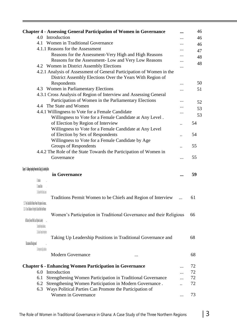| <b>Chapter 4 - Assessing General Participation of Women in Governance</b>                                                          | 46     |
|------------------------------------------------------------------------------------------------------------------------------------|--------|
| 4.0 Introduction                                                                                                                   | 46     |
| 4.1 Women in Traditional Governance                                                                                                | 46     |
| 4.1.1 Reasons for the Assessment                                                                                                   | 47     |
| Reasons for the Assessment-Very High and High Reasons                                                                              | 48     |
| Reasons for the Assessment- Low and Very Low Reasons                                                                               | 48     |
| 4.2 Women in District Assembly Elections                                                                                           |        |
| 4.2.1 Analysis of Assessment of General Participation of Women in the<br>District Assembly Elections Over the Years With Region of |        |
| Respondents                                                                                                                        | <br>50 |
| 4.3 Women in Parliamentary Elections                                                                                               | <br>51 |
| 4.3.1 Cross Analysis of Region of Interview and Assessing General                                                                  |        |
| Participation of Women in the Parliamentary Elections                                                                              | 52     |
| 4.4 The State and Women                                                                                                            | 53     |
| 4.4.1 Willingness to Vote for a Female Candidate                                                                                   | <br>53 |
| Willingness to Vote for a Female Candidate at Any Level.                                                                           |        |
| of Election by Region of Interview                                                                                                 | 54     |
| Willingness to Vote for a Female Candidate at Any Level                                                                            |        |
| of Election by Sex of Respondents                                                                                                  | 54     |
| Willingness to Vote for a Female Candidate by Age                                                                                  |        |
| Groups of Respondents                                                                                                              | 55     |
| 4.4.2 The Role of the State Towards the Participation of Women in                                                                  |        |
| Governance                                                                                                                         | <br>55 |
|                                                                                                                                    |        |
| (Tapter S • Challenges Impeding Women from Taking Up Leadership Roles<br>in Governance                                             | <br>59 |
| 51 minim                                                                                                                           |        |
| <sup>1</sup> (stocal stoc                                                                                                          |        |
| <u>i shij</u> arrashu                                                                                                              |        |
| Traditions Permit Women to be Chiefs and Region of Interview                                                                       | 61     |
| 512 Vas Cubal Beleš Vinnee Vineris Patientin in Grenzice.                                                                          |        |
| 513 A Cow Tandain of the Specific Cultural Beliefs that Minimize                                                                   |        |
| Women's Participation in Traditional Governance and their Religious<br>Affiliation (General Public and Orimion Leaders)            | 66     |
|                                                                                                                                    | 68     |
| Taking Up Leadership Positions in Traditional Governance and                                                                       |        |
| Educational Background                                                                                                             |        |
| <b>Modern Governance</b><br>                                                                                                       | 68     |
|                                                                                                                                    | 72     |
| <b>Chapter 6 - Enhancing Women Participation in Governance</b><br>Introduction<br>6.0                                              | 72     |
| 6.1                                                                                                                                | 72     |
| Strengthening Women Participation in Traditional Governance<br>6.2                                                                 | 72     |
| Strengthening Women Participation in Modern Governance.<br>Ways Political Parties Can Promote the Participation of<br>6.3          |        |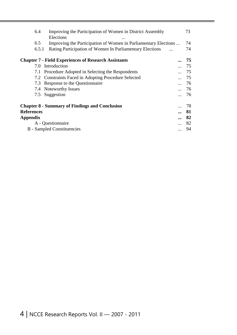|                                                                   | 6.4 | Improving the Participation of Women in District Assembly<br>Elections | 73   |
|-------------------------------------------------------------------|-----|------------------------------------------------------------------------|------|
|                                                                   | 6.5 | Improving the Participation of Women in Parliamentary Elections        | 74   |
| Rating Participation of Women In Parliamentary Elections<br>6.5.1 |     | 74                                                                     |      |
|                                                                   |     | <b>Chapter 7 - Field Experiences of Research Assistants</b>            | 75   |
|                                                                   | 7.0 | Introduction                                                           | 75   |
|                                                                   | 7.1 | Procedure Adopted in Selecting the Respondents                         | 75   |
|                                                                   |     | 7.2 Constraints Faced in Adopting Procedure Selected                   | 75   |
|                                                                   | 7.3 | Response to the Questionnaire                                          | 76   |
|                                                                   |     | 7.4 Noteworthy Issues                                                  | 76   |
|                                                                   | 7.5 | Suggestion                                                             | - 76 |
|                                                                   |     | <b>Chapter 8 - Summary of Findings and Conclusion</b>                  | 78   |
| <b>References</b>                                                 |     |                                                                        | 81   |
| <b>Appendix</b>                                                   |     |                                                                        | 82   |
|                                                                   |     | A - Questionnaire                                                      | 82   |
|                                                                   |     | <b>B</b> - Sampled Constituencies                                      | 94   |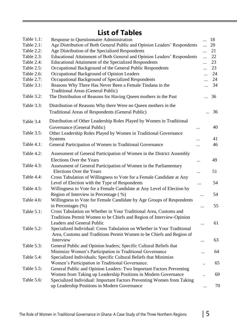# **List of Tables**

| Table 1.1: | <b>Response to Questionnaire Administration</b>                                                                                                 | 18         |    |
|------------|-------------------------------------------------------------------------------------------------------------------------------------------------|------------|----|
| Table 2.1: | Age Distribution of Both General Public and Opinion Leaders' Respondents                                                                        | $\dddotsc$ | 20 |
| Table 2.2: | Age Distribution of the Specialized Respondents                                                                                                 |            | 21 |
| Table 2.3: | Educational Attainment of Both General and Opinion Leaders' Respondents                                                                         | $\dddotsc$ | 22 |
| Table 2.4: | <b>Educational Attainment of the Specialized Respondents</b>                                                                                    | $\ddotsc$  | 23 |
| Table 2.5: | Occupational Background of the General Public Respondents                                                                                       | $\dddotsc$ | 23 |
| Table 2.6: | Occupational Background of Opinion Leaders                                                                                                      | $\cdots$   | 24 |
| Table 2.7: | Occupational Background of Specialized Respondents                                                                                              | $\cdots$   | 24 |
| Table 3.1: | Reasons Why There Has Never Been a Female Tindana in the<br><b>Traditional Areas (General Public)</b>                                           | $\dddotsc$ | 34 |
| Table 3.2: | The Distribution of Reasons for Having Queen mothers in the Past                                                                                |            | 36 |
| Table 3.3: | Distribution of Reasons Why there Were no Queen mothers in the                                                                                  |            |    |
|            | <b>Traditional Areas of Respondents (General Public)</b>                                                                                        |            | 36 |
| Table 3.4  | Distribution of Other Leadership Roles Played by Women in Traditional                                                                           |            |    |
|            | Governance (General Public)                                                                                                                     |            | 40 |
| Table 3.5: | Other Leadership Roles Played by Women in Traditional Governance                                                                                |            |    |
|            | <b>Systems</b>                                                                                                                                  | .          | 41 |
| Table 4.1: | General Participation of Women in Traditional Governance                                                                                        |            | 46 |
| Table 4.2: | Assessment of General Participation of Women in the District Assembly                                                                           |            |    |
|            | <b>Elections Over the Years</b>                                                                                                                 | $\cdots$   | 49 |
| Table 4.3: | Assessment of General Participation of Women in the Parliamentary<br><b>Elections Over the Years</b>                                            |            | 51 |
| Table 4.4: | Cross Tabulation of Willingness to Vote for a Female Candidate at Any<br>Level of Election with the Type of Respondents                         | .          | 54 |
| Table 4.5: | Willingness to Vote for a Female Candidate at Any Level of Election by                                                                          |            |    |
|            | Region of Interview in Percentage (%)                                                                                                           |            | 54 |
| Table 4.6: | Willingness to Vote for Female Candidate by Age Groups of Respondents<br>in Percentages (%)                                                     |            | 55 |
| Table 5.1: | Cross Tabulation on Whether in Your Traditional Area, Customs and                                                                               |            |    |
|            | Traditions Permit Women to be Chiefs and Region of Interview-Opinion                                                                            |            |    |
|            | Leaders and General Public                                                                                                                      |            | 61 |
| Table 5.2: | Specialized Individual: Cross Tabulation on Whether in Your Traditional<br>Area, Customs and Traditions Permit Women to be Chiefs and Region of |            |    |
|            | Interview                                                                                                                                       |            | 63 |
| Table 5.3: | General Public and Opinion leaders; Specific Cultural Beliefs that                                                                              |            |    |
|            | Minimize Women's Participation in Traditional Governance                                                                                        |            | 64 |
| Table 5.4: | Specialized Individuals; Specific Cultural Beliefs that Minimize                                                                                |            |    |
|            | Women's Participation in Traditional Governance.                                                                                                |            | 65 |
| Table 5.5: | General Public and Opinion Leaders: Two Important Factors Preventing                                                                            |            |    |
|            | Women from Taking up Leadership Positions in Modern Governance                                                                                  |            | 69 |
| Table 5.6: | Specialized Individual: Important Factors Preventing Women from Taking                                                                          |            |    |
|            | up Leadership Positions in Modern Governance                                                                                                    |            | 70 |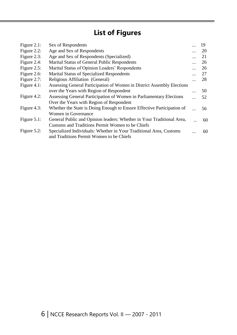# **List of Figures**

| Sex of Respondents                                                      | 19 |
|-------------------------------------------------------------------------|----|
| Age and Sex of Respondents                                              | 20 |
| Age and Sex of Respondents (Specialized)                                | 21 |
| Marital Status of General Public Respondents                            | 26 |
| Marital Status of Opinion Leaders' Respondents                          | 26 |
| <b>Marital Status of Specialized Respondents</b>                        | 27 |
| Religious Affiliation (General)                                         | 28 |
| Assessing General Participation of Women in District Assembly Elections |    |
| over the Years with Region of Respondent                                | 50 |
| Assessing General Participation of Women in Parliamentary Elections     | 52 |
| Over the Years with Region of Respondent                                |    |
| Whether the State is Doing Enough to Ensure Effective Participation of  | 56 |
| Women in Governance                                                     |    |
| General Public and Opinion leaders: Whether in Your Traditional Area,   | 60 |
| Customs and Traditions Permit Women to be Chiefs                        |    |
| Specialized Individuals: Whether in Your Traditional Area, Customs      | 60 |
| and Traditions Permit Women to be Chiefs                                |    |
|                                                                         |    |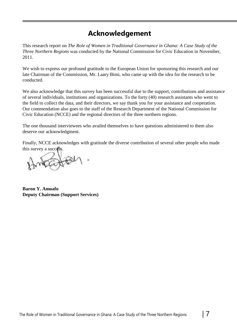### **Acknowledgement**

This research report on *The Role of Women in Traditional Governance in Ghana: A Case Study of the Three Northern Regions* was conducted by the National Commission for Civic Education in November, 2011.

We wish to express our profound gratitude to the European Union for sponsoring this research and our late Chairman of the Commission, Mr. Laary Bimi, who came up with the idea for the research to be conducted.

We also acknowledge that this survey has been successful due to the support, contributions and assistance of several individuals, institutions and organizations. To the forty (40) research assistants who went to the field to collect the data, and their directors, we say thank you for your assistance and cooperation. Our commendation also goes to the staff of the Research Department of the National Commission for Civic Education (NCCE) and the regional directors of the three northern regions.

The one thousand interviewees who availed themselves to have questions administered to them also deserve our acknowledgment.

Finally, NCCE acknowledges with gratitude the diverse contribution of several other people who made this survey a success.

**Baron Y. Amoafo Deputy Chairman (Support Services)**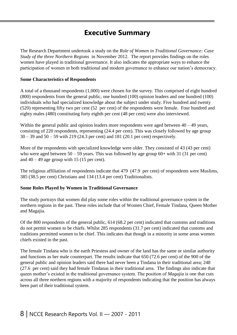### **Executive Summary**

The Research Department undertook a study on the *Role of Women in Traditional Governance: Case Study of the three Northern Regions* in November 2012. The report provides findings on the roles women have played in traditional governance. It also indicates the appropriate ways to enhance the participation of women in both traditional and modern governance to enhance our nation's democracy.

#### **Some Characteristics of Respondents**

A total of a thousand respondents (1,000) were chosen for the survey. This comprised of eight hundred (800) respondents from the general public, one hundred (100) opinion leaders and one hundred (100) individuals who had specialized knowledge about the subject under study. Five hundred and twenty (520) representing fifty two per cent (52 per cent) of the respondents were female. Four hundred and eighty males (480) constituting forty eighth per cent (48 per cent) were also interviewed.

Within the general public and opinion leaders more respondents were aged between  $40 - 49$  years, consisting of 220 respondents, representing (24.4 per cent). This was closely followed by age group 30 – 39 and 50 – 59 with 219 (24.3 per cent) and 181 (20.1 per cent) respectively.

More of the respondents with specialized knowledge were older. They consisted of 43 (43 per cent) who were aged between  $50 - 59$  years. This was followed by age group  $60+$  with 31 (31 per cent) and  $40 - 49$  age group with 15 (15 per cent).

The religious affiliation of respondents indicate that 479 (47.9 per cent) of respondents were Muslims, 385 (38.5 per cent) Christians and 134 (13.4 per cent) Traditionalists.

#### **Some Roles Played by Women in Traditional Governance**

The study portrays that women did play some roles within the traditional governance system in the northern regions in the past. These roles include that of Women Chief, Female Tindana, Queen Mother and Magajia.

Of the 800 respondents of the general public, 614 (68.2 per cent) indicated that customs and traditions do not permit women to be chiefs. Whilst 285 respondents (31.7 per cent) indicated that customs and traditions permitted women to be chief. This indicates that though in a minority in some areas women chiefs existed in the past.

The female Tindana who is the earth Priestess and owner of the land has the same or similar authority and functions as her male counterpart. The results indicate that 650 (72.6 per cent) of the 900 of the general public and opinion leaders said there had never been a Tindana in their traditional area; 248 (27.6 per cent) said they had female Tindanas in their traditional area. The findings also indicate that queen mother's existed in the traditional governance system. The position of *Magajia* is one that cuts across all three northern regions with a majority of respondents indicating that the position has always been part of their traditional system.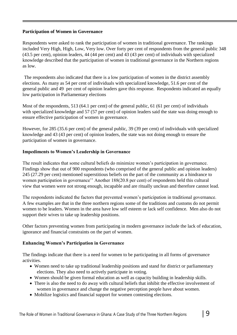#### **Participation of Women in Governance**

Respondents were asked to rank the participation of women in traditional governance. The rankings included Very High, High, Low, Very low. Over forty per cent of respondents from the general public 348 (43.5 per cent), opinion leaders, 44 (44 per cent) and 43 (43 per cent) of individuals with specialized knowledge described that the participation of women in traditional governance in the Northern regions as low.

The respondents also indicated that there is a low participation of women in the district assembly elections. As many as 54 per cent of individuals with specialized knowledge, 51.6 per cent of the general public and 49 per cent of opinion leaders gave this response. Respondents indicated an equally low participation in Parliamentary elections

Most of the respondents, 513 (64.1 per cent) of the general public, 61 (61 per cent) of individuals with specialized knowledge and 57 (57 per cent) of opinion leaders said the state was doing enough to ensure effective participation of women in governance.

However, for 285 (35.6 per cent) of the general public, 39 (39 per cent) of individuals with specialized knowledge and 43 (43 per cent) of opinion leaders, the state was not doing enough to ensure the participation of women in governance.

#### **Impediments to Women's Leadership in Governance**

The result indicates that some cultural beliefs do minimize women's participation in governance. Findings show that out of 900 respondents (who comprised of the general public and opinion leaders) 245 (27.29 per cent) mentioned superstitious beliefs on the part of the community as a hindrance to women participation in governance'' Another 188(20.8 per cent) of respondents held this cultural view that women were not strong enough, incapable and are ritually unclean and therefore cannot lead.

The respondents indicated the factors that prevented women's participation in traditional governance. A few examples are that in the three northern regions some of the traditions and customs do not permit women to be leaders. Women in the area have low self esteem or lack self confidence. Men also do not support their wives to take up leadership positions.

Other factors preventing women from participating in modern governance include the lack of education, ignorance and financial constraints on the part of women.

#### **Enhancing Women's Participation in Governance**

The findings indicate that there is a need for women to be participating in all forms of governance activities.

- Women need to take up traditional leadership positions and stand for district or parliamentary elections. They also need to actively participate in voting.
- Women should be given formal education as well as capacity building in leadership skills.
- There is also the need to do away with cultural beliefs that inhibit the effective involvement of women in governance and change the negative perception people have about women.
- Mobilize logistics and financial support for women contesting elections.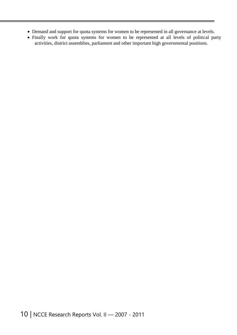- Demand and support for quota systems for women to be represented in all governance at levels.
- Finally work for quota systems for women to be represented at all levels of political party activities, district assemblies, parliament and other important high governmental positions.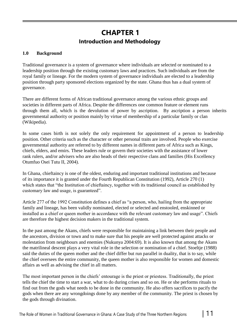### **CHAPTER 1 Introduction and Methodology**

#### **1.0 Background**

Traditional governance is a system of governance where individuals are selected or nominated to a leadership position through the existing customary laws and practices. Such individuals are from the royal family or lineage. For the modern system of governance individuals are elected to a leadership position through party sponsored elections organized by the state. Ghana thus has a dual system of governance.

There are different forms of African traditional governance among the various ethnic groups and societies in different parts of Africa. Despite the differences one common feature or element runs through them all, which is the devolution of power by ascription. By ascription a person inherits governmental authority or position mainly by virtue of membership of a particular family or clan (Wikipedia).

In some cases birth is not solely the only requirement for appointment of a person to leadership position. Other criteria such as the character or other personal traits are involved. People who exercise governmental authority are referred to by different names in different parts of Africa such as Kings, chiefs, elders, and emirs. These leaders rule or govern their societies with the assistance of lower rank rulers, and/or advisers who are also heads of their respective clans and families (His Excellency Otumfuo Osei Tutu II, 2004).

In Ghana, chieftaincy is one of the oldest, enduring and important traditional institutions and because of its importance it is granted under the Fourth Republican Constitution (1992), Article 270 (1) which states that "the Institution of chieftaincy, together with its traditional council as established by customary law and usage, is guaranteed".

Article 277 of the 1992 Constitution defines a chief as "a person, who, hailing from the appropriate family and lineage, has been validly nominated, elected or selected and enstooled, enskinned or installed as a chief or queen mother in accordance with the relevant customary law and usage". Chiefs are therefore the highest decision makers in the traditional system.

In the past among the Akans, chiefs were responsible for maintaining a link between their people and the ancestors, division or town and to make sure that his people are well protected against attacks or molestation from neighbours and enemies (Nukunya 2004:69). It is also known that among the Akans the matrilineal descent plays a very vital role in the selection or nomination of a chief. Stoeltje (1988) said the duties of the queen mother and the chief differ but run parallel in duality, that is to say, while the chief oversees the entire community, the queen mother is also responsible for women and domestic affairs as well as advising the chief in all matters.

The most important person in the chiefs' entourage is the priest or priestess. Traditionally, the priest tells the chief the time to start a war, what to do during crises and so on. He or she performs rituals to find out from the gods what needs to be done in the community. He also offers sacrifices to pacify the gods when there are any wrongdoings done by any member of the community. The priest is chosen by the gods through divination.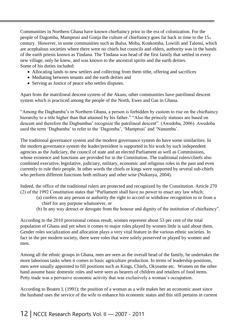Communities in Northern Ghana have known chieftaincy prior to the era of colonization. For the people of Dagomba, Mamprusi and Gonja the culture of chieftaincy goes far back in time to the 15th century. However, in some communities such as Bulsa, Moba, Konkomba, Lowiili and Talensi, which are acephalous societies where there were no chiefs but councils and elders, authority was in the hands of the earth priests known as Tindana. The Tindana was head of the first family that settled in every new village, only he knew, and was known to the ancestral spirits and the earth deities. Some of his duties included:

- Allocating lands to new settlers and collecting from them tithe, offering and sacrifices
- Mediating between tenants and the earth deities and
- Serving as Justice of peace who settles disputes.

Apart from the matrilineal descent system of the Akans, other communities have patrilineal descent system which is practiced among the people of the North, Ewes and Gas in Ghana.

"Among the Dagbamba's in Northern Ghana, a person is forbidden by custom to rise on the chieftaincy hierarchy to a title higher than that attained by his father." "Also the princely statuses are based on descent and therefore the Dagbambas' recognize the patrilineal descent". (Awedoba, 2006). Awedoba used the term 'Dagbamba' to refer to the 'Dagomba', 'Mamprusi' and 'Nanumba'.

The traditional governance system and the modern governance system do have some similarities. In the modern governance system the leader/president is supported in his work by such independent agencies as the Judiciary, the council of state and an elected Parliament as well as Commissions, whose existence and functions are provided for in the Constitution. The traditional rulers/chiefs also combined executive, legislative, judiciary, military, economic and religious roles in the past and even currently to rule their people. In other words the chiefs or kings were supported by several sub-chiefs who perform different functions both military and other wise (Nukunya, 2004).

Indeed, the office of the traditional rulers are protected and recognized by the Constitution. Article 270 (2) of the 1992 Constitution states that "Parliament shall have no power to enact any law which;

- (a) confers on any person or authority the right to accord or withdraw recognition to or from a chief for any purpose whatsoever, or
- (b) In any way detract or derogate from the honour and dignity of the institution of chieftaincy".

According to the 2010 provisional census result, women represent about 53 per cent of the total population of Ghana and yet when it comes to major roles played by women little is said about them. Gender roles socialization and allocation plays a very vital feature in the various ethnic societies. In fact in the pre modern society, there were roles that were solely preserved or played by women and men.

Among all the ethnic groups in Ghana, men are seen as the overall head of the family, he undertakes the more laborious tasks when it comes to basic agriculture production. In terms of leadership positions, men were usually appointed to fill positions such as Kings, Chiefs, Okyeame etc. Women on the other hand assume basic domestic roles and were seen as bearers of children and retailers of food items. Petty trade was a pervasive economic activity that was exclusively a woman's occupation.

According to Boaten I, (1991); the position of a woman as a wife makes her an economic asset since the husband uses the service of the wife to enhance his economic status and this still pertains in current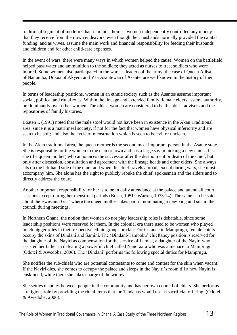traditional segment of modern Ghana. In most homes, women independently controlled any money that they receive from their own endeavors, even though their husbands normally provided the capital funding, and as wives, assume the main work and financial responsibility for feeding their husbands and children and for other child-care expenses.

In the event of wars, there were many ways in which women helped the cause. Women on the battlefield helped pass water and ammunition to the soldiers; they acted as nurses to treat soldiers who were injured. Some women also participated in the wars as leaders of the army, the case of Queen Adisa of Nanumba, Dokua of Akyem and Yaa Asantewaa of Asante, are well known in the history of their people.

In terms of leadership positions, women in an ethnic society such as the Asantes assume important social, political and ritual roles. Within the lineage and extended family, female elders assume authority, predominantly over other women. The oldest women are considered to be the ablest advisers and the repositories of family histories.

Boaten I, (1991) noted that the male stool would not have been in existence in the Akan Traditional area, since it is a matrilineal society, if not for the fact that women have physical inferiority and are seen to be soft; and also the cycle of menstruation which is seen to be evil or unclean.

In the Akan traditional area, the queen mother is the second most important person in the Asante state. She is responsible for the women in the clan or town and has a large say in picking a new chief. It is she (the queen mother) who announces the successor after the destoolment or death of the chief, but only after discussion, consultation and agreement with the lineage heads and other elders. She always sits on the left hand side of the chief and when the chief travels abroad, except during wars, she must accompany him. She alone has the right to publicly rebuke the chief, spokesman and the elders and to directly address the court.

Another important responsibility for her is to be in daily attendance at the palace and attend all court sessions except during her menstrual periods (Busia, 1951: Warren, 1973:14). The same can be said about the Ewes and Gas' where the queen mother takes part in nominating a new king and sits in the council during meetings.

In Northern Ghana, the notion that women do not play leadership roles is debatable, since some leadership positions were reserved for them. In the colonial era there used to be women who played much bigger roles in their respective ethnic groups or clan. For instance in Mamprugu, female chiefs occupy the skins of Dindani and Samini. The 'Dindani-Tamboku' chieftancy position is reserved for the daughter of the Nayiri as compensation for the service of Lamisi, a daughter of the Nayiri who assisted her father in defeating a powerful chief called Nanoraara who was a menace to Mamprugu (Odotei & Awedoba, 2006). The 'Dindani' performs the following special duties for Mamprugu.

She notifies the sub-chiefs who are potential contestants to come and contest for the skin when vacant. If the Nayiri dies, she comes to occupy the palace and sleeps in the Nayiri's room till a new Nayiri is enskinned, while there she takes charge of the widows.

She settles disputes between people in the community and has her own council of elders. She performs a religious role by providing the ritual items that the Tindanas would use as sacrificial offering. (Odotei & Awedoba, 2006).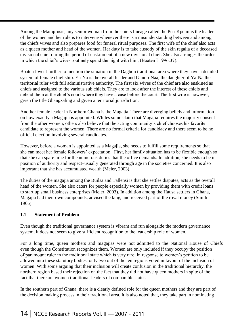Among the Mamprusis, any senior woman from the chiefs lineage called the Pua-Kpeim is the leader of the women and her role is to intervene whenever there is a misunderstanding between and among the chiefs wives and also prepares food for funeral ritual purposes. The first wife of the chief also acts as a queen mother and head of the women. Her duty is to take custody of the skin regalia of a deceased divisional chief during the period of enskinment of a new divisional chief. She also arranges the order in which the chief's wives routinely spend the night with him, (Boaten I 1996:37).

Boaten I went further to mention the situation in the Dagbon traditional area where they have a detailed system of female chief ship. Ya-Na is the overall leader and Gundo-Naa, the daughter of Ya-Na the territorial ruler with full administrative authority. The first six wives of the chief are also enskined as chiefs and assigned to the various sub chiefs. They are to look after the interest of these chiefs and defend them at the chief's court where they have a case before the court. The first wife is however, given the title Gbangzaling and given a territorial jurisdiction.

Another female leader in Northern Ghana is the Magajia. There are diverging beliefs and information on how exactly a Magajia is appointed. Whiles some claim that Magajia requires the majority consent from the other women; others also believe that the acting community's chief chooses his favorite candidate to represent the women. There are no formal criteria for candidacy and there seem to be no official election involving several candidates.

However, before a woman is appointed as a Magajia, she needs to fulfill some requirements so that she can meet her female followers' expectation. First, her family situation has to be flexible enough so that she can spare time for the numerous duties that the office demands. In addition, she needs to be in position of authority and respect–usually generated through age in the societies concerned. It is also important that she has accumulated wealth (Meier, 2003).

The duties of the magajia among the Builsa and Tallensi is that she settles disputes, acts as the overall head of the women. She also caters for people especially women by providing them with credit loans to start up small business enterprises (Meier, 2003). In addition among the Hausa settlers in Ghana, Magajia had their own compounds, advised the king, and received part of the royal money (Smith 1965).

#### **1.1 Statement of Problem**

Even though the traditional governance system is vibrant and run alongside the modern governance system, it does not seem to give sufficient recognition to the leadership role of women.

For a long time, queen mothers and magajias were not admitted to the National House of Chiefs even though the Constitution recognizes them. Women are only included if they occupy the position of paramount ruler in the traditional state which is very rare. In response to women's petition to be allowed into these statutory bodies, only two out of the ten regions voted in favour of the inclusion of women. With some arguing that their inclusion will create confusion in the traditional hierarchy, the northern region based their rejection on the fact that they did not have queen mothers in spite of the fact that there are women traditional-leaders of comparable status.

In the southern part of Ghana, there is a clearly defined role for the queen mothers and they are part of the decision making process in their traditional area. It is also noted that, they take part in nominating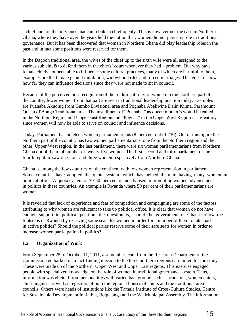a chief and are the only ones that can rebuke a chief openly. This is however not the case in Northern Ghana, where they have over the years held the notion that, women did not play any role in traditional governance. But it has been discovered that women in Northern Ghana did play leadership roles in the past and in fact some positions were reserved for them.

In the Dagbon traditional area, the wives of the chief up to the sixth wife were all assigned to the various sub chiefs to defend them in the chiefs' court whenever they had a problem. But why have female chiefs not been able to influence some cultural practices, many of which are harmful to them, examples are the female genital mutilation, widowhood rites and forced marriages. This goes to show how far they can influence decisions since they were not made to sit in council.

Because of the perceived non-recognition of the traditional roles of women in the northern part of the country, fewer women from that part are seen in traditional leadership position today. Examples are Puanaba Akuolug from Gumbo Divisional area and Pognaba Abeliwine Dalin Kiima, Paramount Queen of Bongo Traditional area. The installment of "Puanaba," as queen mother's would be called in the Northern Region and Upper East Region and "Pognaa" in the Upper West Region is a great joy since women will now be able to serve on council and influence decisions.

Today, Parliament has nineteen women parliamentarians (8 per cent out of 230). Out of this figure the Northern part of the country has two women parliamentarians, one from the Northern region and the other, Upper West region. In the last parliament, there were six women parliamentarians from Northern Ghana out of the total number of twenty-five women. The first, second and third parliament of the fourth republic saw one, four and three women respectively from Northern Ghana.

Ghana is among the few countries on the continent with low women representation in parliament. Some countries have adopted the quota system, which has helped them in having many women in political office. A quota system of 30-50 per cent is mostly used in promoting women advancement in politics in these countries. An example is Rwanda where 50 per cent of their parliamentarians are women.

It is revealed that lack of experience and fear of competition and campaigning are some of the factors attributing to why women are reluctant to take up political office. It is clear that women do not have enough support in political position, the question is, should the government of Ghana follow the footsteps of Rwanda by reserving some seats for women in order for a number of them to take part in active politics? Should the political parties reserve some of their safe seats for women in order to increase women participation in politics?

#### **1.2 Organization of Work**

From September 25 to October 11, 2011, a 4-member team from the Research Department of the Commission embarked on a fact-finding mission to the three northern regions earmarked for the study. These were made up of the Northern, Upper West and Upper East regions. This exercise engaged people with specialized knowledge on the role of women in traditional governance system. Thus, information was elicited from personalities with varied background such as academia, women chiefs, chief linguists as well as registrars of both the regional houses of chiefs and the traditional area councils. Others were heads of institutions like the Tamale Institute of Cross-Culture Studies, Centre for Sustainable Development Initiative, Bolgatanga and the Wa Municipal Assembly. The information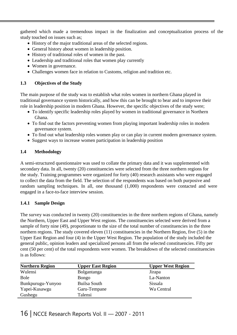gathered which made a tremendous impact in the finalization and conceptualization process of the study touched on issues such as;

- History of the major traditional areas of the selected regions.
- General history about women in leadership position.
- History of traditional roles of women in the past.
- Leadership and traditional roles that women play currently
- Women in governance.
- Challenges women face in relation to Customs, religion and tradition etc.

#### **1.3 Objectives of the Study**

The main purpose of the study was to establish what roles women in northern Ghana played in traditional governance system historically, and how this can be brought to bear and to improve their role in leadership position in modern Ghana. However, the specific objectives of the study were;

- To identify specific leadership roles played by women in traditional governance in Northern Ghana.
- To find out the factors preventing women from playing important leadership roles in modern governance system.
- To find out what leadership roles women play or can play in current modern governance system.
- Suggest ways to increase women participation in leadership position

#### **1.4 Methodology**

A semi-structured questionnaire was used to collate the primary data and it was supplemented with secondary data. In all, twenty (20) constituencies were selected from the three northern regions for the study. Training programmes were organized for forty (40) research assistants who were engaged to collect the data from the field. The selection of the respondents was based on both purposive and random sampling techniques. In all, one thousand (1,000) respondents were contacted and were engaged in a face-to-face interview session.

#### **1.4.1 Sample Design**

The survey was conducted in twenty (20) constituencies in the three northern regions of Ghana, namely the Northern, Upper East and Upper West regions. The constituencies selected were derived from a sample of forty nine (49), proportionate to the size of the total number of constituencies in the three northern regions. The study covered eleven (11) constituencies in the Northern Region, five (5) in the Upper East Region and four (4) in the Upper West Region. The population of the study included the general public, opinion leaders and specialized persons all from the selected constituencies. Fifty per cent (50 per cent) of the total respondents were women. The breakdown of the selected constituencies is as follows:

| <b>Northern Region</b> | <b>Upper East Region</b> | <b>Upper West Region</b> |
|------------------------|--------------------------|--------------------------|
| Wulensi                | Bolgantanga              | Jirapa                   |
| <b>Bole</b>            | Bongo                    | La-Nanton                |
| Bunkpurugu-Yunyoo      | Builsa South             | Sissala                  |
| Yapei-Kusawgu          | Garu-Tempane             | Wa Central               |
| Gushegu                | Talensi                  |                          |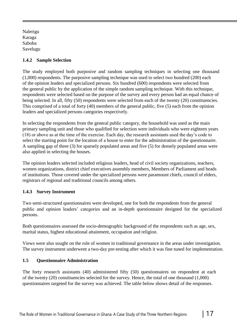Nalerigu Karaga Saboba Savelugu

#### **1.4.2 Sample Selection**

The study employed both purposive and random sampling techniques in selecting one thousand (1,000) respondents. The purposive sampling technique was used to select two hundred (200) each of the opinion leaders and specialized persons. Six hundred (600) respondents were selected from the general public by the application of the simple random sampling technique. With this technique, respondents were selected based on the purpose of the survey and every person had an equal chance of being selected. In all, fifty (50) respondents were selected from each of the twenty (20) constituencies. This comprised of a total of forty (40) members of the general public, five (5) each from the opinion leaders and specialized persons categories respectively.

In selecting the respondents from the general public category, the household was used as the main primary sampling unit and those who qualified for selection were individuals who were eighteen years (18) or above as at the time of the exercise. Each day, the research assistants used the day's code to select the starting point for the location of a house to enter for the administration of the questionnaire. A sampling gap of three (3) for sparsely populated areas and five (5) for densely populated areas were also applied in selecting the houses.

The opinion leaders selected included religious leaders, head of civil society organizations, teachers, women organizations, district chief executives assembly members, Members of Parliament and heads of institutions. Those covered under the specialized persons were paramount chiefs, council of elders, registrars of regional and traditional councils among others.

#### **1.4.3 Survey Instrument**

Two semi-structured questionnaires were developed, one for both the respondents from the general public and opinion leaders' categories and an in-depth questionnaire designed for the specialized persons.

Both questionnaires assessed the socio-demographic background of the respondents such as age, sex, marital status, highest educational attainment, occupation and religion.

Views were also sought on the role of women in traditional governance in the areas under investigation. The survey instrument underwent a two-day pre-testing after which it was fine tuned for implementation.

#### **1.5 Questionnaire Administration**

The forty research assistants (40) administered fifty (50) questionnaires on respondent at each of the twenty (20) constituencies selected for the survey. Hence, the total of one thousand (1,000) questionnaires targeted for the survey was achieved. The table below shows detail of the responses.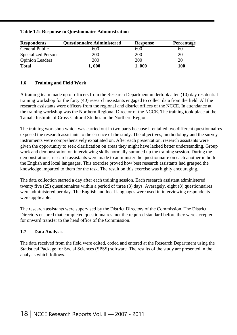|  |  | <b>Table 1.1: Response to Questionnaire Administration</b> |
|--|--|------------------------------------------------------------|
|  |  |                                                            |

| <b>Respondents</b>         | <b>Questionnaire Administered</b> | <b>Response</b> | <b>Percentage</b> |
|----------------------------|-----------------------------------|-----------------|-------------------|
| General Public             | 600                               | 600             | 60                |
| <b>Specialized Persons</b> | 200                               | 200             | 20                |
| <b>Opinion Leaders</b>     | 200                               | 200             | 20                |
| <b>Total</b>               | .000                              | . 000           | 100               |

#### **1.6 Training and Field Work**

A training team made up of officers from the Research Department undertook a ten (10) day residential training workshop for the forty (40) research assistants engaged to collect data from the field. All the research assistants were officers from the regional and district offices of the NCCE. In attendance at the training workshop was the Northern Regional Director of the NCCE. The training took place at the Tamale Institute of Cross-Cultural Studies in the Northern Region.

The training workshop which was carried out in two parts because it entailed two different questionnaires exposed the research assistants to the essence of the study. The objectives, methodology and the survey instruments were comprehensively expatiated on. After each presentation, research assistants were given the opportunity to seek clarification on areas they might have lacked better understanding. Group work and demonstration on interviewing skills normally summed up the training session. During the demonstrations, research assistants were made to administer the questionnaire on each another in both the English and local languages. This exercise proved how best research assistants had grasped the knowledge imparted to them for the task. The result on this exercise was highly encouraging.

The data collection started a day after each training session. Each research assistant administered twenty five (25) questionnaires within a period of three (3) days. Averagely, eight (8) questionnaires were administered per day. The English and local languages were used in interviewing respondents were applicable.

The research assistants were supervised by the District Directors of the Commission. The District Directors ensured that completed questionnaires met the required standard before they were accepted for onward transfer to the head office of the Commission.

#### **1.7 Data Analysis**

The data received from the field were edited, coded and entered at the Research Department using the Statistical Package for Social Sciences (SPSS) software. The results of the study are presented in the analysis which follows.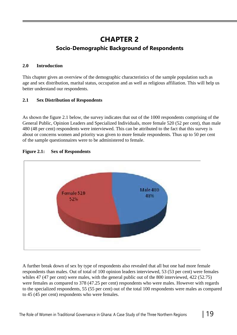# **CHAPTER 2 Socio-Demographic Background of Respondents**

#### **2.0 Introduction**

This chapter gives an overview of the demographic characteristics of the sample population such as age and sex distribution, marital status, occupation and as well as religious affiliation. This will help us better understand our respondents.

#### **2.1 Sex Distribution of Respondents**

As shown the figure 2.1 below, the survey indicates that out of the 1000 respondents comprising of the General Public, Opinion Leaders and Specialized Individuals, more female 520 (52 per cent), than male 480 (48 per cent) respondents were interviewed. This can be attributed to the fact that this survey is about or concerns women and priority was given to more female respondents. Thus up to 50 per cent of the sample questionnaires were to be administered to female.



#### **Figure 2.1: Sex of Respondents**

A further break down of sex by type of respondents also revealed that all but one had more female respondents than males. Out of total of 100 opinion leaders interviewed, 53 (53 per cent) were females whiles 47 (47 per cent) were males, with the general public out of the 800 interviewed, 422 (52.75) were females as compared to 378 (47.25 per cent) respondents who were males. However with regards to the specialized respondents, 55 (55 per cent) out of the total 100 respondents were males as compared to 45 (45 per cent) respondents who were females.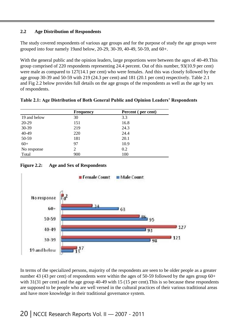#### **2.2 Age Distribution of Respondents**

The study covered respondents of various age groups and for the purpose of study the age groups were grouped into four namely 19and below, 20-29, 30-39, 40-49, 50-59, and 60+.

With the general public and the opinion leaders, large proportions were between the ages of 40-49.This group comprised of 220 respondents representing 24.4 percent. Out of this number, 93(10.9 per cent) were male as compared to 127(14.1 per cent) who were females. And this was closely followed by the age group 30-39 and 50-59 with 219 (24.3 per cent) and 181 (20.1 per cent) respectively. Table 2.1 and Fig 2.2 below provides full details on the age groups of the respondents as well as the age by sex of respondents.

|              | <b>Frequency</b> | Percent (per cent) |
|--------------|------------------|--------------------|
| 19 and below | 30               | 3.3                |
| 20-29        | 151              | 16.8               |
| 30-39        | 219              | 24.3               |
| 40-49        | 220              | 24.4               |
| 50-59        | 181              | 20.1               |
| $60+$        | 97               | 10.9               |
| No response  |                  | 0.2                |
| Total        | 900              | 100                |

**Table 2.1: Age Distribution of Both General Public and Opinion Leaders' Respondents**

#### **Figure 2.2: Age and Sex of Respondents**



In terms of the specialized persons, majority of the respondents are seen to be older people as a greater number 43 (43 per cent) of respondents were within the ages of 50-59 followed by the ages group 60+ with 31(31 per cent) and the age group 40-49 with 15 (15 per cent). This is so because these respondents are supposed to be people who are well versed in the cultural practices of their various traditional areas and have more knowledge in their traditional governance system.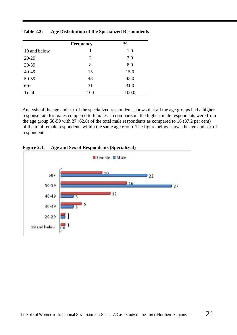|              | <b>Frequency</b> | $\frac{0}{0}$ |
|--------------|------------------|---------------|
| 19 and below |                  | 1.0           |
| 20-29        | $\overline{2}$   | 2.0           |
| 30-39        | 8                | 8.0           |
| 40-49        | 15               | 15.0          |
| 50-59        | 43               | 43.0          |
| $60+$        | 31               | 31.0          |
| Total        | 100              | 100.0         |

**Table 2.2: Age Distribution of the Specialized Respondents**

Analysis of the age and sex of the specialized respondents shows that all the age groups had a higher response rate for males compared to females. In comparison, the highest male respondents were from the age group 50-59 with 27 (62.8) of the total male respondents as compared to 16 (37.2 per cent) of the total female respondents within the same age group. The figure below shows the age and sex of respondents.



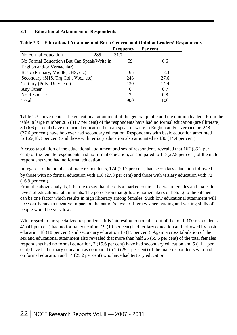#### **2.3 Educational Attainment of Respondents**

|                                             |     | <b>Frequency</b> | Per cent |      |
|---------------------------------------------|-----|------------------|----------|------|
| No Formal Education                         | 285 | 31.7             |          |      |
| No Formal Education (But Can Speak/Write in |     | 59               |          | 6.6  |
| English and/or Vernacular)                  |     |                  |          |      |
| Basic (Primary, Middle, JHS, etc)           |     | 165              |          | 18.3 |
| Secondary (SHS, Trg.Col., Voc., etc)        |     | 248              |          | 27.6 |
| Tertiary (Poly, Univ, etc.)                 |     | 130              |          | 14.4 |
| Any Other                                   |     | 6                |          | 0.7  |
| No Response                                 |     | 7                |          | 0.8  |
| Total                                       |     | 900              |          | 100  |

#### **Table 2.3: Educational Attainment of Bot h General and Opinion Leaders' Respondents**

Table 2.3 above depicts the educational attainment of the general public and the opinion leaders. From the table, a large number 285 (31.7 per cent) of the respondents have had no formal education (are illiterate), 59 (6.6 per cent) have no formal education but can speak or write in English and\or vernacular, 248 (27.6 per cent) have however had secondary education. Respondents with basic education amounted to 165(18.3 per cent) and those with tertiary education also amounted to 130 (14.4 per cent).

A cross tabulation of the educational attainment and sex of respondents revealed that 167 (35.2 per cent) of the female respondents had no formal education, as compared to 118(27.8 per cent) of the male respondents who had no formal education.

In regards to the number of male respondents, 124 (29.2 per cent) had secondary education followed by those with no formal education with 118 (27.8 per cent) and those with tertiary education with 72 (16.9 per cent).

From the above analysis, it is true to say that there is a marked contrast between females and males in levels of educational attainments. The perception that girls are homemakers or belong to the kitchen can be one factor which results in high illiteracy among females. Such low educational attainment will necessarily have a negative impact on the nation's level of literacy since reading and writing skills of people would be very low.

With regard to the specialized respondents, it is interesting to note that out of the total, 100 respondents 41 (41 per cent) had no formal education, 19 (19 per cent) had tertiary education and followed by basic education 18 (18 per cent) and secondary education 15 (15 per cent). Again a cross tabulation of the sex and educational attainment also revealed that more than half 25 (55.6 per cent) of the total females respondents had no formal education, 7 (15.6 per cent) have had secondary education and 5 (11.1 per cent) have had tertiary education as compared to 16 (29.1 per cent) of the male respondents who had on formal education and 14 (25.2 per cent) who have had tertiary education.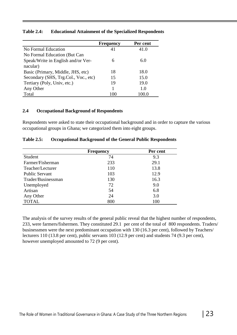|                                      | <b>Frequency</b> | Per cent |
|--------------------------------------|------------------|----------|
| No Formal Education                  | 41               | 41.0     |
| No Formal Education (But Can         |                  |          |
| Speak/Write in English and/or Ver-   | 6                | 6.0      |
| nacular)                             |                  |          |
| Basic (Primary, Middle, JHS, etc)    | 18               | 18.0     |
| Secondary (SHS, Trg.Col., Voc., etc) | 15               | 15.0     |
| Tertiary (Poly, Univ, etc.)          | 19               | 19.0     |
| Any Other                            |                  | 1.0      |
| Total                                | 100              | 100.0    |

#### **Table 2.4: Educational Attainment of the Specialized Respondents**

#### **2.4 Occupational Background of Respondents**

Respondents were asked to state their occupational background and in order to capture the various occupational groups in Ghana; we categorized them into eight groups.

|                       | <b>Frequency</b> | Per cent |  |
|-----------------------|------------------|----------|--|
| Student               | 74               | 9.3      |  |
| Farmer/Fisherman      | 233              | 29.1     |  |
| Teacher/Lecturer      | 110              | 13.8     |  |
| <b>Public Servant</b> | 103              | 12.9     |  |
| Trader/Businessman    | 130              | 16.3     |  |
| Unemployed            | 72               | 9.0      |  |
| Artisan               | 54               | 6.8      |  |
| Any Other             | 24               | 3.0      |  |
| <b>TOTAL</b>          | 800              | 100      |  |

#### **Table 2.5: Occupational Background of the General Public Respondents**

The analysis of the survey results of the general public reveal that the highest number of respondents, 233, were farmers/fishermen. They constituted 29.1 per cent of the total of 800 respondents. Traders/ businessmen were the next predominant occupation with 130 (16.3 per cent), followed by Teachers/ lecturers 110 (13.8 per cent), public servants 103 (12.9 per cent) and students 74 (9.3 per cent), however unemployed amounted to 72 (9 per cent).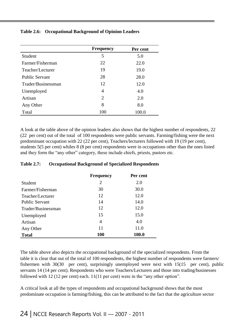#### **Table 2.6: Occupational Background of Opinion Leaders**

|                       | <b>Frequency</b> | Per cent |
|-----------------------|------------------|----------|
| Student               | 5                | 5.0      |
| Farmer/Fisherman      | 22               | 22.0     |
| Teacher/Lecturer      | 19               | 19.0     |
| <b>Public Servant</b> | 28               | 28.0     |
| Trader/Businessman    | 12               | 12.0     |
| Unemployed            | 4                | 4.0      |
| Artisan               | $\overline{2}$   | 2.0      |
| Any Other             | 8                | 8.0      |
| Total                 | 100              | 100.0    |

A look at the table above of the opinion leaders also shows that the highest number of respondents, 22 (22 per cent) out of the total of 100 respondents were public servants. Farming/fishing were the next predominant occupation with 22 (22 per cent), Teachers/lecturers followed with 19 (19 per cent), students 5(5 per cent) whiles 8 (8 per cent) respondents were in occupations other than the ones listed and they form the "any other" category, these include chiefs, priests, pastors etc.

#### **Table 2.7: Occupational Background of Specialized Respondents**

|                       | <b>Frequency</b> | Per cent |
|-----------------------|------------------|----------|
| Student               | $\overline{2}$   | 2.0      |
| Farmer/Fisherman      | 30               | 30.0     |
| Teacher/Lecturer      | 12               | 12.0     |
| <b>Public Servant</b> | 14               | 14.0     |
| Trader/Businessman    | 12               | 12.0     |
| Unemployed            | 15               | 15.0     |
| Artisan               | 4                | 4.0      |
| Any Other             | 11               | 11.0     |
| <b>Total</b>          | <b>100</b>       | 100.0    |

The table above also depicts the occupational background of the specialized respondents. From the table it is clear that out of the total of 100 respondents, the highest number of respondents were farmers/ fishermen with 30(30 per cent), surprisingly unemployed were next with 15(15 per cent), public servants 14 (14 per cent). Respondents who were Teachers/Lecturers and those into trading/businesses followed with 12 (12 per cent) each. 11(11 per cent) were in the "any other option".

A critical look at all the types of respondents and occupational background shows that the most predominate occupation is farming/fishing, this can be attributed to the fact that the agriculture sector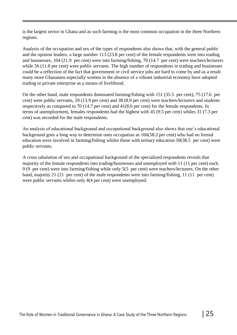is the largest sector in Ghana and as such farming is the most common occupation in the three Northern regions.

Analysis of the occupation and sex of the types of respondents also shows that, with the general public and the opinion leaders, a large number 113 (23.8 per cent) of the female respondents were into trading and businesses, 104 (21.9 per cent) were into farming/fishing, 70 (14.7 per cent) were teachers/lecturers while 56 (11.8 per cent) were public servants. The high number of respondents in trading and businesses could be a reflection of the fact that government or civil service jobs are hard to come by and as a result many more Ghanaians especially women in the absence of a vibrant industrial economy have adopted trading or private enterprise as a means of livelihood.

On the other hand, male respondents dominated farming/fishing with 151 (35.5 per cent), 75 (17.6 per cent) were public servants, 59 (13.9 per cent) and 38 (8.9 per cent) were teachers/lecturers and students respectively as compared to 70 (14.7 per cent) and 41(8.6 per cent) for the female respondents. In terms of unemployment, females respondents had the highest with 45 (9.5 per cent) whiles 31 (7.3 per cent) was recorded for the male respondents.

An analysis of educational background and occupational background also shows that one's educational background goes a long way to determine ones occupation as 166(58.2 per cent) who had no formal education were involved in farming/fishing whiles those with tertiary education 50(38.5 per cent) were public servants.

A cross tabulation of sex and occupational background of the specialized respondents reveals that majority of the female respondents into trading/businesses and unemployed with 11 (11 per cent) each. 9 (9 per cent) were into farming/fishing while only 5(5 per cent) were teachers/lecturers. On the other hand, majority 21 (21 per cent) of the male respondents were into farming/fishing, 11 (11 per cent) were public servants whiles only 4(4 per cent) were unemployed.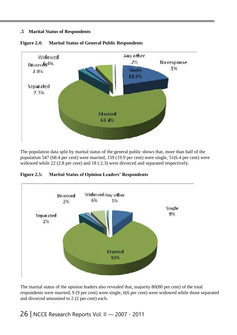#### **.5 Marital Status of Respondents**



**Figure 2.4: Marital Status of General Public Respondents**

The population data split by marital status of the general public shows that, more than half of the population 547 (68.4 per cent) were married, 159 (19.9 per cent) were single, 51(6.4 per cent) were widowed while 22 (2.8 per cent) and 18 ( 2.3) were divorced and separated respectively.

**Figure 2.5: Marital Status of Opinion Leaders' Respondents**



The marital status of the opinion leaders also revealed that, majority 80(80 per cent) of the total respondents were married, 9 (9 per cent) were single, 6(6 per cent) were widowed while those separated and divorced amounted to 2 (2 per cent) each.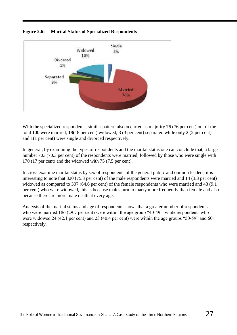



With the specialized respondents, similar pattern also occurred as majority 76 (76 per cent) out of the total 100 were married, 18(18 per cent) widowed, 3 (3 per cent) separated while only 2 (2 per cent) and 1(1 per cent) were single and divorced respectively.

In general, by examining the types of respondents and the marital status one can conclude that, a large number 703 (70.3 per cent) of the respondents were married, followed by those who were single with 170 (17 per cent) and the widowed with 75 (7.5 per cent).

In cross examine marital status by sex of respondents of the general public and opinion leaders, it is interesting to note that 320 (75.3 per cent) of the male respondents were married and 14 (3.3 per cent) widowed as compared to 307 (64.6 per cent) of the female respondents who were married and 43 (9.1 per cent) who were widowed, this is because males turn to marry more frequently than female and also because there are more male death at every age.

Analysis of the marital status and age of respondents shows that a greater number of respondents who were married 186 (29.7 per cent) were within the age group "40-49", while respondents who were widowed 24 (42.1 per cent) and 23 (40.4 per cent) were within the age groups "50-59" and 60+ respectively.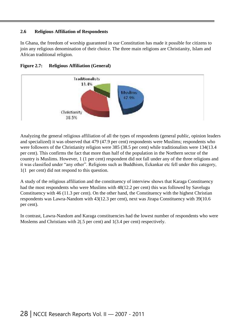#### **2.6 Religious Affiliation of Respondents**

In Ghana, the freedom of worship guaranteed in our Constitution has made it possible for citizens to join any religious denomination of their choice. The three main religions are Christianity, Islam and African traditional religion.





Analyzing the general religious affiliation of all the types of respondents (general public, opinion leaders and specialized) it was observed that 479 (47.9 per cent) respondents were Muslims; respondents who were followers of the Christianity religion were 385 (38.5 per cent) while traditionalists were 134(13.4 per cent). This confirms the fact that more than half of the population in the Northern sector of the country is Muslims. However, 1 (1 per cent) respondent did not fall under any of the three religions and it was classified under "any other". Religions such as Buddhism, Eckankar etc fell under this category, 1(1 per cent) did not respond to this question.

A study of the religious affiliation and the constituency of interview shows that Karaga Constituency had the most respondents who were Muslims with 48(12.2 per cent) this was followed by Savelugu Constituency with 46 (11.3 per cent). On the other hand, the Constituency with the highest Christian respondents was Lawra-Nandom with 43(12.3 per cent), next was Jirapa Constituency with 39(10.6 per cent).

In contrast, Lawra-Nandom and Karaga constituencies had the lowest number of respondents who were Moslems and Christians with 2(.5 per cent) and 1(3.4 per cent) respectively.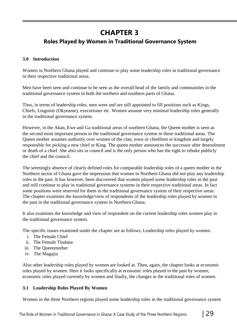# **CHAPTER 3**

### **Roles Played by Women in Traditional Governance System**

#### **3.0 Introduction**

Women in Northern Ghana played and continue to play some leadership roles in traditional governance in their respective traditional areas.

Men have been seen and continue to be seen as the overall head of the family and communities in the traditional governance system in both the northern and southern parts of Ghana.

Thus, in terms of leadership roles, men were and are still appointed to fill positions such as Kings, Chiefs, Linguists (Okyeame), executioner etc. Women assume very minimal leadership roles generally in the traditional governance system.

However, in the Akan, Ewe and Ga traditional areas of southern Ghana, the Queen mother is seen as the second most important person in the traditional governance system in these traditional areas. The Queen mother assumes authority over women of the clan, town or chiefdom or kingdom and largely responsible for picking a new chief or King. The queen mother announces the successor after destoolment or death of a chief. She also sits in council and is the only person who has the right to rebuke publicly the chief and the council.

The seemingly absence of clearly defined roles for comparable leadership roles of a queen mother in the Northern sector of Ghana gave the impression that women in Northern Ghana did not play any leadership roles in the past. It has however, been discovered that women played some leadership roles in the past and still continue to play in traditional governance systems in their respective traditional areas. In fact some positions were reserved for them in the traditional governance system of their respective areas. The chapter examines the knowledge/view of respondents of the leadership roles played by women in the past in the traditional governance system in Northern Ghana.

It also examines the knowledge and view of respondent on the current leadership roles women play in the traditional governance system.

The specific issues examined under the chapter are as follows; Leadership roles played by women:

- i. The Female Chief
- ii. The Female Tindana
- iii. The Queenmother
- iv. The Magajia

Also other leadership roles played by women are looked at. Then, again, the chapter looks at economic roles played by women. Here it looks specifically at economic roles played in the past by women; economic roles played currently by women and finally, the changes in the traditional roles of women.

#### **3.1 Leadership Roles Played By Women**

Women in the three Northern regions played some leadership roles in the traditional governance system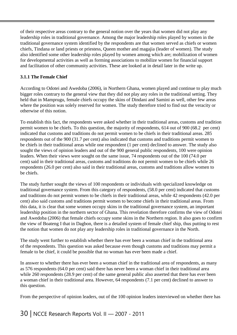of their respective areas contrary to the general notion over the years that women did not play any leadership roles in traditional governance. Among the major leadership roles played by women in the traditional governance system identified by the respondents are that women served as chiefs or women chiefs, Tindana or land priests or priestess, Queen mother and magajia (leader of women). The study also identified some other leadership roles played by women among which are; mobilization of women for developmental activities as well as forming associations to mobilize women for financial support and facilitation of other community activities. These are looked at in detail later in the write up.

#### **3.1.1 The Female Chief**

According to Odotei and Awedoba (2006), in Northern Ghana, women played and continue to play much bigger roles contrary to the general view that they did not play any roles in the traditional setting. They held that in Mamprugu, female chiefs occupy the skins of Dindani and Samini as well, other few areas where the position was solely reserved for women. The study therefore tried to find out the veracity or otherwise of this notion.

To establish this fact, the respondents were asked whether in their traditional areas, customs and tradition permit women to be chiefs. To this question, the majority of respondents, 614 out of 900 (68.2 per cent) indicated that customs and traditions do not permit women to be chiefs in their traditional areas. 285 respondents out of the 900 (31.7 per cent) also indicated that customs and traditions permit women to be chiefs in their traditional areas while one respondent (1 per cent) declined to answer. The study also sought the views of opinion leaders and out of the 900 general public respondents, 100 were opinion leaders. When their views were sought on the same issue, 74 respondents out of the 100 (74.0 per cent) said in their traditional areas, customs and traditions do not permit women to be chiefs while 26 respondents (26.0 per cent) also said in their traditional areas, customs and traditions allow women to be chiefs.

The study further sought the views of 100 respondents or individuals with specialized knowledge on traditional governance system. From this category of respondents, (58.0 per cent) indicated that customs and traditions do not permit women to be chiefs in their traditional areas, while 42 respondents (42.0 per cent) also said customs and traditions permit women to become chiefs in their traditional areas. From this data, it is clear that some women occupy skins in the traditional governance system, an important leadership position in the northern sector of Ghana. This revelation therefore confirms the view of Odotei and Awedoba (2006) that female chiefs occupy some skins in the Northern region. It also goes to confirm the view of Boateng I that in Dagbon, there is a detailed system of female chief ship, thus putting to rest the notion that women do not play any leadership roles in traditional governance in the North.

The study went further to establish whether there has ever been a woman chief in the traditional area of the respondents. This question was asked because even though customs and traditions may permit a female to be chief, it could be possible that no woman has ever been made a chief.

In answer to whether there has ever been a woman chief in the traditional area of respondents, as many as 576 respondents (64.0 per cent) said there has never been a woman chief in their traditional area while 260 respondents (28.9 per cent) of the same general public also asserted that there has ever been a woman chief in their traditional area. However, 64 respondents (7.1 per cent) declined to answer to this question.

From the perspective of opinion leaders, out of the 100 opinion leaders interviewed on whether there has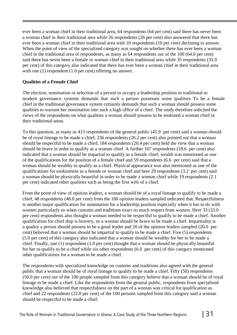ever been a woman chief in their traditional area, 64 respondents (64 per cent) said there has never been a woman chief in their traditional area while 26 respondents (26 per cent) also answered that there has ever been a woman chief in their traditional area with 10 respondents (10 per cent) declining to answer. When the point of view of the specialized category was sought on whether there has ever been a woman chief in the traditional area of respondents, as many as 64 respondents out of the 100 (64.0 per cent) said there has never been a female or woman chief in their traditional area while 35 respondents (35.0 per cent) of this category also indicated that there has ever been a woman chief in their traditional area with one (1) respondent (1.0 per cent) offering no answer.

#### **Qualities of a Female Chief**

The election, nomination or selection of a person to occupy a leadership position in traditional or modern governance systems demands that such a person possesses some qualities. To be a female chief in the traditional governance system certainly demands that such a woman should possess some qualities to warrant her nomination into such a high office of a chief. The study therefore solicited the views of the respondents on what qualities a woman should possess to be enskined a woman chief in their traditional areas.

To this question, as many as 413 respondents of the general public (45.9 per cent) said a woman should be of royal lineage to be made a chief; 236 respondents (26.2 per cent) also pointed out that a woman should be respectful to be made a chief; 184 respondents (20.4 per cent) held the view that a woman should be brave in order to qualify as a woman chief. A further 167 respondents (18.6 per cent) also indicated that a woman should be impartial to qualify as a female chief; wealth was mentioned as one of the qualifications for the position of a female chief and 59 respondents (6.6 per cent) said that a woman should be wealthy to qualify as a chief. Physical appearance was also mentioned as one of the qualifications for enskinment as a female or woman chief and here 29 respondents (3.2 per cent) said a woman should be physically beautiful in order to be made a woman chief while 19 respondents (2.1 per cent) indicated other qualities such as being the first wife of a chief.

From the point of view of opinion leaders, a woman should be of a royal lineage to qualify to be made a chief, 48 respondents (48.0 per cent) from the 100 opinion leaders sampled indicated that. Respectfulness is another major qualification for nomination for a leadership position especially when it has to do with women particularly so when customs and traditions exact so much respect from women. Here 33 (33.0 per cent) respondents also thought a woman needed to be respectful to qualify to be made a chief. Another qualification for chief ship is bravery, so a woman should be brave to be made a chief. Impartiality is a quality a person should possess to be a good leader and 20 of the opinion leaders sampled (20.0 per cent) believed that a woman should be impartial to qualify to be made a chief. Five (5) respondents (5.0 per cent) of this category also indicated that a woman should be wealthy for her to be made a chief. Finally, one (1) respondent (1.0 per cent) thought that a woman should be physically beautiful for her to qualify to be a chief while six other respondents (6.0 per cent) of this category mentioned other qualifications for a woman to be made a chief.

The respondents with specialized knowledge on customs and traditions also agreed with the general public that a woman should be of royal lineage to qualify to be made a chief. Fifty (50) respondents (50.0 per cent) out of the 100 people sampled from this category believe that a woman should be of royal lineage to be made a chief. Like the respondents from the general public, respondents from specialized knowledge also believed that respectfulness on the part of a woman was critical for qualification as chief and 22 respondents (22.0 per cent) of the 100 persons sampled from this category said a woman should be respectful to be made a chief.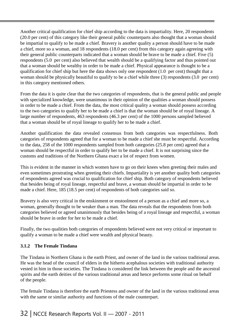Another critical qualification for chief ship according to the data is impartiality. Here, 20 respondents (20.0 per cent) of this category like their general public counterparts also thought that a woman should be impartial to qualify to be made a chief. Bravery is another quality a person should have to be made a chief, more so a woman, and 18 respondents (18.0 per cent) from this category again agreeing with their general public counterparts indicated that a woman should be brave to be made a chief. Five (5) respondents (5.0 per cent) also believed that wealth should be a qualifying factor and thus pointed out that a woman should be wealthy in order to be made a chief. Physical appearance is thought to be a qualification for chief ship but here the data shows only one respondent (1.0 per cent) thought that a woman should be physically beautiful to qualify to be a chief while three (3) respondents (3.0 per cent) in this category mentioned others.

From the data it is quite clear that the two categories of respondents, that is the general public and people with specialized knowledge, were unanimous in their opinion of the qualities a woman should possess in order to be made a chief. From the data, the most critical quality a woman should possess according to the two categories to qualify her to be made a chief is that the woman should be of royal lineage. A large number of respondents, 463 respondents (46.3 per cent) of the 1000 persons sampled believed that a woman should be of royal lineage to qualify her to be made a chief.

Another qualification the data revealed consensus from both categories was respectfulness. Both categories of respondents agreed that for a woman to be made a chief she must be respectful. According to the data, 258 of the 1000 respondents sampled from both categories (25.8 per cent) agreed that a woman should be respectful in order to qualify her to be made a chief. It is not surprising since the customs and traditions of the Northern Ghana exact a lot of respect from women.

This is evident in the manner in which women have to go on their knees when greeting their males and even sometimes prostrating when greeting their chiefs. Impartiality is yet another quality both categories of respondents agreed was crucial to qualification for chief ship. Both category of respondents believed that besides being of royal lineage, respectful and brave, a woman should be impartial in order to be made a chief. Here, 185 (18.5 per cent) of respondents of both categories said so.

Bravery is also very critical in the enskinment or enstoolment of a person as a chief and more so, a woman, generally thought to be weaker than a man. The data reveals that the respondents from both categories believed or agreed unanimously that besides being of a royal lineage and respectful, a woman should be brave in order for her to be made a chief.

Finally, the two qualities both categories of respondents believed were not very critical or important to qualify a woman to be made a chief were wealth and physical beauty.

#### **3.1.2 The Female Tindana**

The Tindana in Northern Ghana is the earth Priest, and owner of the land in the various traditional areas. He was the head of the council of elders in the hitherto acephalous societies with traditional authority vested in him in those societies. The Tindana is considered the link between the people and the ancestral spirits and the earth deities of the various traditional areas and hence performs some ritual on behalf of the people.

The female Tindana is therefore the earth Priestess and owner of the land in the various traditional areas with the same or similar authority and functions of the male counterpart.

### 32 | NCCE Research Reports Vol. II — 2007 - 2011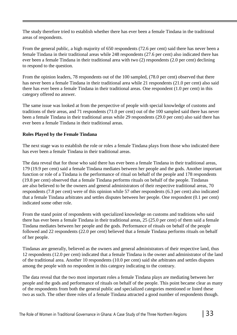The study therefore tried to establish whether there has ever been a female Tindana in the traditional areas of respondents.

From the general public, a high majority of 650 respondents (72.6 per cent) said there has never been a female Tindana in their traditional areas while 248 respondents (27.6 per cent) also indicated there has ever been a female Tindana in their traditional area with two (2) respondents (2.0 per cent) declining to respond to the question.

From the opinion leaders, 78 respondents out of the 100 sampled, (78.0 per cent) observed that there has never been a female Tindana in their traditional area while 21 respondents (21.0 per cent) also said there has ever been a female Tindana in their traditional areas. One respondent (1.0 per cent) in this category offered no answer.

The same issue was looked at from the perspective of people with special knowledge of customs and traditions of their areas, and 71 respondents (71.0 per cent) out of the 100 sampled said there has never been a female Tindana in their traditional areas while 29 respondents (29.0 per cent) also said there has ever been a female Tindana in their traditional areas.

#### **Roles Played by the Female Tindana**

The next stage was to establish the role or roles a female Tindana plays from those who indicated there has ever been a female Tindana in their traditional areas.

The data reveal that for those who said there has ever been a female Tindana in their traditional areas, 179 (19.9 per cent) said a female Tindana mediates between her people and the gods. Another important function or role of a Tindana is the performance of ritual on behalf of the people and 178 respondents (19.8 per cent) observed that a female Tindana performs rituals on behalf of the people. Tindanas are also believed to be the owners and general administrators of their respective traditional areas, 70 respondents (7.8 per cent) were of this opinion while 57 other respondents (6.3 per cent) also indicated that a female Tindana arbitrates and settles disputes between her people. One respondent (0.1 per cent) indicated some other role.

From the stand point of respondents with specialized knowledge on customs and traditions who said there has ever been a female Tindana in their traditional areas, 25 (25.0 per cent) of them said a female Tindana mediates between her people and the gods. Performance of rituals on behalf of the people followed and 22 respondents (22.0 per cent) believed that a female Tindana performs rituals on behalf of her people.

Tindanas are generally, believed as the owners and general administrators of their respective land, thus 12 respondents (12.0 per cent) indicated that a female Tindana is the owner and administrator of the land of the traditional area. Another 10 respondents (10.0 per cent) said she arbitrates and settles disputes among the people with no respondent in this category indicating to the contrary.

The data reveal that the two most important roles a female Tindana plays are mediating between her people and the gods and performance of rituals on behalf of the people. This point became clear as many of the respondents from both the general public and specialized categories mentioned or listed these two as such. The other three roles of a female Tindana attracted a good number of respondents though.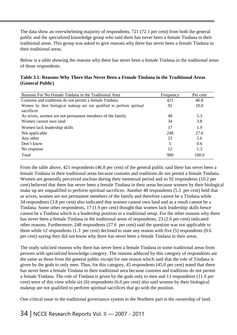The data show an overwhelming majority of respondents, 721 (72.1 per cent) from both the general public and the specialized knowledge group who said there has never been a female Tindana in their traditional areas. This group was asked to give reasons why there has never been a female Tindana in their traditional areas.

Below is a table showing the reasons why there has never been a female Tindana in the traditional areas of those respondents.

| Table 3.1: Reasons Why There Has Never Been a Female Tindana in the Traditional Areas |  |  |  |  |
|---------------------------------------------------------------------------------------|--|--|--|--|
| (General Public)                                                                      |  |  |  |  |

| Reasons For No Female Tindana in the Traditional Area                   | Frequency | Per cent |
|-------------------------------------------------------------------------|-----------|----------|
| Customs and traditions do not permit a female Tindana                   | 421       | 46.8     |
| Women by their biological makeup are not qualified to perform spiritual | 92        | 10.0     |
| sacrifices                                                              |           |          |
| As wives, women are not permanent members of the family                 | 48        | 5.3      |
| Women cannot own land                                                   | 34        | 3.8      |
| Women lack leadership skills                                            | 17        | 1.9      |
| Not applicable                                                          | 248       | 27.6     |
| Any other                                                               | 23        | 2.6      |
| Don't know                                                              | 5         | 0.6      |
| No response                                                             | 12        | 1.3      |
| Total                                                                   | 900       | 100.0    |

From the table above, 421 respondents (46.8 per cent) of the general public said there has never been a female Tindana in their traditional areas because customs and traditions do not permit a female Tindana. Women are generally perceived unclean during their menstrual period and so 92 respondents (10.2 per cent) believed that there has never been a female Tindana in their areas because women by their biological make up are unqualified to perform spiritual sacrifices. Another 48 respondents (5.3 per cent) held that as wives, women are not permanent members of the family and therefore cannot be a Tindana while 34 respondents (3.8 per cent) also indicated that women cannot own land and as a result cannot be a Tindana. Some other respondents, 17 (1.9 per cent) thought that women lack leadership skills hence cannot be a Tindana which is a leadership position in a traditional setup. For the other reasons why there has never been a female Tindana in the traditional areas of respondents, 23 (2.6 per cent) indicated other reasons. Furthermore, 248 respondents (27.6 per cent) said the question was not applicable to them while 12 respondents (1.3 per cent) declined to state any reason with five (5) respondents (0.6 per cent) saying they did not know why there has never been a female Tindana in their areas.

The study solicited reasons why there has never been a female Tindana in some traditional areas from persons with specialized knowledge category. The reasons adduced by this category of respondents are the same as those from the general public except for one reason which said that the role of Tindana is given by the gods to only men. Thus, for this category, 45 respondents (45.0 per cent) noted that there has never been a female Tindana in their traditional area because customs and traditions do not permit a female Tindana. The role of Tindana is given by the gods only to men and 11 respondents (11.0 per cent) were of this view while six (6) respondents (6.0 per cent) also said women by their biological makeup are not qualified to perform spiritual sacrifices that go with the position.

One critical issue in the traditional governance system in the Northern part is the ownership of land.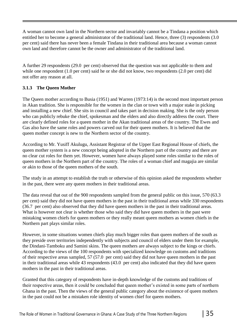A woman cannot own land in the Northern sector and invariably cannot be a Tindana a position which entitled her to become a general administrator of the traditional land. Hence, three (3) respondents (3.0 per cent) said there has never been a female Tindana in their traditional area because a woman cannot own land and therefore cannot be the owner and administrator of the traditional land.

A further 29 respondents (29.0 per cent) observed that the question was not applicable to them and while one respondent (1.0 per cent) said he or she did not know, two respondents (2.0 per cent) did not offer any reason at all.

#### **3.1.3 The Queen Mother**

The Queen mother according to Busia (1951) and Warren (1973:14) is the second most important person in Akan tradition. She is responsible for the women in the clan or town with a major stake in picking and installing a new chief. She sits in council and takes part in decision making. She is the only person who can publicly rebuke the chief, spokesman and the elders and also directly address the court. There are clearly defined roles for a queen mother in the Akan traditional areas of the country. The Ewes and Gas also have the same roles and powers carved out for their queen mothers. It is believed that the queen mother concept is new to the Northern sector of the country.

According to Mr. Yusiff Akulugu, Assistant Registrar of the Upper East Regional House of chiefs, the queen mother system is a new concept being adopted in the Northern part of the country and there are no clear cut roles for them yet. However, women have always played some roles similar to the roles of queen mothers in the Northern part of the country. The roles of a woman chief and magajia are similar or akin to those of the queen mothers of the south.

The study in an attempt to establish the truth or otherwise of this opinion asked the respondents whether in the past, there were any queen mothers in their traditional areas.

The data reveal that out of the 900 respondents sampled from the general public on this issue, 570 (63.3 per cent) said they did not have queen mothers in the past in their traditional areas while 330 respondents (36.7 per cent) also observed that they did have queen mothers in the past in their traditional areas. What is however not clear is whether those who said they did have queen mothers in the past were mistaking women chiefs for queen mothers or they really meant queen mothers as women chiefs in the Northern part plays similar roles.

However, in some situations women chiefs play much bigger roles than queen mothers of the south as they preside over territories independently with subjects and council of elders under them for example, the Dindani-Tamboku and Samini skins. The queen mothers are always subject to the kings or chiefs. According to the views of the 100 respondents with specialized knowledge on customs and traditions of their respective areas sampled, 57 (57.0 per cent) said they did not have queen mothers in the past in their traditional areas while 43 respondents (43.0 per cent) also indicated that they did have queen mothers in the past in their traditional areas.

Granted that this category of respondents have in-depth knowledge of the customs and traditions of their respective areas, then it could be concluded that queen mother's existed in some parts of northern Ghana in the past. Then the views of the general public category about the existence of queen mothers in the past could not be a mistaken role identity of women chief for queen mothers.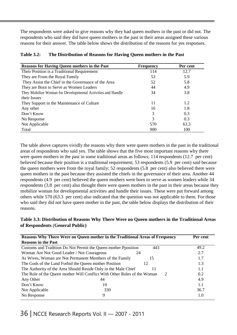The respondents were asked to give reasons why they had queen mothers in the past or did not. The respondents who said they did have queen mothers in the past in their areas assigned these various reasons for their answer. The table below shows the distribution of the reasons for yes responses.

| <b>Table 3.2:</b> | The Distribution of Reasons for Having Queen mothers in the Past |
|-------------------|------------------------------------------------------------------|
|                   |                                                                  |

| <b>Reasons for Having Queen mothers in the Past</b>         | <b>Frequency</b> | Per cent |
|-------------------------------------------------------------|------------------|----------|
| Their Position is a Traditional Requirement                 | 114              | 12.7     |
| They are From the Royal Family                              | 53               | 5.9      |
| They Assist the Chief in the Governance of the Area         | 52               | 5.8      |
| They are Born to Serve as Women Leaders                     | 44               | 4.9      |
| They Mobilize Woman for Developmental Activities and Handle | 34               | 3.8      |
| their Issues                                                |                  |          |
| They Support in the Maintenance of Culture                  | 11               | 1.2      |
| Any other                                                   | 16               | 1.8      |
| Don't Know                                                  | 3                | 0.3      |
| No Response                                                 | 3                | 0.3      |
| Not Applicable                                              | 570              | 63.3     |
| Total                                                       | 900              | 100      |

The table above captures vividly the reasons why there were queen mothers in the past in the traditional areas of respondents who said yes. The table shows that the five most important reasons why there were queen mothers in the past in some traditional areas as follows; 114 respondents (12.7 per cent) believed because their position is a traditional requirement; 53 respondents (5.9 per cent) said because the queen mothers were from the royal family; 52 respondents (5.8 per cent) also believed there were queen mothers in the past because they assisted the chiefs in the governance of their area. Another 44 respondents (4.9 per cent) believed the queen mothers were born to serve as women leaders while 34 respondents (3.8 per cent) also thought there were queen mothers in the past in their areas because they mobilize woman for developmental activities and handle their issues. These were put forward among others while 570 (63.3 per cent) also indicated that the question was not applicable to them. For those who said they did not have queen mother in the past, the table below displays the distribution of their reasons.

#### **Table 3.3: Distribution of Reasons Why There Were no Queen mothers in the Traditional Areas of Respondents** (**General Public)**

| <b>Reasons Why There Were no Queen mother in the Traditional Areas of Frequency</b>               | Per cent |
|---------------------------------------------------------------------------------------------------|----------|
| <b>Reasons in the Past</b>                                                                        |          |
| Customs and Tradition Do Not Permit the Queen mother Pposition<br>443                             | 49.2     |
| Woman Are Not Good Leader / Not Courageous<br>24                                                  | 2.7      |
| As Wives, Woman are Not Permanent Members of the Family<br>15                                     | 1.7      |
| The Gods of the Land Forbid the Queen mother Position<br>12                                       | 1.3      |
| The Authority of the Area Should Reside Only in the Male Chief<br>11                              | 1.1      |
| The Role of the Queen mother Will Conflict With Other Roles of the Woman<br>$\mathcal{D}_{\cdot}$ | 0.2      |
| Any Other<br>44                                                                                   | 4.9      |
| 10<br>Don't Know                                                                                  | 1.1      |
| Not Applicable<br>330                                                                             | 36.7     |
| No Response<br>9                                                                                  | 1.0      |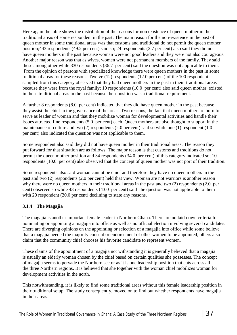Here again the table shows the distribution of the reasons for non existence of queen mother in the traditional areas of some respondent in the past. The main reason for the non-existence in the past of queen mother in some traditional areas was that customs and traditional do not permit the queen mother position;443 respondents (49.2 per cent) said so; 24 respondents (2.7 per cent) also said they did not have queen mothers in the past because woman were not good leaders and they were not also courageous. Another major reason was that as wives, women were not permanent members of the family. They said these among other while 330 respondents (36.7 per cent) said the question was not applicable to them. From the opinion of persons with specialized knowledge there were queen mothers in the past in some traditional areas for these reasons. Twelve (12) respondents (12.0 per cent) of the 100 respondent sampled from this category observed that they had queen mothers in the past in their traditional areas because they were from the royal family; 10 respondents (10.0 per cent) also said queen mother existed in their traditional areas in the past because their position was a traditional requirement.

A further 8 respondents (8.0 per cent) indicated that they did have queen mother in the past because they assist the chief in the governance of the areas .Two reasons, the fact that queen mother are born to serve as leader of woman and that they mobilize woman for developmental activities and handle their issues attracted fine respondents (5.0 per cent) each. Queen mothers are also thought to support in the maintenance of culture and two (2) respondents (2.0 per cent) said so while one (1) respondent (1.0 per cent) also indicated the question was not applicable to them.

Some respondent also said they did not have queen mother in their traditional areas. The reason they put forward for that situation are as follows. The major reason is that customs and traditions do not permit the queen mother position and 34 respondents (34.0 per cent) of this category indicated so; 10 respondents (10.0 per cent) also observed that the concept of queen mother was not port of their tradition.

Some respondents also said woman cannot be chief and therefore they have no queen mothers in the past and two (2) respondents (2.0 per cent) held that view. Woman are not warriors is another reason why there were no queen mothers in their traditional areas in the past and two (2) respondents (2.0 per cent) observed so while 43 respondents (43.0 per cent) said the question was not applicable to them with 20 respondent (20.0 per cent) declining to state any reasons.

#### **3.1.4 The Magajia**

The magajia is another important female leader in Northern Ghana. There are no laid down criteria for nominating or appointing a magajia into office as well as no official election involving several candidates. There are diverging opinions on the appointing or selection of a magajia into office while some believe that a magajia needed the majority consent or endorsement of other women to be appointed, others also claim that the community chief chooses his favorite candidate to represent women.

These claims of the appointment of a magajia not withstanding it is generally believed that a magajia is usually an elderly woman chosen by the chief based on certain qualities she possesses. The concept of magajia seems to pervade the Northern sector as it is one leadership position that cuts across all the three Northern regions. It is believed that she together with the woman chief mobilizes woman for development activities in the north.

This notwithstanding, it is likely to find some traditional areas without this female leadership position in their traditional setup. The study consequently, moved on to find out whether respondents have magajia in their areas.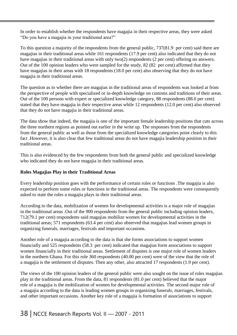In order to establish whether the respondents have magajia in their respective areas, they were asked "Do you have a magajia in your traditional area?"

To this question a majority of the respondents from the general public, 737(81.9 per cent) said there are magajias in their traditional areas while 161 respondents (17.9 per cent) also indicated that they do not have magajias in their traditional areas with only two(2) respondents (2 per cent) offering no answers. Out of the 100 opinion leaders who were sampled for the study, 82 (82 per cent) affirmed that they have magajias in their areas with 18 respondents (18.0 per cent) also observing that they do not have magajia in their traditional areas.

The question as to whether there are magajias in the traditional areas of respondents was looked at from the perspective of people with specialized or in-depth knowledge on customs and traditions of their areas. Out of the 100 persons with expert or specialized knowledge category, 88 respondents (88.0 per cent) stated that they have magajia in their respective areas while 12 respondents (12.0 per cent) also observed that they do not have magajia in their traditional areas.

The data show that indeed, the magajia is one of the important female leadership positions that cuts across the three northern regions as pointed out earlier in the write up. The responses from the respondents from the general public as well as those from the specialized knowledge categories point clearly to this fact .However, it is also clear that few traditional areas do not have magajia leadership position in their traditional areas.

This is also evidenced by the few respondents from both the general public and specialized knowledge who indicated they do not have magajia in their traditional areas.

#### **Roles Magajias Play in their Traditional Areas**

Every leadership position goes with the performance of certain roles or functions .The magajia is also expected to perform some roles or functions in the traditional areas. The respondents were consequently asked to state the roles a magajia plays in their traditional areas.

According to the data, mobilization of women for developmental activities is a major role of magajias in the traditional areas .Out of the 900 respondents from the general public including opinion leaders, 712(79.1 per cent) respondents said magajias mobilize women for developmental activities in the traditional areas; 571 respondents (63.4 per cent) also observed that magajias lead women groups in organizing funerals, marriages, festivals and important occasions.

Another role of a magajia according to the data is that she forms associations to support women financially and 525 respondents (58.3 per cent) indicated that magajias form associations to support women financially in their traditional areas. Settlement of disputes is one major role of women leaders in the northern Ghana. For this role 360 respondents (40.00 per cent) were of the view that the role of a magajia is the settlement of disputes. Then any other, also attracted 17 respondents (1.9 per cent).

The views of the 100 opinion leaders of the general public were also sought on the issue of roles magajias play in the traditional areas. From the data, 81 respondents (81.0 per cent) believed that the major role of a magajia is the mobilization of women for developmental activities. The second major role of a magajia according to the data is leading women groups in organizing funerals, marriages, festivals, and other important occasions. Another key role of a magajia is formation of associations to support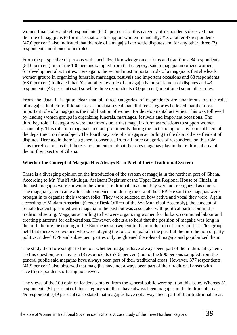women financially and 64 respondents (64.0 per cent) of this category of respondents observed that the role of magajia is to form associations to support women financially. Yet another 47 respondents (47.0 per cent) also indicated that the role of a magajia is to settle disputes and for any other, three (3) respondents mentioned other roles.

From the perspective of persons with specialized knowledge on customs and traditions, 84 respondents (84.0 per cent) out of the 100 persons sampled from that category, said a magajia mobilizes women for developmental activities. Here again, the second most important role of a magajia is that she leads women groups in organizing funerals, marriages, festivals and important occasions and 68 respondents (68.0 per cent) indicated that. Yet another key role of a magajia is the settlement of disputes and 43 respondents (43 per cent) said so while three respondents (3.0 per cent) mentioned some other roles.

From the data, it is quite clear that all three categories of respondents are unanimous on the roles of magajias in their traditional areas. The data reveal that all three categories believed that the most important role of a magajia is the mobilization of women for developmental activities. This was followed by leading women groups in organizing funerals, marriages, festivals and important occasions. The third key role all categories were unanimous on is that magajias form associations to support women financially. This role of a magajia came out prominently during the fact finding tour by some officers of the department on the subject. The fourth key role of a magajia according to the data is the settlement of disputes .Here again there is a general consensus from all three categories of respondents on this role. This therefore means that there is no contention about the roles magajias play in the traditional area of the northern sector of Ghana.

#### **Whether the Concept of Magajia Has Always Been Part of their Traditional System**

There is a diverging opinion on the introduction of the system of magajia in the northern part of Ghana. According to Mr. Yusiff Akulugu, Assistant Registrar of the Upper East Regional House of Chiefs, in the past, magajias were known in the various traditional areas but they were not recognized as chiefs. The magajia system came after independence and during the era of the CPP. He said the magajias were brought in to organise their women folks. They were selected on how active and vocal they were. Again, according to Madam Ansariata (Gender Desk Officer of the Wa Municipal Assembly), the concept of female leadership started with magajia in the past but was associated with political parties but in the traditional setting. Magajias according to her were organizing women for durbars, communal labour and creating platforms for deliberations. However, others also held that the position of magajia was long in the north before the coming of the Europeans subsequent to the introduction of party politics. This group held that there were women who were playing the role of magajia in the past but the introduction of party politics, indeed CPP and subsequent parties only heightened the roles of magajia and popularized them.

The study therefore sought to find out whether magajias have always been part of the traditional system. To this question, as many as 518 respondents (57.6 per cent) out of the 900 persons sampled from the general public said magajias have always been part of their traditional areas. However, 377 respondents (41.9 per cent) also observed that magajias have not always been part of their traditional areas with five (5) respondents offering no answer.

The views of the 100 opinion leaders sampled from the general public were split on this issue. Whereas 51 respondents (51 per cent) of this category said there have always been magajias in the traditional areas, 49 respondents (49 per cent) also stated that magajias have not always been part of their traditional areas.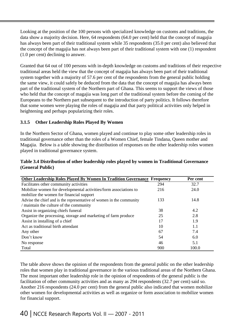Looking at the position of the 100 persons with specialized knowledge on customs and traditions, the data show a majority decision. Here, 64 respondents (64.0 per cent) held that the concept of magajia has always been part of their traditional system while 35 respondents (35.0 per cent) also believed that the concept of the magajia has not always been part of their traditional system with one (1) respondent (1.0 per cent) declining to answer.

Granted that 64 out of 100 persons with in-depth knowledge on customs and traditions of their respective traditional areas held the view that the concept of magajia has always been part of their traditional system together with a majority of 57.6 per cent of the respondents from the general public holding the same view, it could safely be deduced from the data that the concept of magajia has always been part of the traditional system of the Northern part of Ghana. This seems to support the views of those who held that the concept of magajia was long part of the traditional system before the coming of the Europeans to the Northern part subsequent to the introduction of party politics. It follows therefore that some women were playing the roles of magajia and that party political activities only helped in heightening and perhaps popularizing their roles.

#### **3.1.5 Other Leadership Roles Played By Women**

In the Northern Sector of Ghana, women played and continue to play some other leadership roles in traditional governance other than the roles of a Women Chief, female Tindana, Queen mother and Magajia. Below is a table showing the distribution of responses on the other leadership roles women played in traditional governance system.

#### **Table 3.4 Distribution of other leadership roles played by women in Traditional Governance (General Public)**

| <b>Other Leadership Roles Played By Women In Tradition Governance Frequency</b> |     | Per cent |
|---------------------------------------------------------------------------------|-----|----------|
| Facilitates other community activities                                          | 294 | 32.7     |
| Mobilize women for developmental activities/form associations to                | 216 | 24.0     |
| mobilize the women for financial support                                        |     |          |
| Advise the chief and is the representative of women in the community            | 133 | 14.8     |
| / maintain the culture of the community                                         |     |          |
| Assist in organizing chiefs funeral                                             | 38  | 4.2      |
| Organize the processing, storage and marketing of farm produce                  | 25  | 2.8      |
| Assist in installing of a chief                                                 | 17  | 1.9      |
| Act as traditional birth attendant                                              | 10  | 1.1      |
| Any other                                                                       | 67  | 7.4      |
| Don't know                                                                      | 54  | 6.0      |
| No response                                                                     | 46  | 5.1      |
| Total                                                                           | 900 | 100.0    |

The table above shows the opinion of the respondents from the general public on the other leadership roles that women play in traditional governance in the various traditional areas of the Northern Ghana. The most important other leadership role in the opinion of respondents of the general public is the facilitation of other community activities and as many as 294 respondents (32.7 per cent) said so. Another 216 respondents (24.0 per cent) from the general public also indicated that women mobilize other women for developmental activities as well as organize or form association to mobilize women for financial support.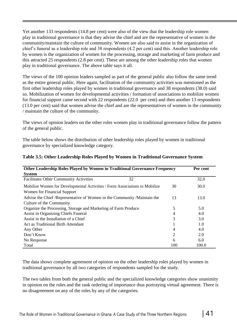Yet another 133 respondents (14.8 per cent) were also of the view that the leadership role women play in traditional governance is that they advise the chief and are the representative of women in the community/maintain the culture of community. Women are also said to assist in the organization of chief's funeral as a leadership role and 38 respondents (4.2 per cent) said this. Another leadership role by women is the organization of women for the processing, storage and marketing of farm produce and this attracted 25 respondents (2.8 per cent). These are among the other leadership roles that women play in traditional governance. The above table says it all.

The views of the 100 opinion leaders sampled as part of the general public also follow the same trend as the entire general public. Here again, facilitation of the community activities was mentioned as the first other leadership roles played by women in traditional governance and 38 respondents (38.0) said so. Mobilization of women for developmental activities / formation of associations to mobilize women for financial support came second with 22 respondents (22.0 per cent) and then another 13 respondents (13.0 per cent) said that women advise the chief and are the representatives of women in the community / maintain the culture of the community.

The views of opinion leaders on the other roles women play in traditional governance follow the pattern of the general public.

The table below shows the distribution of other leadership roles played by women in traditional governance by specialized knowledge category.

| <b>Other Leadership Roles Played by Women in Traditional Governance Frequency</b> |                | Per cent |
|-----------------------------------------------------------------------------------|----------------|----------|
| <b>System</b>                                                                     |                |          |
| <b>Facilitates Other Community Activities</b><br>32                               |                | 32.0     |
| Mobilize Women for Developmental Activities / Form Associations to Mobilize       | 30             | 30.0     |
| Women for Financial Support                                                       |                |          |
| Advise the Chief /Representative of Women in the Community /Maintain the          | 13             | 13.0     |
| Culture of the Community                                                          |                |          |
| Organize the Processing, Storage and Marketing of Farm Produce                    | 5              | 5.0      |
| <b>Assist in Organizing Chiefs Funeral</b>                                        | 4              | 4.0      |
| Assist in the Installation of a Chief                                             | 3              | 3.0      |
| Act as Traditional Birth Attendant                                                |                | 1.0      |
| Any Other                                                                         | 4              | 4.0      |
| Don't Know                                                                        | $\overline{2}$ | 2.0      |
| No Response                                                                       | 6              | 6.0      |
| Total                                                                             | 100            | 100.0    |

#### **Table 3.5: Other Leadership Roles Played by Women in Traditional Governance System**

The data shows complete agreement of opinion on the other leadership roles played by women in traditional governance by all two categories of respondents sampled for the study.

The two tables from both the general public and the specialized knowledge categories show unanimity in opinion on the roles and the rank ordering of importance thus portraying virtual agreement. There is no disagreement on any of the roles by any of the categories.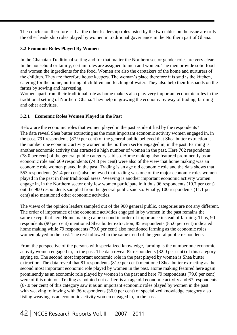The conclusion therefore is that the other leadership roles listed by the two tables on the issue are truly the other leadership roles played by women in traditional governance in the Northern part of Ghana.

#### **3.2 Economic Roles Played By Women**

In the Ghanaian Traditional setting and for that matter the Northern sector gender roles are very clear. In the household or family, certain roles are assigned to men and women. The men provide solid food and women the ingredients for the food. Women are also the caretakers of the home and nurturers of the children. They are therefore house keepers. The woman's place therefore it is said is the kitchen, catering for the home, nurturing of children and fetching of water. They also help their husbands on the farms by sowing and harvesting.

Women apart from their traditional role as home makers also play very important economic roles in the traditional setting of Northern Ghana. They help in growing the economy by way of trading, farming and other activities.

#### **3.2.1 Economic Roles Women Played in the Past**

Below are the economic roles that women played in the past as identified by the respondents? The data reveal Shea butter extracting as the most important economic activity women engaged in, in the past. 791 respondents (87.9 per cent) of the general public believed that Shea butter extraction is the number one economic activity women in the northern sector engaged in, in the past. Farming is another economic activity that attracted a high number of women in the past. Here 702 respondents (78.0 per cent) of the general public category said so. Home making also featured prominently as an economic role and 669 respondents (74.3 per cent) were also of the view that home making was an economic role women played in the past. Trading is an age old economic role and the data shows that 553 respondents (61.4 per cent) also believed that trading was one of the major economic roles women played in the past in their traditional areas. Weaving is another important economic activity women engage in, in the Northern sector only few women participate in it thus 96 respondents (10.7 per cent) out the 900 respondents sampled from the general public said so. Finally, 100 respondents (11.1 per cent) also mentioned other economic activities.

The views of the opinion leaders sampled out of the 900 general public, categories are not any different. The order of importance of the economic activities engaged in by women in the past remains the same except that here Home making came second in order of importance instead of farming. Thus, 90 respondents (90 per cent) mentioned Shea butter extraction; 85 respondents (85.0 per cent) indicated home making while 79 respondents (79.0 per cent) also mentioned farming as the economic roles women played in the past. The rest followed in the same trend of the general public respondents.

From the perspective of the persons with specialized knowledge, farming is the number one economic activity women engaged in, in the past. The data reveal 82 respondents (82.0 per cent) of this category saying so. The second most important economic role in the past played by women is Shea butter extraction. The data reveal that 81 respondents (81.0 per cent) mentioned Shea butter extracting as the second most important economic role played by women in the past. Home making featured here again prominently as an economic role played by women in the past and here 79 respondents (79.0 per cent) were of this opinion. Trading as pointed out earlier, is an age old economic activity and 67 respondents (67.0 per cent) of this category saw it as an important economic roles played by women in the past with weaving following with 36 respondents (36.0 per cent) of specialized knowledge category also listing weaving as an economic activity women engaged in, in the past.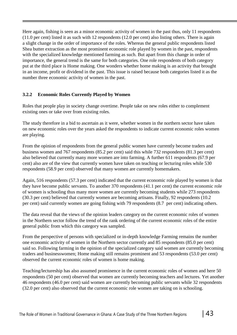Here again, fishing is seen as a minor economic activity of women in the past thus, only 11 respondents (11.0 per cent) listed it as such with 12 respondents (12.0 per cent) also listing others. There is again a slight change in the order of importance of the roles. Whereas the general public respondents listed Shea butter extraction as the most prominent economic role played by women in the past, respondents with the specialized knowledge mentioned farming as such. But apart from this change in order of importance, the general trend is the same for both categories. One role respondents of both category put at the third place is Home making. One wonders whether home making is an activity that brought in an income, profit or dividend in the past. This issue is raised because both categories listed it as the number three economic activity of women in the past.

#### **3.2.2 Economic Roles Currently Played by Women**

Roles that people play in society change overtime. People take on new roles either to complement existing ones or take over from existing roles.

The study therefore in a bid to ascertain as it were, whether women in the northern sector have taken on new economic roles over the years asked the respondents to indicate current economic roles women are playing.

From the opinion of respondents from the general public women have currently become traders and business women and 767 respondents (85.2 per cent) said this while 732 respondents (81.3 per cent) also believed that currently many more women are into farming. A further 611 respondents (67.9 per cent) also are of the view that currently women have taken on teaching or lecturing roles while 530 respondents (58.9 per cent) observed that many women are currently homemakers.

Again, 516 respondents (57.3 per cent) indicated that the current economic role played by women is that they have become public servants. To another 370 respondents (41.1 per cent) the current economic role of women is schooling thus many more women are currently becoming students while 273 respondents (30.3 per cent) believed that currently women are becoming artisans. Finally, 92 respondents (10.2 per cent) said currently women are going fishing with 79 respondents (8.7 per cent) indicating others.

The data reveal that the views of the opinion leaders category on the current economic roles of women in the Northern sector follow the trend of the rank ordering of the current economic roles of the entire general public from which this category was sampled.

From the perspective of persons with specialized or in-depth knowledge Farming remains the number one economic activity of women in the Northern sector currently and 85 respondents (85.0 per cent) said so. Following farming in the opinion of the specialized category said women are currently becoming traders and businesswomen; Home making still remains prominent and 53 respondents (53.0 per cent) observed the current economic roles of women is home making.

Teaching/lectureship has also assumed prominence in the current economic roles of women and here 50 respondents (50 per cent) observed that women are currently becoming teachers and lectures. Yet another 46 respondents (46.0 per cent) said women are currently becoming public servants while 32 respondents (32.0 per cent) also observed that the current economic role women are taking on is schooling.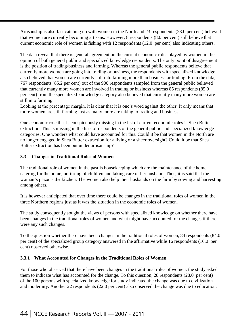Artisanship is also fast catching up with women in the North and 23 respondents (23.0 per cent) believed that women are currently becoming artisans. However, 8 respondents (8.0 per cent) still believe that current economic role of women is fishing with 12 respondents (12.0 per cent) also indicating others.

The data reveal that there is general agreement on the current economic roles played by women in the opinion of both general public and specialized knowledge respondents. The only point of disagreement is the position of trading/business and farming. Whereas the general public respondents believe that currently more women are going into trading or business, the respondents with specialized knowledge also believed that women are currently still into farming more than business or trading. From the data, 767 respondents (85.2 per cent) out of the 900 respondents sampled from the general public believed that currently many more women are involved in trading or business whereas 85 respondents (85.0 per cent) from the specialized knowledge category also believed that currently many more women are still into farming.

Looking at the percentage margin, it is clear that it is one's word against the other. It only means that more women are still farming just as many more are taking to trading and business.

One economic role that is conspicuously missing in the list of current economic roles is Shea Butter extraction. This is missing in the lists of respondents of the general public and specialized knowledge categories. One wonders what could have accounted for this. Could it be that women in the North are no longer engaged in Shea Butter extraction for a living or a sheer oversight? Could it be that Shea Butter extraction has been put under artisanship?

#### **3.3 Changes in Traditional Roles of Women**

The traditional role of women in the past is housekeeping which are the maintenance of the home, catering for the home, nurturing of children and taking care of her husband. Thus, it is said that the woman's place is the kitchen. The women also help their husbands on the farm by sowing and harvesting among others.

It is however anticipated that over time there could be changes in the traditional roles of women in the three Northern regions just as it was the situation in the economic roles of women.

The study consequently sought the views of persons with specialized knowledge on whether there have been changes in the traditional roles of women and what might have accounted for the changes if there were any such changes.

To the question whether there have been changes in the traditional roles of women, 84 respondents (84.0 per cent) of the specialized group category answered in the affirmative while 16 respondents (16.0 per cent) observed otherwise.

#### **3.3.1 What Accounted for Changes in the Traditional Roles of Women**

For those who observed that there have been changes in the traditional roles of women, the study asked them to indicate what has accounted for the change. To this question, 28 respondents (28.0 per cent) of the 100 persons with specialized knowledge for study indicated the change was due to civilization and modernity. Another 22 respondents (22.0 per cent) also observed the change was due to education.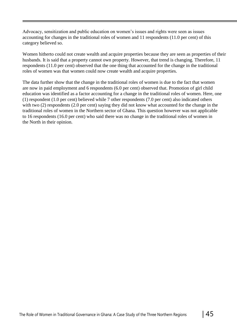Advocacy, sensitization and public education on women's issues and rights were seen as issues accounting for changes in the traditional roles of women and 11 respondents (11.0 per cent) of this category believed so.

Women hitherto could not create wealth and acquire properties because they are seen as properties of their husbands. It is said that a property cannot own property. However, that trend is changing. Therefore, 11 respondents (11.0 per cent) observed that the one thing that accounted for the change in the traditional roles of women was that women could now create wealth and acquire properties.

The data further show that the change in the traditional roles of women is due to the fact that women are now in paid employment and 6 respondents (6.0 per cent) observed that. Promotion of girl child education was identified as a factor accounting for a change in the traditional roles of women. Here, one (1) respondent (1.0 per cent) believed while 7 other respondents (7.0 per cent) also indicated others with two (2) respondents (2.0 per cent) saying they did not know what accounted for the change in the traditional roles of women in the Northern sector of Ghana. This question however was not applicable to 16 respondents (16.0 per cent) who said there was no change in the traditional roles of women in the North in their opinion.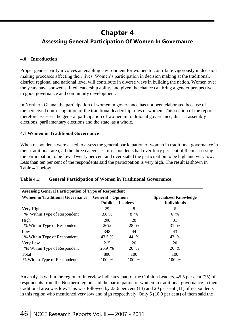## **Chapter 4**

### **Assessing General Participation Of Women In Governance**

#### **4.0 Introduction**

Proper gender parity involves an enabling environment for women to contribute vigorously in decision making processes affecting their lives. Women's participation in decision making at the traditional, district, regional and national level will contribute in diverse ways in building the nation. Women over the years have showed skilled leadership ability and given the chance can bring a gender perspective to good governance and community development.

In Northern Ghana, the participation of women in governance has not been elaborated because of the perceived non-recognition of the traditional leadership roles of women. This section of the report therefore assesses the general participation of women in traditional governance, district assembly elections, parliamentary elections and the state, as a whole.

#### **4.1 Women in Traditional Governance**

When respondents were asked to assess the general participation of women in traditional governance in their traditional area, all the three categories of respondents had over forty per cent of them assessing the participation to be low. Twenty per cent and over stated the participation to be high and very low. Less than ten per cent of the respondents said the participation is very high. The result is shown in Table 4.1 below.

| <b>Assessing General Participation of Type of Respondent</b> |                        |                              |                    |  |  |  |  |
|--------------------------------------------------------------|------------------------|------------------------------|--------------------|--|--|--|--|
| <b>Women in Traditional Governance</b>                       | <b>General</b> Opinion | <b>Specialized Knowledge</b> |                    |  |  |  |  |
|                                                              | <b>Public</b>          | <b>Leaders</b>               | <b>Individuals</b> |  |  |  |  |
| Very High                                                    | 29                     | 8                            | 6                  |  |  |  |  |
| Within Type of Respondent<br>%                               | 3.6 %                  | 8 %                          | 6 %                |  |  |  |  |
| High                                                         | 208                    | 28                           | 31                 |  |  |  |  |
| % Within Type of Respondent                                  | 26%                    | 28 %                         | 31 %               |  |  |  |  |
| Low                                                          | 348                    | 44                           | 43                 |  |  |  |  |
| % Within Type of Respondent                                  | 43.5 %                 | 44 %                         | 43 %               |  |  |  |  |
| Very Low                                                     | 215                    | 20                           | 20                 |  |  |  |  |
| %t Within Type of Respondent                                 | 26.9 %                 | 20 %                         | $20 \&$            |  |  |  |  |
| Total                                                        | 800                    | 100                          | 100                |  |  |  |  |
| % Within Type of Respondent                                  | 100 %                  | 100 %                        | 100 %              |  |  |  |  |

#### **Table 4.1: General Participation of Women in Traditional Governance**

An analysis within the region of interview indicates that; of the Opinion Leaders, 45.5 per cent (25) of respondents from the Northern region said the participation of women in traditional governance in their traditional area was low. This was followed by 23.6 per cent (13) and 20 per cent (11) of respondents in this region who mentioned very low and high respectively. Only 6 (10.9 per cent) of them said the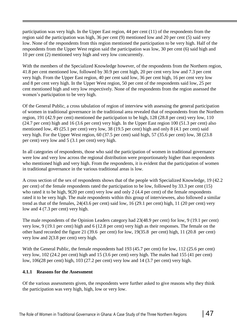participation was very high. In the Upper East region, 44 per cent (11) of the respondents from the region said the participation was high, 36 per cent (9) mentioned low and 20 per cent (5) said very low. None of the respondents from this region mentioned the participation to be very high. Half of the respondents from the Upper West region said the participation was low, 30 per cent (6) said high and 10 per cent (2) mentioned very high and very low concurrently.

With the members of the Specialized Knowledge however, of the respondents from the Northern region, 41.8 per cent mentioned low, followed by 30.9 per cent high, 20 per cent very low and 7.3 per cent very high. From the Upper East region, 40 per cent said low, 36 per cent high, 16 per cent very low and 8 per cent very high. In the Upper West region, 50 per cent of the respondents said low, 25 per cent mentioned high and very low respectively. None of the respondents from the region assessed the women's participation to be very high.

Of the General Public, a cross tabulation of region of interview with assessing the general participation of women in traditional governance in the traditional area revealed that of respondents from the Northern region, 191 (42.9 per cent) mentioned the participation to be high, 128 (28.8 per cent) very low, 110 (24.7 per cent) high and 16 (3.6 per cent) very high. In the Upper East region 100 (51.3 per cent) also mentioned low, 49 (25.1 per cent) very low, 38 (19.5 per cent) high and only 8 (4.1 per cent) said very high. For the Upper West region, 60 (37.5 per cent) said high, 57 (35.6 per cent) low, 38 (23.8 per cent) very low and 5 (3.1 per cent) very high.

In all categories of respondents, those who said the participation of women in traditional governance were low and very low across the regional distribution were proportionately higher than respondents who mentioned high and very high. From the respondents, it is evident that the participation of women in traditional governance in the various traditional areas is low.

A cross section of the sex of respondents shows that of the people with Specialized Knowledge, 19 (42.2 per cent) of the female respondents rated the participation to be low, followed by 33.3 per cent (15) who rated it to be high, 9(20 per cent) very low and only 2 (4.4 per cent) of the female respondents rated it to be very high. The male respondents within this group of interviewees, also followed a similar trend as that of the females, 24(43.6 per cent) said low, 16 (29.1 per cent) high, 11 (20 per cent) very low and 4 (7.3 per cent) very high.

The male respondents of the Opinion Leaders category had 23(48.9 per cent) for low, 9 (19.1 per cent) very low, 9 (19.1 per cent) high and 6 (12.8 per cent) very high as their responses. The female on the other hand recorded the figure 21 (39.6 per cent) for low, 19(35.8 per cent) high, 11 (20.8 per cent) very low and 2(3.8 per cent) very high.

With the General Public, the female respondents had 193 (45.7 per cent) for low, 112 (25.6 per cent) very low, 102 (24.2 per cent) high and 15 (3.6 per cent) very high. The males had 155 (41 per cent) low, 106(28 per cent) high, 103 (27.2 per cent) very low and 14 (3.7 per cent) very high.

#### **4.1.1 Reasons for the Assessment**

Of the various assessments given, the respondents were further asked to give reasons why they think the participation was very high, high, low or very low.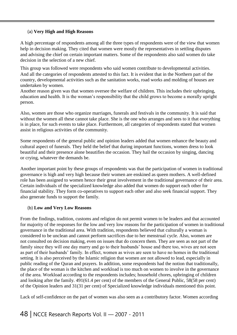#### (a) **Very High and High Reasons**

A high percentage of respondents among all the three types of respondents were of the view that women help in decision making. They cited that women were mostly the representatives in settling disputes and advising the chief on certain important matters. Some of the respondents also said women do take decision in the selection of a new chief.

This group was followed were respondents who said women contribute to developmental activities. And all the categories of respondents attested to this fact. It is evident that in the Northern part of the country, developmental activities such as the sanitation works, road works and molding of houses are undertaken by women.

Another reason given was that women oversee the welfare of children. This includes their upbringing, education and health. It is the woman's responsibility that the child grows to become a morally upright person.

Also, women are those who organize marriages, funerals and festivals in the community. It is said that without the women all these cannot take place. She is the one who arranges and sees to it that everything is in place, for such events to take place. Furthermore, all categories of respondents stated that women assist in religious activities of the community.

Some respondents of the general public and opinion leaders added that women enhance the beauty and cultural aspect of funerals. They held the belief that during important functions, women dress to look beautiful and their presence alone beautifies the occasion. They hail the occasion by singing, dancing or crying, whatever the demands be.

Another important point by these groups of respondents was that the participation of women in traditional governance is high and very high because their women are enskined as queen mothers. A well-defined role has been assigned to women hence their great involvement in the traditional governance of their area. Certain individuals of the specialized knowledge also added that women do support each other for financial stability. They form co-operatives to support each other and also seek financial support. They also generate funds to support the family.

#### (b) **Low and Very Low Reasons**

From the findings, tradition, customs and religion do not permit women to be leaders and that accounted for majority of the responses for the low and very low reasons for the participation of women in traditional governance in the traditional area. With tradition, respondents believed that culturally a woman is considered to be unclean and cannot perform sacrifices due to her menstrual cycle. Also, women are not consulted on decision making, even on issues that do concern them. They are seen as not part of the family since they will one day marry and go to their husbands' house and there too, wives are not seen as part of their husbands' family. In effect, women as wives are seen to have no homes in the traditional setting. It is also perceived by the Islamic religion that women are not allowed to lead, especially in public reading of the Quran and prayers. In addition, some respondents had the notion that traditionally, the place of the woman is the kitchen and workload is too much on women to involve in the governance of the area. Workload according to the respondents includes; household chores, upbringing of children and looking after the family. 491(61.4 per cent) of the members of the General Public, 58(58 per cent) of the Opinion leaders and 31(31 per cent) of Specialized knowledge individuals mentioned this point.

Lack of self-confidence on the part of women was also seen as a contributory factor. Women according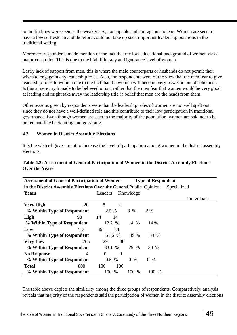to the findings were seen as the weaker sex, not capable and courageous to lead. Women are seen to have a low self-esteem and therefore could not take up such important leadership positions in the traditional setting.

Moreover, respondents made mention of the fact that the low educational background of women was a major constraint. This is due to the high illiteracy and ignorance level of women.

Lastly lack of support from men, this is where the male counterparts or husbands do not permit their wives to engage in any leadership roles. Also, the respondents were of the view that the men fear to give leadership roles to women due to the fact that the women will become very powerful and disobedient. Is this a mere myth made to be believed or is it rather that the men fear that women would be very good at leading and might take away the leadership title (a belief that men are the head) from them.

Other reasons given by respondents were that the leadership roles of women are not well spelt out since they do not have a well-defined role and this contribute to their low participation in traditional governance. Even though women are seen in the majority of the population, women are said not to be united and like back biting and gossiping.

#### **4.2 Women in District Assembly Elections**

It is the wish of government to increase the level of participation among women in the district assembly elections.

| <b>Assessment of General Participation of Women</b><br><b>Type of Respondent</b>  |                |          |                |                     |                        |             |  |  |
|-----------------------------------------------------------------------------------|----------------|----------|----------------|---------------------|------------------------|-------------|--|--|
| in the District Assembly Elections Over the General Public Opinion<br>Specialized |                |          |                |                     |                        |             |  |  |
| Years                                                                             |                | Leaders  |                | Knowledge           |                        |             |  |  |
|                                                                                   |                |          |                |                     |                        | Individuals |  |  |
| <b>Very High</b>                                                                  | 20             | 8        | $\overline{2}$ |                     |                        |             |  |  |
| % Within Type of Respondent                                                       |                | 2.5 %    |                | 8 %                 | 2 %                    |             |  |  |
| <b>High</b>                                                                       | 98             | 14       | 14             |                     |                        |             |  |  |
| % Within Type of Respondent                                                       |                | 12.2 %   |                | 14 %                | 14 %                   |             |  |  |
| Low                                                                               | 413            | 49       | 54             |                     |                        |             |  |  |
| % Within Type of Respondent                                                       |                |          | 51.6 %         | 49 %                | 54 %                   |             |  |  |
| <b>Very Low</b>                                                                   | 265            | 29       | 30             |                     |                        |             |  |  |
| % Within Type of Respondent                                                       |                | 33.1 %   |                | 29 %                | 30 %                   |             |  |  |
| <b>No Response</b>                                                                | $\overline{A}$ | $\Omega$ | $\overline{0}$ |                     |                        |             |  |  |
| % Within Type of Respondent                                                       |                | $0.5\%$  |                | $\overline{0}$<br>% | $\overline{0}$<br>$\%$ |             |  |  |
| <b>Total</b>                                                                      | 800            | 100      | 100            |                     |                        |             |  |  |
| % Within Type of Respondent                                                       |                | 100      | $\%$           | 100<br>$\%$         | 100 %                  |             |  |  |

#### **Table 4.2: Assessment of General Participation of Women in the District Assembly Elections Over the Years**

The table above depicts the similarity among the three groups of respondents. Comparatively, analysis reveals that majority of the respondents said the participation of women in the district assembly elections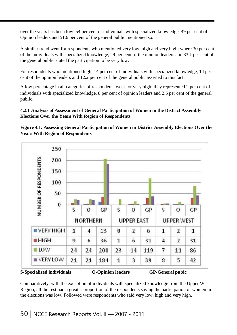over the years has been low. 54 per cent of individuals with specialized knowledge, 49 per cent of Opinion leaders and 51.6 per cent of the general public mentioned so.

A similar trend went for respondents who mentioned very low, high and very high; where 30 per cent of the individuals with specialized knowledge, 29 per cent of the opinion leaders and 33.1 per cent of the general public stated the participation to be very low.

For respondents who mentioned high, 14 per cent of individuals with specialized knowledge, 14 per cent of the opinion leaders and 12.2 per cent of the general public asserted to this fact.

A low percentage in all categories of respondents went for very high; they represented 2 per cent of individuals with specialized knowledge, 8 per cent of opinion leaders and 2.5 per cent of the general public.

#### **4.2.1 Analysis of Assessment of General Participation of Women in the District Assembly Elections Over the Years With Region of Respondents**





**S-Specialized individuals O-Opinion leaders GP-General pubic**

Comparatively, with the exception of individuals with specialized knowledge from the Upper West Region, all the rest had a greater proportion of the respondents saying the participation of women in the elections was low. Followed were respondents who said very low, high and very high.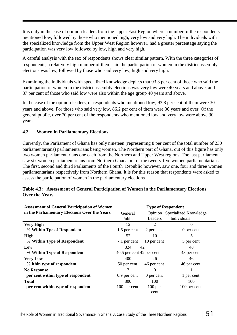It is only in the case of opinion leaders from the Upper East Region where a number of the respondents mentioned low, followed by those who mentioned high, very low and very high. The individuals with the specialized knowledge from the Upper West Region however, had a greater percentage saying the participation was very low followed by low, high and very high.

A careful analysis with the sex of respondents shows clear similar pattern. With the three categories of respondents, a relatively high number of them said the participation of women in the district assembly elections was low, followed by those who said very low, high and very high.

Examining the individuals with specialized knowledge depicts that 93.3 per cent of those who said the participation of women in the district assembly elections was very low were 40 years and above, and 87 per cent of those who said low were also within the age group 40 years and above.

In the case of the opinion leaders, of respondents who mentioned low, 93.8 per cent of them were 30 years and above. For those who said very low, 86.2 per cent of them were 30 years and over. Of the general public, over 70 per cent of the respondents who mentioned low and very low were above 30 years.

#### **4.3 Women in Parliamentary Elections**

Currently, the Parliament of Ghana has only nineteen (representing 8 per cent of the total number of 230 parliamentarians) parliamentarians being women. The Northern part of Ghana, out of this figure has only two women parliamentarians one each from the Northern and Upper West regions. The last parliament saw six women parliamentarians from Northern Ghana out of the twenty-five women parliamentarians. The first, second and third Parliaments of the Fourth Republic however, saw one, four and three women parliamentarians respectively from Northern Ghana. It is for this reason that respondents were asked to assess the participation of women in the parliamentary elections.

| <b>Assessment of General Participation of Women</b> | <b>Type of Respondent</b> |             |                               |  |  |
|-----------------------------------------------------|---------------------------|-------------|-------------------------------|--|--|
| in the Parliamentary Elections Over the Years       | General                   |             | Opinion Specialized Knowledge |  |  |
|                                                     | Public                    | Leaders     | Individuals                   |  |  |
| <b>Very High</b>                                    | 12                        | 2           | $\theta$                      |  |  |
| % Within Tpe of Respondent                          | 1.5 per cent              | 2 per cent  | 0 per cent                    |  |  |
| High                                                | 57                        | 10          | 5                             |  |  |
| % Within Type of Respondent                         | 7.1 per cent              | 10 per cent | 5 per cent                    |  |  |
| Low                                                 | 324                       | 42          | 48                            |  |  |
| % Within Type of Respondent                         | 40.5 per cent 42 per cent |             | 48 per cent                   |  |  |
| <b>Very Low</b>                                     | 400                       | 46          | 46                            |  |  |
| % ithin type of respondent                          | 50 per cent               | 46 per cent | 46 per cent                   |  |  |
| <b>No Response</b>                                  |                           | $\Omega$    |                               |  |  |
| per cent within type of respondent                  | $0.9$ per cent            | 0 per cent  | 1 per cent                    |  |  |
| <b>Total</b>                                        | 800                       | 100         | 100                           |  |  |
| per cent within type of respondent                  | 100 per cent              | $100$ per   | 100 per cent                  |  |  |
|                                                     |                           | cent        |                               |  |  |

#### **Table 4.3: Assessment of General Participation of Women in the Parliamentary Elections Over the Years**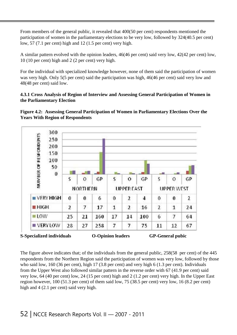From members of the general public, it revealed that 400(50 per cent) respondents mentioned the participation of women in the parliamentary elections to be very low, followed by 324(40.5 per cent) low, 57 (7.1 per cent) high and 12 (1.5 per cent) very high.

A similar pattern evolved with the opinion leaders, 46(46 per cent) said very low, 42(42 per cent) low, 10 (10 per cent) high and 2 (2 per cent) very high.

For the individual with specialized knowledge however, none of them said the participation of women was very high. Only 5(5 per cent) said the participation was high, 46(46 per cent) said very low and 48(48 per cent) said low.

#### **4.3.1 Cross Analysis of Region of Interview and Assessing General Participation of Women in the Parliamentary Election**





The figure above indicates that; of the individuals from the general public, 258(58 per cent) of the 445 respondents from the Northern Region said the participation of women was very low, followed by those who said low, 160 (36 per cent), high 17 (3.8 per cent) and very high 6 (1.3 per cent). Individuals from the Upper West also followed similar pattern in the reverse order with 67 (41.9 per cent) said very low, 64 (40 per cent) low, 24 (15 per cent) high and 2 (1.2 per cent) very high. In the Upper East region however, 100 (51.3 per cent) of them said low, 75 (38.5 per cent) very low, 16 (8.2 per cent) high and 4 (2.1 per cent) said very high.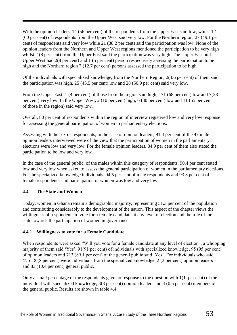With the opinion leaders, 14 (56 per cent) of the respondents from the Upper East said low, whilst 12 (60 per cent) of respondents from the Upper West said very low. For the Northern region, 27 (49.1 per cent) of respondents said very low while 21 (38.2 per cent) said the participation was low. None of the opinion leaders from the Northern and Upper West regions mentioned the participation to be very high whilst 2 (8 per cent) from the Upper East said the participation was very high. The Upper East and Upper West had 2(8 per cent) and 1 (5 per cent) person respectively assessing the participation to be high and the Northern region 7 (12.7 per cent) persons assessed the participation to be high.

Of the individuals with specialized knowledge, from the Northern Region, 2(3.6 per cent) of them said the participation was high, 25 (45.5 per cent) low and 28 (50.9 per cent) said very low.

From the Upper East, 1 (4 per cent) of those from the region said high, 171 (68 per cent) low and 7(28 per cent) very low. In the Upper West, 2 (10 per cent) high, 6 (30 per cent) low and 11 (55 per cent of those in the region) said very low.

Overall, 80 per cent of respondents within the region of interview registered low and very low response for assessing the general participation of women in parliamentary elections.

Assessing with the sex of respondents, in the case of opinion leaders, 91.4 per cent of the 47 male opinion leaders interviewed were of the view that the participation of women in the parliamentary elections were low and very low. For the female opinion leaders, 84.9 per cent of them also stated the participation to be low and very low.

In the case of the general public, of the males within this category of respondents, 90.4 per cent stated low and very low when asked to assess the general participation of women in the parliamentary elections. For the specialized knowledge individuals, 94.5 per cent of male respondents and 93.3 per cent of female respondents said participation of women was low and very low.

#### **4.4 The State and Women**

Today, women in Ghana remain a demographic majority, representing 51.3 per cent of the population and contributing considerably to the development of the nation. This aspect of the chapter views the willingness of respondents to vote for a female candidate at any level of election and the role of the state towards the participation of women in governance.

#### **4.4.1 Willingness to vote for a Female Candidate**

When respondents were asked "Will you vote for a female candidate at any level of election", a whooping majority of them said 'Yes'. 91(91 per cent) of individuals with specialized knowledge, 95 (95 per cent) of opinion leaders and 713 (89.1 per cent) of the general public said 'Yes'. For individuals who said 'No', 8 (8 per cent) were individuals from the specialized knowledge, 2 (2 per cent) opinion leaders and 83 (10.4 per cent) general public.

Only a small percentage of the respondents gave no response to the question with 1(1 per cent) of the individual with specialized knowledge, 3(3 per cent) opinion leaders and 4 (0.5 per cent) members of the general public. Results are shown in table 4.4.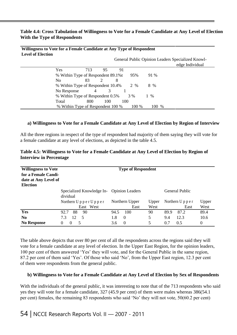#### **Table 4.4: Cross Tabulation of Willingness to Vote for a Female Candidate at Any Level of Election With the Type of Respondents**

| Willingness to Vote for a Female Candidate at Any Type of Respondent<br><b>Level of Election</b> |                                    |     |               |     |       |        | General Public Opinion Leaders Specialized Knowl- |
|--------------------------------------------------------------------------------------------------|------------------------------------|-----|---------------|-----|-------|--------|---------------------------------------------------|
|                                                                                                  |                                    |     |               |     |       |        | edge Individual                                   |
|                                                                                                  | Yes                                | 713 | 95            | 91  |       |        |                                                   |
|                                                                                                  | % Within Type of Respondent 89.1%t |     |               |     | 95%   | 91 %   |                                                   |
|                                                                                                  | No                                 | 83  | $\mathcal{D}$ | 8   |       |        |                                                   |
|                                                                                                  | % Within Type of Respondent 10.4%  |     |               |     | 2 %   | 8 %    |                                                   |
|                                                                                                  | No Response                        | 4   |               |     |       |        |                                                   |
|                                                                                                  | % Within Type of Respondent 0.5%   |     |               |     | 3 %   | %<br>1 |                                                   |
|                                                                                                  | Total                              | 800 | 100           | 100 |       |        |                                                   |
|                                                                                                  | % Within Type of Respondent 100 %  |     |               |     | 100 % | 100 %  |                                                   |

### **a) Willingness to Vote for a Female Candidate at Any Level of Election by Region of Interview**

All the three regions in respect of the type of respondent had majority of them saying they will vote for a female candidate at any level of elections, as depicted in the table 4.5.

| <b>Willingness to Vote</b> | <b>Type of Respondent</b>                                   |                 |       |                                       |  |  |  |  |
|----------------------------|-------------------------------------------------------------|-----------------|-------|---------------------------------------|--|--|--|--|
| for a Female Candi-        |                                                             |                 |       |                                       |  |  |  |  |
| date at Any Level of       |                                                             |                 |       |                                       |  |  |  |  |
| <b>Election</b>            |                                                             |                 |       |                                       |  |  |  |  |
|                            | General Public<br>Specialized Knowledge In- Opinion Leaders |                 |       |                                       |  |  |  |  |
|                            | dividual                                                    |                 |       |                                       |  |  |  |  |
|                            | Northern $U$ p p e r $U$ p p e r                            | Northern Upper  | Upper | Northern $U$ $p$ $p$ $e$ $r$<br>Upper |  |  |  |  |
|                            | West<br>East                                                | East            | West  | West<br>East                          |  |  |  |  |
| Yes                        | 90<br>88<br>92.7                                            | 100<br>94.5     | 90    | 89.4<br>89.9<br>87.2                  |  |  |  |  |
| N <sub>0</sub>             | 12<br>7.3<br>-5                                             | $\theta$<br>1.8 | 5     | 12.3<br>9.4<br>10.6                   |  |  |  |  |
| <b>No Response</b>         | 5<br>$\Omega$                                               | $\theta$<br>3.6 | 5     | $\Omega$<br>0.7<br>0.5                |  |  |  |  |

#### **Table 4.5: Willingness to Vote for a Female Candidate at Any Level of Election by Region of Interview in Percentage**

The table above depicts that over 80 per cent of all the respondents across the regions said they will vote for a female candidate at any level of election. In the Upper East Region, for the opinion leaders, 100 per cent of them answered 'Yes' they will vote, and for the General Public in the same region, 87.2 per cent of them said 'Yes'. Of those who said 'No', from the Upper East region, 12.3 per cent of them were respondents from the general public.

#### **b) Willingness to Vote for a Female Candidate at Any Level of Election by Sex of Respondents**

With the individuals of the general public, it was interesting to note that of the 713 respondents who said yes they will vote for a female candidate, 327 (45.9 per cent) of them were males whereas 386(54.1 per cent) females, the remaining 83 respondents who said 'No' they will not vote, 50(60.2 per cent)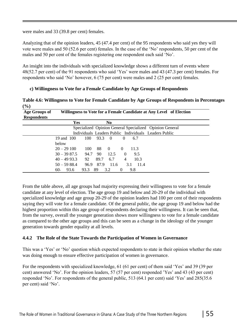were males and 33 (39.8 per cent) females.

Analyzing that of the opinion leaders, 45 (47.4 per cent) of the 95 respondents who said yes they will vote were males and 50 (52.6 per cent) females. In the case of the 'No' respondents, 50 per cent of the males and 50 per cent of the females registering one respondent each said 'No'.

An insight into the individuals with specialized knowledge shows a different turn of events where 48(52.7 per cent) of the 91 respondents who said 'Yes' were males and 43 (47.3 per cent) females. For respondents who said 'No' however, 6 (75 per cent) were males and 2 (25 per cent) females.

#### **c) Willingness to Vote for a Female Candidate by Age Groups of Respondents**

**Table 4.6: Willingness to Vote for Female Candidate by Age Groups of Respondents in Percentages (%)**

| <b>Age Groups of</b><br><b>Respondents</b> | Willingness to Vote for a Female Candidate at Any Level of Election |      |      |                |                |             |                                                         |  |
|--------------------------------------------|---------------------------------------------------------------------|------|------|----------------|----------------|-------------|---------------------------------------------------------|--|
|                                            | Yes                                                                 |      |      | N <sub>0</sub> |                |             |                                                         |  |
|                                            |                                                                     |      |      |                |                |             | Specialized Opinion General Specialized Opinion General |  |
|                                            |                                                                     |      |      |                |                |             | Individuals Leaders Public Individuals Leaders Public   |  |
|                                            | 19 and 100                                                          | 100  | 93.3 | - 0            | $\theta$       | 6.7         |                                                         |  |
|                                            | below                                                               |      |      |                |                |             |                                                         |  |
|                                            | $20 - 29100$                                                        | 100  | 88   | $\theta$       | $\Omega$       | 11.3        |                                                         |  |
|                                            | $30 - 3987.5$                                                       | 94.7 | 90   | 12.5           | $\Omega$       | 9.5         |                                                         |  |
|                                            | $40 - 4993.3$                                                       | 92   | 89.7 | 6.7            | $\overline{4}$ | 10.3        |                                                         |  |
|                                            | $50 - 5988.4$                                                       | 96.9 | 87.9 | 11.6           |                | 3.1<br>11.4 |                                                         |  |
|                                            | 93.6<br>$60^{+}$                                                    | 93.3 | 89   | 3.2            | $\theta$       | 9.8         |                                                         |  |

From the table above, all age groups had majority expressing their willingness to vote for a female candidate at any level of election. The age group 19 and below and 20-29 of the individual with specialized knowledge and age group 20-29 of the opinion leaders had 100 per cent of their respondents saying they will vote for a female candidate. Of the general public, the age group 19 and below had the highest proportion within this age group of respondents declaring their willingness. It can be seen that, from the survey, overall the younger generation shows more willingness to vote for a female candidate as compared to the other age groups and this can be seen as a change in the ideology of the younger generation towards gender equality at all levels.

#### **4.4.2 The Role of the State Towards the Participation of Women in Governance**

This was a 'Yes' or 'No' question which expected respondents to state in their opinion whether the state was doing enough to ensure effective participation of women in governance.

For the respondents with specialized knowledge, 61 (61 per cent) of them said 'Yes' and 39 (39 per cent) answered 'No'. For the opinion leaders, 57 (57 per cent) responded 'Yes' and 43 (43 per cent) responded 'No'. For respondents of the general public, 513 (64.1 per cent) said 'Yes' and 285(35.6 per cent) said 'No'.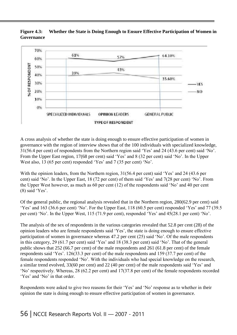#### **Figure 4.3: Governance Whether the State is Doing Enough to Ensure Effective Participation of Women in**



A cross analysis of whether the state is doing enough to ensure effective participation of women in governance with the region of interview shows that of the 100 individuals with specialized knowledge, 31(56.4 per cent) of respondents from the Northern region said 'Yes' and 24 (43.6 per cent) said 'No'. From the Upper East region, 17(68 per cent) said 'Yes' and 8 (32 per cent) said 'No'. In the Upper West also, 13 (65 per cent) responded 'Yes' and 7 (35 per cent) 'No'.

With the opinion leaders, from the Northern region, 31(56.4 per cent) said 'Yes' and 24 (43.6 per cent) said 'No'. In the Upper East, 18 (72 per cent) of them said 'Yes' and 7(28 per cent) 'No'. From the Upper West however, as much as 60 per cent (12) of the respondents said 'No' and 40 per cent (8) said 'Yes'.

Of the general public, the regional analysis revealed that in the Northern region, 280(62.9 per cent) said 'Yes' and 163 (36.6 per cent) 'No'. For the Upper East, 118 (60.5 per cent) responded 'Yes' and 77 (39.5 per cent) 'No'. In the Upper West, 115 (71.9 per cent), responded 'Yes' and 45(28.1 per cent) 'No'.

The analysis of the sex of respondents in the various categories revealed that 52.8 per cent (28) of the opinion leaders who are female respondents said 'Yes', the state is doing enough to ensure effective participation of women in governance whereas 47.2 per cent (25) said 'No'. Of the male respondents in this category, 29 (61.7 per cent) said 'Yes' and 18 (38.3 per cent) said 'No'. That of the general public shows that 252 (66.7 per cent) of the male respondents and 261 (61.8 per cent) of the female respondents said 'Yes'. 126(33.3 per cent) of the male respondents and 159 (37.7 per cent) of the female respondents responded 'No'. With the individuals who had special knowledge on the research, a similar trend evolved, 33(60 per cent) and 22 (40 per cent) of the male respondents said 'Yes' and 'No' respectively. Whereas, 28 (62.2 per cent) and 17(37.8 per cent) of the female respondents recorded 'Yes' and 'No' in that order.

Respondents were asked to give two reasons for their 'Yes' and 'No' response as to whether in their opinion the state is doing enough to ensure effective participation of women in governance.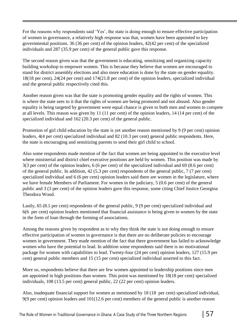For the reasons why respondents said 'Yes', the state is doing enough to ensure effective participation of women in governance, a relatively high response was that, women have been appointed to key governmental positions. 36 (36 per cent) of the opinion leaders, 42(42 per cent) of the specialized individuals and 287 (35.9 per cent) of the general public gave this response.

The second reason given was that the government is educating, sensitizing and organizing capacity building workshop to empower women. This is because they believe that women are encouraged to stand for district assembly elections and also more education is done by the state on gender equality. 18(18 per cent), 24(24 per cent) and 174(21.8 per cent) of the opinion leaders, specialized individual and the general public respectively cited this.

Another reason given was that the state is promoting gender equality and the rights of women. This is where the state sees to it that the rights of women are being promoted and not abused. Also gender equality is being targeted by government were equal chance is given to both men and women to compete at all levels. This reason was given by 11 (11 per cent) of the opinion leaders, 14 (14 per cent) of the specialized individual and 162 (20.3 per cent) of the general public.

Promotion of girl child education by the state is yet another reason mentioned by 9 (9 per cent) opinion leaders, 4(4 per cent) specialized individual and 82 (10.3 per cent) general public respondents. Here, the state is encouraging and sensitizing parents to send their girl child to school.

Also some respondents made mention of the fact that women are being appointed to the executive level where ministerial and district chief executive positions are held by women. This position was made by 3(3 per cent) of the opinion leaders, 6 (6 per cent) of the specialized individual and 69 (8.6 per cent) of the general public. In addition, 42 (5.3 per cent) respondents of the general public, 7 (7 per cent) specialized individual and 6 (6 per cent) opinion leaders said there are women in the legislature, where we have female Members of Parliament. For women in the judiciary, 5 (0.6 per cent) of the general public and 3 (3 per cent) of the opinion leaders gave this response, some citing Chief Justice Georgina Theodora Wood.

Lastly, 65 (8.1 per cent) respondents of the general public, 9 (9 per cent) specialized individual and 6(6 per cent) opinion leaders mentioned that financial assistance is being given to women by the state in the form of loan through the forming of associations.

Among the reasons given by respondent as to why they think the state is not doing enough to ensure effective participation of women in governance is that there are no deliberate policies to encourage women in government. They made mention of the fact that there government has failed to acknowledge women who have the potential to lead. In addition some respondents said there is no motivational package for women with capabilities to lead. Twenty-four (24 per cent) opinion leaders, 127 (15.9 per cent) general public members and 15 (15 per cent) specialized individual asserted to this fact.

More so, respondents believe that there are few women appointed to leadership positions since men are appointed in high positions than women. This point was mentioned by 18(18 per cent) specialized individuals, 108 (13.5 per cent) general public, 22 (22 per cent) opinion leaders.

Also, inadequate financial support for women as mentioned by 18 (18 per cent) specialized individual, 9(9 per cent) opinion leaders and 101(12.6 per cent) members of the general public is another reason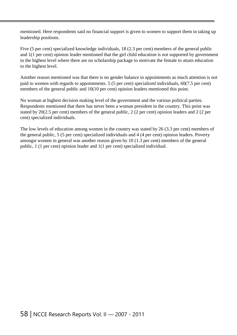mentioned. Here respondents said no financial support is given to women to support them in taking up leadership positions.

Five (5 per cent) specialized knowledge individuals, 18 (2.3 per cent) members of the general public and 1(1 per cent) opinion leader mentioned that the girl child education is not supported by government to the highest level where there are no scholarship package to motivate the female to attain education to the highest level.

Another reason mentioned was that there is no gender balance in appointments as much attention is not paid to women with regards to appointments. 5 (5 per cent) specialized individuals, 60(7.5 per cent) members of the general public and 10(10 per cent) opinion leaders mentioned this point.

No woman at highest decision making level of the government and the various political parties. Respondents mentioned that there has never been a woman president in the country. This point was stated by 20(2.5 per cent) members of the general public, 2 (2 per cent) opinion leaders and 2 (2 per cent) specialized individuals.

The low levels of education among women in the country was stated by 26 (3.3 per cent) members of the general public, 5 (5 per cent) specialized individuals and 4 (4 per cent) opinion leaders. Poverty amongst women in general was another reason given by 10 (1.3 per cent) members of the general public, 1 (1 per cent) opinion leader and 1(1 per cent) specialized individual.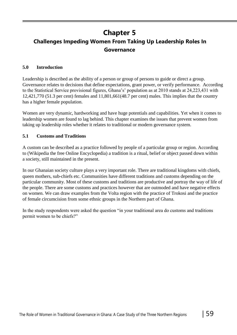# **Chapter 5**

## **Challenges Impeding Women From Taking Up Leadership Roles In Governance**

#### **5.0 Introduction**

Leadership is described as the ability of a person or group of persons to guide or direct a group. Governance relates to decisions that define expectations, grant power, or verify performance. According to the Statistical Service provisional figures, Ghana's' population as at 2010 stands at 24,223,431 with 12,421,770 (51.3 per cent) females and 11,801,661(48.7 per cent) males. This implies that the country has a higher female population.

Women are very dynamic, hardworking and have huge potentials and capabilities. Yet when it comes to leadership women are found to lag behind. This chapter examines the issues that prevent women from taking up leadership roles whether it relates to traditional or modern governance system.

#### **5.1 Customs and Traditions**

A custom can be described as a practice followed by people of a particular group or region. According to (Wikipedia the free Online Encyclopedia) a tradition is a ritual, belief or object passed down within a society, still maintained in the present.

In our Ghanaian society culture plays a very important role. There are traditional kingdoms with chiefs, queen mothers, sub-chiefs etc. Communities have different traditions and customs depending on the particular community. Most of these customs and traditions are productive and portray the way of life of the people. There are some customs and practices however that are outmoded and have negative effects on women. We can draw examples from the Volta region with the practice of Trokosi and the practice of female circumcision from some ethnic groups in the Northern part of Ghana.

In the study respondents were asked the question "in your traditional area do customs and traditions permit women to be chiefs?"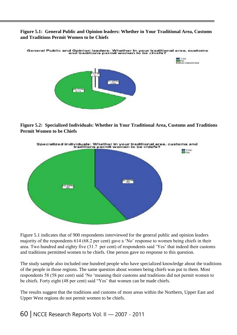#### **Figure 5.1: General Public and Opinion leaders: Whether in Your Traditional Area, Customs and Traditions Permit Women to be Chiefs**



**Figure 5.2: Specialized Individuals: Whether in Your Traditional Area, Customs and Traditions Permit Women to be Chiefs**



Figure 5.1 indicates that of 900 respondents interviewed for the general public and opinion leaders majority of the respondents 614 (68.2 per cent) gave a 'No' response to women being chiefs in their area. Two hundred and eighty five (31.7 per cent) of respondents said 'Yes' that indeed their customs and traditions permitted women to be chiefs. One person gave no response to this question.

The study sample also included one hundred people who have specialized knowledge about the traditions of the people in those regions. The same question about women being chiefs was put to them. Most respondents 58 (58 per cent) said 'No 'meaning their customs and traditions did not permit women to be chiefs. Forty eight (48 per cent) said "Yes' that women can be made chiefs.

The results suggest that the traditions and customs of most areas within the Northern, Upper East and Upper West regions do not permit women to be chiefs.

### 60 | NCCE Research Reports Vol. II — 2007 - 2011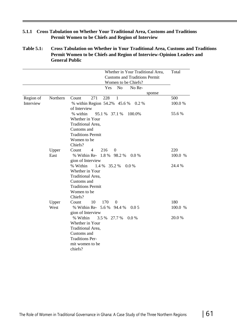#### **5.1.1 Cross Tabulation on Whether Your Traditional Area, Customs and Traditions Permit Women to be Chiefs and Region of Interview**

#### **Table 5.1: Cross Tabulation on Whether in Your Traditional Area, Customs and Traditions Permit Women to be Chiefs and Region of Interview-Opinion Leaders and General Public**

| Whether in Your Traditional Area,<br><b>Customs and Traditions Permit</b><br>Women to be Chiefs? | Total                                                                                                                                                                                                                                                                                                                                                                                                                                                                                                                                                                                          |
|--------------------------------------------------------------------------------------------------|------------------------------------------------------------------------------------------------------------------------------------------------------------------------------------------------------------------------------------------------------------------------------------------------------------------------------------------------------------------------------------------------------------------------------------------------------------------------------------------------------------------------------------------------------------------------------------------------|
| Yes<br>N <sub>o</sub><br>No Re-                                                                  |                                                                                                                                                                                                                                                                                                                                                                                                                                                                                                                                                                                                |
| sponse                                                                                           |                                                                                                                                                                                                                                                                                                                                                                                                                                                                                                                                                                                                |
|                                                                                                  | 500                                                                                                                                                                                                                                                                                                                                                                                                                                                                                                                                                                                            |
| of Interview                                                                                     | 100.0%                                                                                                                                                                                                                                                                                                                                                                                                                                                                                                                                                                                         |
| % within<br>95.1 %<br>100.0%<br>37.1 %                                                           | 55.6 %                                                                                                                                                                                                                                                                                                                                                                                                                                                                                                                                                                                         |
| Whether in Your                                                                                  |                                                                                                                                                                                                                                                                                                                                                                                                                                                                                                                                                                                                |
| Traditional Area,                                                                                |                                                                                                                                                                                                                                                                                                                                                                                                                                                                                                                                                                                                |
| Customs and                                                                                      |                                                                                                                                                                                                                                                                                                                                                                                                                                                                                                                                                                                                |
| <b>Traditions Permit</b>                                                                         |                                                                                                                                                                                                                                                                                                                                                                                                                                                                                                                                                                                                |
| Women to be                                                                                      |                                                                                                                                                                                                                                                                                                                                                                                                                                                                                                                                                                                                |
|                                                                                                  |                                                                                                                                                                                                                                                                                                                                                                                                                                                                                                                                                                                                |
| Count<br>$\overline{0}$                                                                          | 220                                                                                                                                                                                                                                                                                                                                                                                                                                                                                                                                                                                            |
|                                                                                                  | 100.0 %                                                                                                                                                                                                                                                                                                                                                                                                                                                                                                                                                                                        |
|                                                                                                  |                                                                                                                                                                                                                                                                                                                                                                                                                                                                                                                                                                                                |
|                                                                                                  | 24.4 %                                                                                                                                                                                                                                                                                                                                                                                                                                                                                                                                                                                         |
|                                                                                                  |                                                                                                                                                                                                                                                                                                                                                                                                                                                                                                                                                                                                |
|                                                                                                  |                                                                                                                                                                                                                                                                                                                                                                                                                                                                                                                                                                                                |
|                                                                                                  |                                                                                                                                                                                                                                                                                                                                                                                                                                                                                                                                                                                                |
|                                                                                                  |                                                                                                                                                                                                                                                                                                                                                                                                                                                                                                                                                                                                |
|                                                                                                  |                                                                                                                                                                                                                                                                                                                                                                                                                                                                                                                                                                                                |
|                                                                                                  |                                                                                                                                                                                                                                                                                                                                                                                                                                                                                                                                                                                                |
|                                                                                                  | 180                                                                                                                                                                                                                                                                                                                                                                                                                                                                                                                                                                                            |
|                                                                                                  | 100.0 %                                                                                                                                                                                                                                                                                                                                                                                                                                                                                                                                                                                        |
|                                                                                                  | 20.0 %                                                                                                                                                                                                                                                                                                                                                                                                                                                                                                                                                                                         |
|                                                                                                  |                                                                                                                                                                                                                                                                                                                                                                                                                                                                                                                                                                                                |
|                                                                                                  |                                                                                                                                                                                                                                                                                                                                                                                                                                                                                                                                                                                                |
|                                                                                                  |                                                                                                                                                                                                                                                                                                                                                                                                                                                                                                                                                                                                |
|                                                                                                  |                                                                                                                                                                                                                                                                                                                                                                                                                                                                                                                                                                                                |
|                                                                                                  |                                                                                                                                                                                                                                                                                                                                                                                                                                                                                                                                                                                                |
|                                                                                                  |                                                                                                                                                                                                                                                                                                                                                                                                                                                                                                                                                                                                |
| Northern<br>Upper<br>East<br>Upper<br>West                                                       | 271<br>228<br>$\mathbf{1}$<br>Count<br>% within Region 54.2% 45.6 %<br>$0.2\%$<br>Chiefs?<br>216<br>$\overline{4}$<br>% Within Re- 1.8 %<br>98.2%<br>0.0 %<br>gion of Interview<br>% Within<br>35.2 %<br>1.4 %<br>0.0 %<br>Whether in Your<br>Traditional Area,<br>Customs and<br><b>Traditions Permit</b><br>Women to be<br>Chiefs?<br>10<br>170<br>$\theta$<br>Count<br>% Within Re- 5.6 %<br>94.4 %<br>0.05<br>gion of Interview<br>% Within<br>$3.5\%$<br>27.7 %<br>$0.0\%$<br>Whether in Your<br>Traditional Area,<br>Customs and<br><b>Traditions Per-</b><br>mit women to be<br>chiefs? |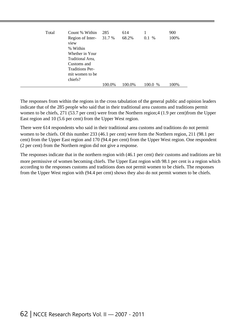| Total | Count % Within                                       | 285    | 614    |           | 900  |
|-------|------------------------------------------------------|--------|--------|-----------|------|
|       | Region of Inter- 31.7 %<br>view<br>% Within          |        | 68.2%  | $0.1\%$   | 100% |
|       | Whether in Your<br>Traditional Area,                 |        |        |           |      |
|       | Customs and                                          |        |        |           |      |
|       | <b>Traditions Per-</b><br>mit women to be<br>chiefs? |        |        |           |      |
|       |                                                      | 100.0% | 100.0% | $100.0\%$ | 100% |

The responses from within the regions in the cross tabulation of the general public and opinion leaders indicate that of the 285 people who said that in their traditional area customs and traditions permit women to be chiefs, 271 (53.7 per cent) were from the Northern region;4 (1.9 per cent)from the Upper East region and 10 (5.6 per cent) from the Upper West region.

There were 614 respondents who said in their traditional area customs and traditions do not permit women to be chiefs. Of this number 233 (46.1 per cent) were form the Northern region, 211 (98.1 per cent) from the Upper East region and 170 (94.4 per cent) from the Upper West region. One respondent (2 per cent) from the Northern region did not give a response.

The responses indicate that in the northern region with (46.1 per cent) their customs and traditions are bit more permissive of women becoming chiefs. The Upper East region with 98.1 per cent is a region which according to the responses customs and traditions does not permit women to be chiefs. The responses from the Upper West region with (94.4 per cent) shows they also do not permit women to be chiefs.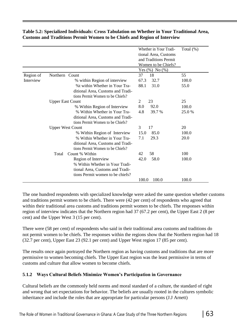|           |                                   | Whether in Your Tradi- | Total $(\%)$ |
|-----------|-----------------------------------|------------------------|--------------|
|           |                                   | tional Area, Customs   |              |
|           |                                   | and Traditions Permit  |              |
|           |                                   | Women to be Chiefs?    |              |
|           |                                   | Yes $(\%)$ No $(\%)$   |              |
| Region of | Northern Count                    | 37<br>18               | 55           |
| Interview | % within Region of interview      | 67.3<br>32.7           | 100.0        |
|           | %t within Whether in Your Tra-    | 88.1<br>31.0           | 55.0         |
|           | ditional Area, Customs and Tradi- |                        |              |
|           | tions Permit Women to be Chiefs?  |                        |              |
|           | <b>Upper East Count</b>           | 23<br>2                | 25           |
|           | % Within Region of Interview      | 8.0<br>92.0            | 100.0        |
|           | % Within Whether in Your Tra-     | 4.8<br>39.7 %          | 25.0%        |
|           | ditional Area, Customs and Tradi- |                        |              |
|           | tions Permit Women to be Chiefs?  |                        |              |
|           | <b>Upper West Count</b>           | 3<br>17                | 20           |
|           | % Within Region of Interview      | 85.0<br>15.0           | 100.0        |
|           | % Within Whether in Your Tra-     | 7.1<br>29.3            | 20.0         |
|           | ditional Area, Customs and Tradi- |                        |              |
|           | tions Permit Women to be Chiefs?  |                        |              |
|           | Count % Within<br>Total           | 58<br>42               | 100          |
|           | Region of Interview               | 58.0<br>42.0           | 100.0        |
|           | % Within Whether in Your Tradi-   |                        |              |
|           | tional Area, Customs and Tradi-   |                        |              |
|           | tions Permit women to be chiefs?  |                        |              |
|           |                                   | 100.0<br>100.0         | 100.0        |

#### **Table 5.2: Specialized Individuals: Cross Tabulation on Whether in Your Traditional Area, Customs and Traditions Permit Women to be Chiefs and Region of Interview**

The one hundred respondents with specialized knowledge were asked the same question whether customs and traditions permit women to be chiefs. There were (42 per cent) of respondents who agreed that within their traditional area customs and traditions permit women to be chiefs. The responses within region of interview indicates that the Northern region had 37 (67.2 per cent), the Upper East 2 (8 per cent) and the Upper West 3 (15 per cent).

There were (58 per cent) of respondents who said in their traditional area customs and traditions do not permit women to be chiefs. The responses within the regions show that the Northern region had 18 (32.7 per cent), Upper East 23 (92.1 per cent) and Upper West region 17 (85 per cent).

The results once again portrayed the Northern region as having customs and traditions that are more permissive to women becoming chiefs. The Upper East region was the least permissive in terms of customs and culture that allow women to become chiefs.

### **5**.**1.2 Ways Cultural Beliefs Minimize Women's Participation in Governance**

Cultural beliefs are the commonly held norms and moral standard of a culture, the standard of right and wrong that set expectations for behavior. The beliefs are usually rooted in the cultures symbolic inheritance and include the roles that are appropriate for particular persons (J.J Arnett)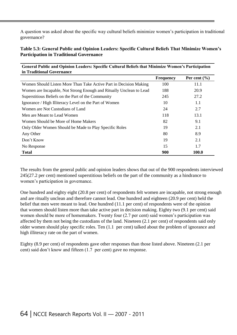A question was asked about the specific way cultural beliefs minimize women's participation in traditional governance?

#### **Table 5.3: General Public and Opinion Leaders: Specific Cultural Beliefs That Minimize Women's Participation in Traditional Governance**

**General Public and Opinion Leaders: Specific Cultural Beliefs that Minimize Women's Participation**

| in Traditional Governance                                           |                  |                  |
|---------------------------------------------------------------------|------------------|------------------|
|                                                                     | <b>Frequency</b> | Per cent $(\% )$ |
| Women Should Listen More Than Take Active Part in Decision Making   | 100              | 11.1             |
| Women are Incapable, Not Strong Enough and Ritually Unclean to Lead | 188              | 20.9             |
| Superstitious Beliefs on the Part of the Community                  | 245              | 27.2             |
| Ignorance / High Illiteracy Level on the Part of Women              | 10               | 1.1              |
| Women are Not Custodians of Land                                    | 24               | 2.7              |
| Men are Meant to Lead Women                                         | 118              | 13.1             |
| Women Should be More of Home Makers                                 | 82               | 9.1              |
| Only Older Women Should be Made to Play Specific Roles              | 19               | 2.1              |
| Any Other                                                           | 80               | 8.9              |
| Don't Know                                                          | 19               | 2.1              |
| No Response                                                         | 15               | 1.7              |
| <b>Total</b>                                                        | 900              | 100.0            |

The results from the general public and opinion leaders shows that out of the 900 respondents interviewed 245(27.2 per cent) mentioned superstitious beliefs on the part of the community as a hindrance to women's participation in governance.

One hundred and eighty eight (20.8 per cent) of respondents felt women are incapable, not strong enough and are ritually unclean and therefore cannot lead. One hundred and eighteen (20.9 per cent) held the belief that men were meant to lead. One hundred (11.1 per cent) of respondents were of the opinion that women should listen more than take active part in decision making. Eighty two (9.1 per cent) said women should be more of homemakers. Twenty four (2.7 per cent) said women's participation was affected by them not being the custodians of the land. Nineteen (2.1 per cent) of respondents said only older women should play specific roles. Ten (1.1 per cent) talked about the problem of ignorance and high illiteracy rate on the part of women.

Eighty (8.9 per cent) of respondents gave other responses than those listed above. Nineteen (2.1 per cent) said don't know and fifteen (1.7 per cent) gave no response.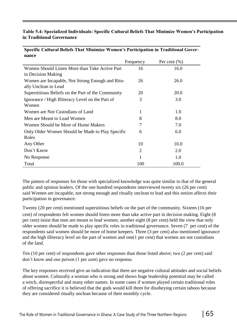#### **Table 5.4: Specialized Individuals: Specific Cultural Beliefs That Minimize Women's Participation in Traditional Governance**

| nance                                              |                |                  |  |
|----------------------------------------------------|----------------|------------------|--|
|                                                    | Frequency      | Per cent $(\% )$ |  |
| Women Should Listen More than Take Active Part     | 16             | 16.0             |  |
| in Decision Making                                 |                |                  |  |
| Women are Incapable, Not Strong Enough and Ritu-   | 26             | 26.0             |  |
| ally Unclean to Lead                               |                |                  |  |
| Superstitious Beliefs on the Part of the Community | 20             | 20.0             |  |
| Ignorance / High Illiteracy Level on the Part of   | 3              | 3.0              |  |
| Women                                              |                |                  |  |
| Women are Not Custodians of Land                   | 1              | 1.0              |  |
| Men are Meant to Lead Women                        | 8              | 8.0              |  |
| Women Should be More of Home Makers                | 7              | 7.0              |  |
| Only Older Women Should be Made to Play Specific   | 6              | 6.0              |  |
| Roles                                              |                |                  |  |
| Any Other                                          | 10             | 10.0             |  |
| Don't Know                                         | $\overline{2}$ | 2.0              |  |
| No Response                                        |                | 1.0              |  |
| Total                                              | 100            | 100.0            |  |

#### **Specific Cultural Beliefs That Minimize Women's Participation in Traditional Governance**

The pattern of responses for those with specialized knowledge was quite similar to that of the general public and opinion leaders. Of the one hundred respondents interviewed twenty six (26 per cent) said Women are incapable, not strong enough and ritually unclean to lead and this notion affects their participation in governance.

Twenty (20 per cent) mentioned superstitious beliefs on the part of the community. Sixteen (16 per cent) of respondents felt women should listen more than take active part in decision making. Eight (8 per cent) insist that men are meant to lead women; another eight (8 per cent) held the view that only older women should be made to play specific roles in traditional governance. Seven (7 per cent) of the respondents said women should be more of home keepers. Three (3 per cent) also mentioned ignorance and the high illiteracy level on the part of women and one(1 per cent) that women are not custodians of the land.

Ten (10 per cent) of respondents gave other responses than those listed above; two (2 per cent) said don't know and one person (1 per cent) gave no response.

The key responses received give an indication that there are negative cultural attitudes and social beliefs about women. Culturally a woman who is strong and shows huge leadership potential may be called a witch, disrespectful and many other names. In some cases if women played certain traditional roles of offering sacrifice it is believed that the gods would kill them for disobeying certain taboos because they are considered ritually unclean because of their monthly cycle.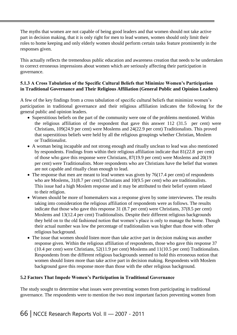The myths that women are not capable of being good leaders and that women should not take active part in decision making, that it is only right for men to lead women, women should only limit their roles to home keeping and only elderly women should perform certain tasks feature prominently in the responses given.

This actually reflects the tremendous public education and awareness creation that needs to be undertaken to correct erroneous impressions about women which are seriously affecting their participation in governance.

#### **5.1.3 A Cross Tabulation of the Specific Cultural Beliefs that Minimize Women's Participation in Traditional Governance and Their Religious Affiliation (General Public and Opinion Leaders)**

A few of the key findings from a cross tabulation of specific cultural beliefs that minimize women's participation in traditional governance and their religious affiliation indicates the following for the general public and opinion leaders.

- Superstitious beliefs on the part of the community were one of the problems mentioned. Within the religious affiliation of the respondent that gave this answer 112 (31.5 per cent) were Christians, 109(24.9 per cent) were Moslems and 24(22.9 per cent) Traditionalists. This proved that superstitious beliefs were held by all the religious groupings whether Christian, Moslem or Traditionalist.
- A woman being incapable and not strong enough and ritually unclean to lead was also mentioned by respondents. Findings from within their religious affiliation indicate that 81(22.8 per cent) of those who gave this response were Christians, 87(19.9 per cent) were Moslems and 20(19 per cent) were Traditionalists. More respondents who are Christians have the belief that women are not capable and ritually clean enough to lead.
- The response that men are meant to lead women was given by 76(17.4 per cent) of respondents who are Moslems, 31(8.7 per cent) Christians and 10(9.5 per cent) who are traditionalists. This issue had a high Moslem response and it may be attributed to their belief system related to their religion.
- Women should be more of homemakers was a response given by some interviewees. The results taking into consideration the religious affiliation of respondents were as follows. The results indicate that those who gave this response 31 (8.7 per cent) were Christians, 37(8.5 per cent) Moslems and 13(12.4 per cent) Traditionalists. Despite their different religious backgrounds they held on to the old fashioned notion that women's place is only to manage the home. Though their actual number was low the percentage of traditionalists was higher than those with other religious background.
- The issue that women should listen more than take active part in decision making was another response given. Within the religious affiliation of respondents, those who gave this response 37 (10.4 per cent) were Christians, 52(11.9 per cent) Moslems and 11(10.5 per cent) Traditionalists. Respondents from the different religious backgrounds seemed to hold this erroneous notion that women should listen more than take active part in decision making. Respondents with Moslem background gave this response more than those with the other religious background.

#### **5.2 Factors That Impede Women's Participation in Traditional Governance**

The study sought to determine what issues were preventing women from participating in traditional governance. The respondents were to mention the two most important factors preventing women from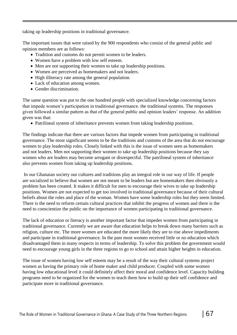taking up leadership positions in traditional governance.

The important issues that were raised by the 900 respondents who consist of the general public and opinion members are as follows:

- Tradition and customs do not permit women to be leaders.
- Women have a problem with low self esteem.
- Men are not supporting their women to take up leadership positions.
- Women are perceived as homemakers and not leaders.
- High illiteracy rate among the general population.
- Lack of education among women.
- Gender discrimination.

The same question was put to the one hundred people with specialized knowledge concerning factors that impede women's participation in traditional governance. the traditional systems. The responses given followed a similar pattern as that of the general public and opinion leaders' response. An addition given was that:

Patrilineal system of inheritance prevents women from taking leadership positions.

The findings indicate that there are various factors that impede women from participating in traditional governance. The most significant seems to be the traditions and customs of the area that do not encourage women to play leadership roles. Closely linked with this is the issue of women seen as homemakers and not leaders. Men not supporting their women to take up leadership positions because they say women who are leaders may become arrogant or disrespectful. The patrilineal system of inheritance also prevents women from taking up leadership positions.

In our Ghanaian society our cultures and traditions play an integral role in our way of life. If people are socialized to believe that women are not meant to be leaders but are homemakers then obviously a problem has been created. It makes it difficult for men to encourage their wives to take up leadership positions. Women are not expected to get too involved in traditional governance because of their cultural beliefs about the roles and place of the woman. Women have some leadership roles but they seem limited. There is the need to reform certain cultural practices that inhibit the progress of women and there is the need to conscientize the public on the importance of women participating in traditional governance.

The lack of education or literacy is another important factor that impedes women from participating in traditional governance. Currently we are aware that education helps to break down many barriers such as religion, culture etc. The more women are educated the more likely they are to rise above impediments and participate in traditional governance. In the past most women received little or no education which disadvantaged them in many respects in terms of leadership. To solve this problem the government would need to encourage young girls in the three regions to go to school and attain higher heights in education.

The issue of women having low self esteem may be a result of the way their cultural systems project women as having the primary role of home maker and child producer. Coupled with some women having low educational level it could definitely affect their moral and confidence level. Capacity building programs need to be organized for the women to teach them how to build up their self confidence and participate more in traditional governance.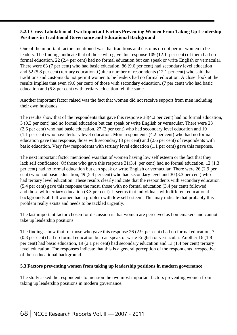#### **5.2.1 Cross Tabulation of Two Important Factors Preventing Women From Taking Up Leadership Positions in Traditional Governance and Educational Background**

One of the important factors mentioned was that traditions and customs do not permit women to be leaders. The findings indicate that of those who gave this response 109 (12.1 per cent) of them had no formal education, 22 (2.4 per cent) had no formal education but can speak or write English or vernacular. There were 63 (7 per cent) who had basic education, 86 (9.6 per cent) had secondary level education and 52 (5.8 per cent) tertiary education .Quite a number of respondents (12.1 per cent) who said that traditions and customs do not permit women to be leaders had no formal education. A closer look at the results implies that even (9.6 per cent) of those with secondary education, (7 per cent) who had basic education and (5.8 per cent) with tertiary education felt the same.

Another important factor raised was the fact that women did not receive support from men including their own husbands.

The results show that of the respondents that gave this response 38(4.2 per cent) had no formal education, 3 (0.3 per cent) had no formal education but can speak or write English or vernacular. There were 23 (2.6 per cent) who had basic education, 27 (3 per cent) who had secondary level education and 10 (1.1 per cent) who have tertiary level education. More respondents (4.2 per cent) who had no formal education gave this response, those with secondary (3 per cent) and (2.6 per cent) of respondents with basic education. Very few respondents with tertiary level education (1.1 per cent) gave this response.

The next important factor mentioned was that of women having low self esteem or the fact that they lack self confidence. Of those who gave this response  $31(3.4)$  per cent) had no formal education, 12 (1.3) per cent) had no formal education but can speak or write English or vernacular. There were 26 (2.9 per cent) who had basic education, 49 (5.4 per cent) who had secondary level and 30 (3.3 per cent) who had tertiary level education. These results clearly indicate that the respondents with secondary education (5.4 per cent) gave this response the most, those with no formal education (3.4 per cent) followed and those with tertiary education (3.3 per cent). It seems that individuals with different educational backgrounds all felt women had a problem with low self esteem. This may indicate that probably this problem really exists and needs to be tackled urgently.

The last important factor chosen for discussion is that women are perceived as homemakers and cannot take up leadership positions.

The findings show that for those who gave this response 26 (2.9 per cent) had no formal education, 7 (0.8 per cent) had no formal education but can speak or write English or vernacular. Another 16 (1.8 per cent) had basic education, 19 (2.1 per cent) had secondary education and 13 (1.4 per cent) tertiary level education. The responses indicate that this is a general perception of the respondents irrespective of their educational background.

#### **5.3 Factors preventing women from taking up leadership positions in modern governance**

The study asked the respondents to mention the two most important factors preventing women from taking up leadership positions in modern governance.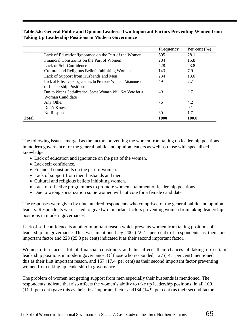#### **Table 5.6: General Public and Opinion Leaders: Two Important Factors Preventing Women from Taking Up Leadership Positions in Modern Governance**

|              |                                                            | <b>Frequency</b> | Per cent $(\% )$ |
|--------------|------------------------------------------------------------|------------------|------------------|
|              | Lack of Education/Ignorance on the Part of the Women       | 505              | 28.1             |
|              | Financial Constraints on the Part of Women                 | 284              | 15.8             |
|              | Lack of Self Confidence                                    | 428              | 23.8             |
|              | Cultural and Religious Beliefs Inhibiting Women            | 143              | 7.9              |
|              | Lack of Support from Husbands and Men                      | 234              | 13.0             |
|              | Lack of Effective Programmes to Promote Women Attainment   | 49               | 2.7              |
|              | of Leadership Positions                                    |                  |                  |
|              | Due to Wrong Socialization, Some Women Will Not Vote for a | 49               | 2.7              |
|              | Woman Candidate                                            |                  |                  |
|              | Any Other                                                  | 76               | 4.2              |
|              | Don't Know                                                 | $\overline{2}$   | 0.1              |
|              | No Response                                                | 30               | 1.7              |
| <b>Total</b> |                                                            | 1800             | <b>100.0</b>     |

The following issues emerged as the factors preventing the women from taking up leadership positions in modern governance for the general public and opinion leaders as well as those with specialized knowledge.

- Lack of education and ignorance on the part of the women.
- Lack self confidence.
- Financial constraints on the part of women.
- Lack of support from their husbands and men.
- Cultural and religious beliefs inhibiting women.
- Lack of effective programmes to promote women attainment of leadership positions.
- Due to wrong socialization some women will not vote for a female candidate.

The responses were given by nine hundred respondents who comprised of the general public and opinion leaders. Respondents were asked to give two important factors preventing women from taking leadership positions in modern governance.

Lack of self confidence is another important reason which prevents women from taking positions of leadership in governance. This was mentioned by 200 (22.2 per cent) of respondents as their first important factor and 228 (25.3 per cent) indicated it as their second important factor.

Women often face a lot of financial constraints and this affects their chances of taking up certain leadership positions in modern governance. Of those who responded, 127 (14.1 per cent) mentioned this as their first important reason, and 157 (17.4 per cent) as their second important factor preventing women from taking up leadership in governance.

The problem of women not getting support from men especially their husbands is mentioned. The respondents indicate that also affects the women's ability to take up leadership positions. In all 100 (11.1 per cent) gave this as their first important factor and134 (14.9 per cent) as their second factor.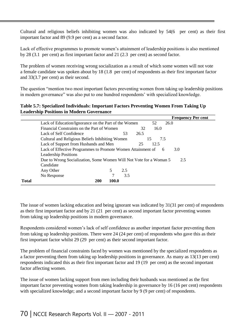Cultural and religious beliefs inhibiting women was also indicated by 54(6 per cent) as their first important factor and 89 (9.9 per cent) as a second factor.

Lack of effective programmes to promote women's attainment of leadership positions is also mentioned by 28 (3.1 per cent) as first important factor and 21 (2.3 per cent) as second factor.

The problem of women receiving wrong socialization as a result of which some women will not vote a female candidate was spoken about by 18 (1.8 per cent) of respondents as their first important factor and 33(3.7 per cent) as their second.

The question "mention two most important factors preventing women from taking up leadership positions in modern governance" was also put to one hundred respondents' with specialized knowledge.

#### **Table 5.7: Specialized Individuals: Important Factors Preventing Women From Taking Up Leadership Positions in Modern Governance**

|              |                                                                         |     |      |           | <b>Frequency Per cent</b> |  |
|--------------|-------------------------------------------------------------------------|-----|------|-----------|---------------------------|--|
|              | Lack of Education/Ignorance on the Part of the Women                    |     |      | 52        | 26.0                      |  |
|              | Financial Constraints on the Part of Women                              |     | 32   | 16.0      |                           |  |
|              | Lack of Self Confidence                                                 | 53  | 26.5 |           |                           |  |
|              | Cultural and Religious Beliefs Inhibiting Women                         |     |      | 15<br>7.5 |                           |  |
|              | Lack of Support from Husbands and Men                                   |     | 25   | 12.5      |                           |  |
|              | Lack of Effective Programmes to Promote Women Attainment of<br>3.0<br>6 |     |      |           |                           |  |
|              | <b>Leadership Positions</b>                                             |     |      |           |                           |  |
|              | Due to Wrong Socialization, Some Women Will Not Vote for a Woman 5      |     |      |           | 2.5                       |  |
|              | Candidate                                                               |     |      |           |                           |  |
|              | 5<br>Any Other                                                          | 2.5 |      |           |                           |  |
|              | No Response                                                             | 3.5 |      |           |                           |  |
| <b>Total</b> | <b>200</b><br>100.0                                                     |     |      |           |                           |  |

The issue of women lacking education and being ignorant was indicated by 31(31 per cent) of respondents as their first important factor and by 21 (21 per cent) as second important factor preventing women from taking up leadership positions in modern governance.

Respondents considered women's lack of self confidence as another important factor preventing them from taking up leadership positions. There were 24 (24 per cent) of respondents who gave this as their first important factor whilst 29 (29 per cent) as their second important factor.

The problem of financial constraints faced by women was mentioned by the specialized respondents as a factor preventing them from taking up leadership positions in governance. As many as 13(13 per cent) respondents indicated this as their first important factor and 19 (19 per cent) as the second important factor affecting women.

The issue of women lacking support from men including their husbands was mentioned as the first important factor preventing women from taking leadership in governance by 16 (16 per cent) respondents with specialized knowledge; and a second important factor by 9 (9 per cent) of respondents.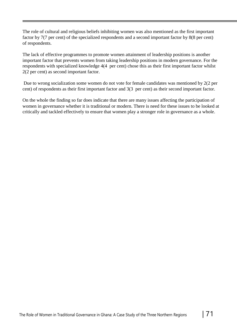The role of cultural and religious beliefs inhibiting women was also mentioned as the first important factor by 7(7 per cent) of the specialized respondents and a second important factor by 8(8 per cent) of respondents.

The lack of effective programmes to promote women attainment of leadership positions is another important factor that prevents women from taking leadership positions in modern governance. For the respondents with specialized knowledge 4(4 per cent) chose this as their first important factor whilst 2(2 per cent) as second important factor.

Due to wrong socialization some women do not vote for female candidates was mentioned by 2(2 per cent) of respondents as their first important factor and 3(3 per cent) as their second important factor.

On the whole the finding so far does indicate that there are many issues affecting the participation of women in governance whether it is traditional or modern. There is need for these issues to be looked at critically and tackled effectively to ensure that women play a stronger role in governance as a whole.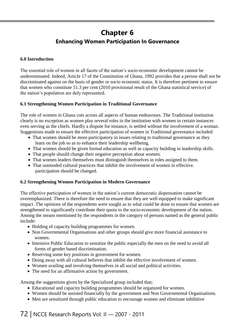## **Chapter 6 Enhancing Women Participation In Governance**

#### **6.0 Introduction**

The essential role of women in all facets of the nation's socio-economic development cannot be underestimated. Indeed, Article 17 of the Constitution of Ghana, 1992 provides that a person shall not be discriminated against on the basis of gender or socio economic status. It is therefore pertinent to ensure that women who constitute 51.3 per cent (2010 provisional result of the Ghana statistical service) of the nation's population are duly represented.

#### **6.1 Strengthening Women Participation in Traditional Governance**

The role of women in Ghana cuts across all aspects of human endeavours. The Traditional institution clearly is no exception as women play several roles in the institution with women in certain instances even serving as the chiefs. Hardly a dispute for instance, is settled without the involvement of a woman. Suggestions made to ensure the effective participation of women in Traditional governance included:

- That women should be more participatory in issues relating to traditional governance as they learn on the job so as to enhance their leadership wellbeing.
- That women should be given formal education as well as capacity building in leadership skills.
- That people should change their negative perception about women.
- That women leaders themselves must distinguish themselves in roles assigned to them.
- That outmoded cultural practices that inhibit the involvement of women in effective. participation should be changed.

#### **6.2 Strengthening Women Participation in Modern Governance**

The effective participation of women in the nation's current democratic dispensation cannot be overemphasized. There is therefore the need to ensure that they are well equipped to make significant impact .The opinions of the respondents were sought as to what could be done to ensure that women are strengthened to significantly contribute their quota to the socio-economic development of the nation. Among the means mentioned by the respondents in the category of persons named as the general public include:

- Holding of capacity building programmes for women.
- Non Governmental Organisations and other groups should give more financial assistance to women.
- Intensive Public Education to sensitize the public especially the men on the need to avoid all forms of gender based discrimination.
- Reserving some key positions in government for women.
- Doing away with all cultural believes that inhibit the effective involvement of women.
- Women availing and involving themselves in all social and political activities.
- The need for an affirmative action by government.

Among the suggestions given by the Specialized group included that;

- Educational and capacity building programmes should be organized for women.
- Women should be assisted financially by the government and Non Governmental Organisations.
- Men are sensitized through public education to encourage women and eliminate inhibitive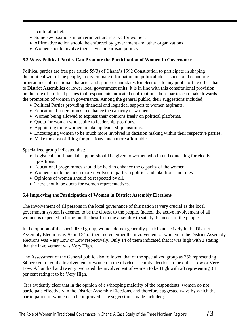cultural beliefs.

- Some key positions in government are reserve for women.
- Affirmative action should be enforced by government and other organizations.
- Women should involve themselves in partisan politics.

## **6.3 Ways Political Parties Can Promote the Participation of Women in Governance**

Political parties are free per article 55(3) of Ghana's 1992 Constitution to participate in shaping the political will of the people, to disseminate information on political ideas, social and economic programmes of a national character and sponsor candidates for elections to any public office other than to District Assemblies or lower local government units. It is in line with this constitutional provision on the role of political parties that respondents indicated contributions these parties can make towards the promotion of women in governance. Among the general public, their suggestions included;

- Political Parties providing financial and logistical support to women aspirants.
- Educational programmes to enhance the capacity of women.
- Women being allowed to express their opinions freely on political platforms.
- Quota for woman who aspire to leadership positions.
- Appointing more women to take up leadership positions.
- Encouraging women to be much more involved in decision making within their respective parties.
- Make the cost of filing for positions much more affordable.

Specialized group indicated that:

- Logistical and financial support should be given to women who intend contesting for elective positions.
- Educational programmes should be held to enhance the capacity of the women.
- Women should be much more involved in partisan politics and take front line roles.
- Opinions of women should be respected by all.
- There should be quota for women representatives.

#### **6.4 Improving the Participation of Women in District Assembly Elections**

The involvement of all persons in the local governance of this nation is very crucial as the local government system is deemed to be the closest to the people. Indeed, the active involvement of all women is expected to bring out the best from the assembly to satisfy the needs of the people.

In the opinion of the specialized group, women do not generally participate actively in the District Assembly Elections as 30 and 54 of them noted either the involvement of women in the District Assembly elections was Very Low or Low respectively. Only 14 of them indicated that it was high with 2 stating that the involvement was Very High.

The Assessment of the General public also followed that of the specialized group as 756 representing 84 per cent rated the involvement of women in the district assembly elections to be either Low or Very Low. A hundred and twenty two rated the involvement of women to be High with 28 representing 3.1 per cent rating it to be Very High.

It is evidently clear that in the opinion of a whooping majority of the respondents, women do not participate effectively in the District Assembly Elections, and therefore suggested ways by which the participation of women can be improved. The suggestions made included;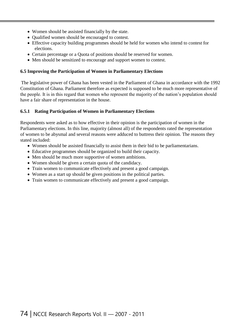- Women should be assisted financially by the state.
- Qualified women should be encouraged to contest.
- Effective capacity building programmes should be held for women who intend to contest for elections.
- Certain percentage or a Quota of positions should be reserved for women.
- Men should be sensitized to encourage and support women to contest.

#### **6.5 Improving the Participation of Women in Parliamentary Elections**

The legislative power of Ghana has been vested in the Parliament of Ghana in accordance with the 1992 Constitution of Ghana. Parliament therefore as expected is supposed to be much more representative of the people. It is in this regard that women who represent the majority of the nation's population should have a fair share of representation in the house.

#### **6.5.1 Rating Participation of Women in Parliamentary Elections**

Respondents were asked as to how effective in their opinion is the participation of women in the Parliamentary elections. In this line, majority (almost all) of the respondents rated the representation of women to be abysmal and several reasons were adduced to buttress their opinion. The reasons they stated included:

- Women should be assisted financially to assist them in their bid to be parliamentarians.
- Educative programmes should be organized to build their capacity.
- Men should be much more supportive of women ambitions.
- Women should be given a certain quota of the candidacy.
- Train women to communicate effectively and present a good campaign.
- Women as a start up should be given positions in the political parties.
- Train women to communicate effectively and present a good campaign.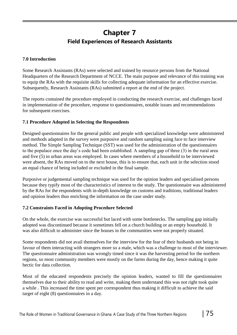# **Chapter 7 Field Experiences of Research Assistants**

#### **7.0 Introduction**

Some Research Assistants (RAs) were selected and trained by resource persons from the National Headquarters of the Research Department of NCCE. The main purpose and relevance of this training was to equip the RAs with the requisite skills for collecting adequate information for an effective exercise. Subsequently, Research Assistants (RAs) submitted a report at the end of the project.

The reports contained the procedure employed in conducting the research exercise, and challenges faced in implementation of the procedure, response to questionnaires, notable issues and recommendations for subsequent exercises.

## **7.1 Procedure Adopted in Selecting the Respondents**

Designed questionnaires for the general public and people with specialized knowledge were administered and methods adapted in the survey were purposive and random sampling using face to face interview method. The Simple Sampling Technique (SST) was used for the administration of the questionnaires to the populace once the day's code had been established. A sampling gap of three (3) in the rural area and five (5) in urban areas was employed. In cases where members of a household to be interviewed were absent, the RAs moved on to the next house, this is to ensure that, each unit in the selection stood an equal chance of being included or excluded in the final sample.

Purposive or judgemental sampling technique was used for the opinion leaders and specialised persons because they typify most of the characteristics of interest to the study. The questionnaire was administered by the RAs for the respondents with in-depth knowledge on customs and traditions, traditional leaders and opinion leaders thus enriching the information on the case under study.

## **7.2 Constraints Faced in Adopting Procedure Selected**

On the whole, the exercise was successful but laced with some bottlenecks. The sampling gap initially adopted was discontinued because it sometimes fell on a church building or an empty household. It was also difficult to administer since the houses in the communities were not properly situated.

Some respondents did not avail themselves for the interview for the fear of their husbands not being in favour of them interacting with strangers more so a male, which was a challenge to most of the interviewer. The questionnaire administration was wrongly timed since it was the harvesting period for the northern regions, so most community members were mostly on the farms during the day, hence making it quite hectic for data collection.

Most of the educated respondents precisely the opinion leaders, wanted to fill the questionnaires themselves due to their ability to read and write, making them understand this was not right took quite a while . This increased the time spent per correspondent thus making it difficult to achieve the said target of eight (8) questionnaires in a day.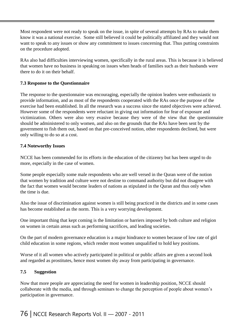Most respondent were not ready to speak on the issue, in spite of several attempts by RAs to make them know it was a national exercise. Some still believed it could be politically affiliated and they would not want to speak to any issues or show any commitment to issues concerning that. Thus putting constraints on the procedure adopted.

RAs also had difficulties interviewing women, specifically in the rural areas. This is because it is believed that women have no business in speaking on issues when heads of families such as their husbands were there to do it on their behalf.

## **7.3 Response to the Questionnaire**

The response to the questionnaire was encouraging, especially the opinion leaders were enthusiastic to provide information, and as most of the respondents cooperated with the RAs once the purpose of the exercise had been established. In all the research was a success since the stated objectives were achieved. However some of the respondents were reluctant in giving out information for fear of exposure and victimization. Others were also very evasive because they were of the view that the questionnaire should be administered to only women, and also on the grounds that the RAs have been sent by the government to fish them out, based on that pre-conceived notion, other respondents declined, but were only willing to do so at a cost.

## **7.4 Noteworthy Issues**

NCCE has been commended for its efforts in the education of the citizenry but has been urged to do more, especially in the case of women.

Some people especially some male respondents who are well versed in the Quran were of the notion that women by tradition and culture were not destine to command authority but did not disagree with the fact that women would become leaders of nations as stipulated in the Quran and thus only when the time is due.

Also the issue of discrimination against women is still being practiced in the districts and in some cases has become established as the norm. This is a very worrying development.

One important thing that kept coming is the limitation or barriers imposed by both culture and religion on women in certain areas such as performing sacrifices, and leading societies.

On the part of modern governance education is a major hindrance to women because of low rate of girl child education in some regions, which render most women unqualified to hold key positions.

Worse of it all women who actively participated in political or public affairs are given a second look and regarded as prostitutes, hence most women shy away from participating in governance.

#### **7.5 Suggestion**

Now that more people are appreciating the need for women in leadership position, NCCE should collaborate with the media, and through seminars to change the perception of people about women's participation in governance.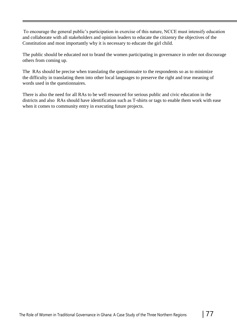To encourage the general public's participation in exercise of this nature, NCCE must intensify education and collaborate with all stakeholders and opinion leaders to educate the citizenry the objectives of the Constitution and most importantly why it is necessary to educate the girl child.

The public should be educated not to brand the women participating in governance in order not discourage others from coming up.

The RAs should be precise when translating the questionnaire to the respondents so as to minimize the difficulty in translating them into other local languages to preserve the right and true meaning of words used in the questionnaires.

There is also the need for all RAs to be well resourced for serious public and civic education in the districts and also RAs should have identification such as T-shirts or tags to enable them work with ease when it comes to community entry in executing future projects.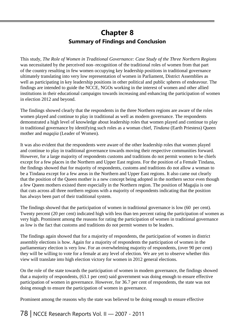# **Chapter 8 Summary of Findings and Conclusion**

This study, *The Role of Women in Traditional Governance: Case Study of the Three Northern Regions* was necessitated by the perceived non–recognition of the traditional roles of women from that part of the country resulting in few women occupying key leadership positions in traditional governance ultimately translating into very low representation of women in Parliament, District Assemblies as well as participating in key leadership positions in other political and public spheres of endeavour. The findings are intended to guide the NCCE, NGOs working in the interest of women and other allied institutions in their educational campaigns towards increasing and enhancing the participation of women in election 2012 and beyond.

The findings showed clearly that the respondents in the three Northern regions are aware of the roles women played and continue to play in traditional as well as modern governance. The respondents demonstrated a high level of knowledge about leadership roles that women played and continue to play in traditional governance by identifying such roles as a woman chief, *Tindana* (Earth Priestess) Queen mother and *magajia* (Leader of Women).

It was also evident that the respondents were aware of the other leadership roles that women played and continue to play in traditional governance towards moving their respective communities forward. However, for a large majority of respondents customs and traditions do not permit women to be chiefs except for a few places in the Northern and Upper East regions. For the position of a Female Tindana, the findings showed that for majority of respondents, customs and traditions do not allow a woman to be a Tindana except for a few areas in the Northern and Upper East regions. It also came out clearly that the position of the Queen mother is a new concept being adopted in the northern sector even though a few Queen mothers existed there especially in the Northern region. The position of Magajia is one that cuts across all three northern regions with a majority of respondents indicating that the position has always been part of their traditional system.

The findings showed that the participation of women in traditional governance is low (60 per cent). Twenty percent (20 per cent) indicated high with less than ten percent rating the participation of women as very high. Prominent among the reasons for rating the participation of women in traditional governance as low is the fact that customs and traditions do not permit women to be leaders.

The findings again showed that for a majority of respondents, the participation of women in district assembly elections is how. Again for a majority of respondents the participation of women in the parliamentary election is very low. For an overwhelming majority of respondents, (over 90 per cent) they will be willing to vote for a female at any level of election. We are yet to observe whether this view will translate into high election victory for women in 2012 general elections.

On the role of the state towards the participation of women in modern governance, the findings showed that a majority of respondents, (63.1 per cent) said government was doing enough to ensure effective participation of women in governance. However, for 36.7 per cent of respondents, the state was not doing enough to ensure the participation of women in governance.

Prominent among the reasons why the state was believed to be doing enough to ensure effective

78 | NCCE Research Reports Vol. II — 2007 - 2011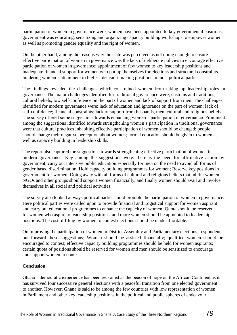participation of women in governance were; women have been appointed to key governmental positions, government was educating, sensitizing and organizing capacity building workshops to empower women as well as promoting gender equality and the right of women.

On the other hand, among the reasons why the state was perceived as not doing enough to ensure effective participation of women in governance was the lack of deliberate policies to encourage effective participation of women in governance; appointment of few women to key leadership positions and inadequate financial support for women who put up themselves for elections and structural constraints hindering women's attainment to highest decision-making positions in most political parties.

The findings revealed the challenges which constrained women from taking up leadership roles in governance. The major challenges identified for traditional governance were; customs and traditions; cultural beliefs; low self-confidence on the part of women and lack of support from men. The challenges identified for modern governance were; lack of education and ignorance on the part of women; lack of self-confidence; financial constraints; lack of support from husbands, men, cultural and religious beliefs. The survey offered some suggestions towards enhancing women's participation in governance. Prominent among the suggestions identified towards strengthening women's participation in traditional governance were that cultural practices inhabiting effective participation of women should be changed; people should change their negative perception about women; formal education should be given to women as well as capacity building in leadership skills.

The report also captured the suggestions towards strengthening effective participation of women in modern governance. Key among the suggestions were: there is the need for affirmative action by government; carry out intensive public education especially for men on the need to avoid all forms of gender based discrimination. Hold capacity building programmes for women; Reserve key positions in government for women; Doing away with all forms of cultural and religious beliefs that inhibit women. NGOs and other groups should support women financially, and finally women should avail and involve themselves in all social and political activities.

The survey also looked at ways political parties could promote the participation of women in governance. Here political parties were called upon to provide financial and Logistical support for women aspirant and carry out educational programmes to enhance the capacity of women; Quota should be reserved for women who aspire to leadership positions, and more women should be appointed to leadership positions. The cost of filing by women to contest elections should be made affordable.

On improving the participation of women in District Assembly and Parliamentary elections, respondents put forward these suggestions; Women should be assisted financially; qualified women should be encouraged to contest; effective capacity building programmes should be held for women aspirants; certain quota of positions should be reserved for women and men should be sensitized to encourage and support women to contest.

## **Conclusion**

Ghana's democratic experience has been reckoned as the beacon of hope on the African Continent as it has survived four successive general elections with a peaceful transition from one elected government to another. However, Ghana is said to be among the few countries with low representation of women in Parliament and other key leadership positions in the political and public spheres of endeavour.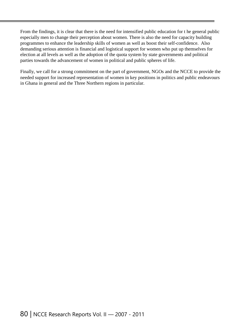From the findings, it is clear that there is the need for intensified public education for t he general public especially men to change their perception about women. There is also the need for capacity building programmes to enhance the leadership skills of women as well as boost their self-confidence. Also demanding serious attention is financial and logistical support for women who put up themselves for election at all levels as well as the adoption of the quota system by state governments and political parties towards the advancement of women in political and public spheres of life.

Finally, we call for a strong commitment on the part of government, NGOs and the NCCE to provide the needed support for increased representation of women in key positions in politics and public endeavours in Ghana in general and the Three Northern regions in particular.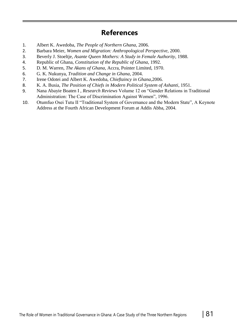# **References**

- 1. Albert K. Awedoba, *The People of Northern Ghana*, 2006.
- 2. Barbara Meier, *Women and Migration: Anthropological Perspective*, 2000.
- 3. Beverly J. Stoeltje, *Asante Queen Mothers: A Study in Female Authority*, 1988.
- 4. Republic of Ghana, *Constitution of the Republic of Ghana*, 1992.
- 5. D. M. Warren, *The Akans of Ghana,* Accra, Pointer Limited, 1970.
- 6. G. K. Nukunya, *Tradition and Change in Ghana*, 2004.
- 7. Irene Odotei and Albert K. Awedoba, *Chieftaincy in Ghana*,2006.
- 8. K. A. Busia, *The Position of Chiefs in Modern Political System of Ashanti*, 1951.
- 9. Nana Abayie Boaten I , *Research Reviews* Volume 12 on "Gender Relations in Traditional Administration: The Case of Discrimination Against Women", 1996.
- 10. Otumfuo Osei Tutu II "Traditional System of Governance and the Modern State", A Keynote Address at the Fourth African Development Forum at Addis Abba, 2004.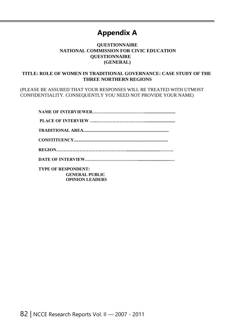# **Appendix A**

## **QUESTIONNAIRE NATIONAL COMMISSION FOR CIVIC EDUCATION QUESTIONNAIRE (GENERAL)**

## **TITLE: ROLE OF WOMEN IN TRADITIONAL GOVERNANCE: CASE STUDY OF THE THREE NORTHERN REGIONS**

(PLEASE BE ASSURED THAT YOUR RESPONSES WILL BE TREATED WITH UTMOST CONFIDENTIALITY. CONSEQUENTLY YOU NEED NOT PROVIDE YOUR NAME)

| <b>TYPE OF RESPONDENT:</b> |
|----------------------------|
| <b>GENERAL PUBLIC</b>      |
| <b>OPINION LEADERS</b>     |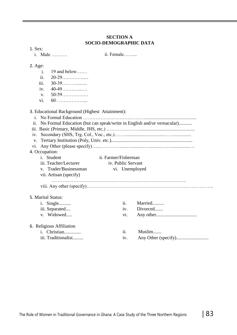## **SECTION A SOCIO-DEMOGRAPHIC DATA**

| 1. Sex:         |                |                                                 |                      |                    |                                                                        |
|-----------------|----------------|-------------------------------------------------|----------------------|--------------------|------------------------------------------------------------------------|
|                 |                | i. Male                                         | ii. Female           |                    |                                                                        |
| $2. \text{Age}$ |                |                                                 |                      |                    |                                                                        |
|                 | i.             | $19$ and below                                  |                      |                    |                                                                        |
|                 | ii.            | 20-29                                           |                      |                    |                                                                        |
|                 | iii.           |                                                 |                      |                    |                                                                        |
|                 | iv.            | $40-49$                                         |                      |                    |                                                                        |
|                 | $V_{\star}$    | $50-59$                                         |                      |                    |                                                                        |
|                 | vi.            | $60$ +                                          |                      |                    |                                                                        |
|                 |                | 3. Educational Background (Highest Attainment): |                      |                    |                                                                        |
|                 |                |                                                 |                      |                    |                                                                        |
| ii.             |                |                                                 |                      |                    | No Formal Education (but can speak/write in English and/or vernacular) |
|                 |                |                                                 |                      |                    |                                                                        |
| 1V.             |                |                                                 |                      |                    |                                                                        |
| V.              |                |                                                 |                      |                    |                                                                        |
| V1.             |                |                                                 |                      |                    |                                                                        |
|                 | 4. Occupation: |                                                 |                      |                    |                                                                        |
|                 |                | i. Student                                      | ii. Farmer/Fisherman |                    |                                                                        |
|                 |                | iii. Teacher/Lecturer                           |                      | iv. Public Servant |                                                                        |
|                 |                | v. Trader/Businessman                           |                      |                    | vi. Unemployed                                                         |
|                 |                | vii. Artisan (specify)                          |                      |                    |                                                                        |
|                 |                |                                                 |                      |                    |                                                                        |
|                 |                | 5. Marital Status:                              |                      |                    |                                                                        |
|                 |                | <i>i</i> . Single                               |                      | ii.                | Married                                                                |
|                 |                | iii. Separated                                  |                      | iv.                | Divorced                                                               |
|                 |                | v. Widowed                                      |                      | vi.                |                                                                        |
|                 |                | 6. Religious Affiliation                        |                      |                    |                                                                        |
|                 |                | i. Christian                                    |                      | ii.                | Muslim                                                                 |
|                 |                | iii. Traditionalist                             |                      | iv.                |                                                                        |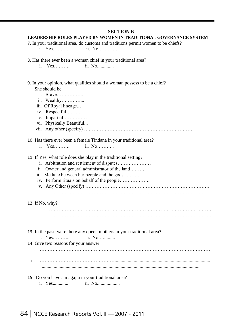#### **SECTION B**

#### **LEADERSHIP ROLES PLAYED BY WOMEN IN TRADITIONAL GOVERNANCE SYSTEM**

- 7. In your traditional area, do customs and traditions permit women to be chiefs?
	- i. Yes……….. ii. No…………
- 8. Has there ever been a woman chief in your traditional area?
	- i. Yes……….. ii. No..............

#### 9. In your opinion, what qualities should a woman possess to be a chief? She should be:

- i Brave
- ii. Wealthy…………...
- iii. Of Royal lineage.…
- iv. Respectful………..
- v. Impartial……………
- 
- vi. Physically Beautiful...
- vii. Any other (specify) ……………………………………………………………

#### 10. Has there ever been a female Tindana in your traditional area?

i. Yes……….. ii. No………..

11. If Yes, what role does she play in the traditional setting?

- i. Arbitration and settlement of disputes…………………
- ii. Owner and general administrator of the land………
- iii. Mediate between her people and the gods………….
- iv. Perform rituals on behalf of the people………………..
- v. Any Other (specify) …………………………………………………………………… ……………………………………………………………………………………….

#### 12. If No, why?

…………………………………………………………………………………………

13. In the past, were there any queen mothers in your traditional area?

i. Yes……….. ii. No ….........

14. Give two reasons for your answer.

i. ……………………………………………………………………………………………… ii. …………………………………………................................................................................ ....................................................................................................................................

#### 15. Do you have a magajia in your traditional area?

i. Yes............. ii. No...................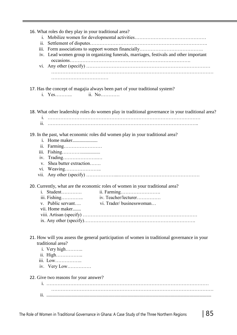| 16. What roles do they play in your traditional area? |                                                                                                   |
|-------------------------------------------------------|---------------------------------------------------------------------------------------------------|
|                                                       |                                                                                                   |
| 11.                                                   |                                                                                                   |
|                                                       | iv. Lead women group in organizing funerals, marriages, festivals and other important             |
|                                                       |                                                                                                   |
|                                                       |                                                                                                   |
| i. Yes                                                | 17. Has the concept of magajia always been part of your traditional system?<br>ii. No             |
|                                                       |                                                                                                   |
|                                                       | 18. What other leadership roles do women play in traditional governance in your traditional area? |
|                                                       |                                                                                                   |
|                                                       | 19. In the past, what economic roles did women play in your traditional area?                     |
|                                                       |                                                                                                   |
| ii. Farming                                           |                                                                                                   |
| iii. Fishing                                          |                                                                                                   |
|                                                       |                                                                                                   |
| v. Shea butter extraction                             |                                                                                                   |
|                                                       |                                                                                                   |
|                                                       |                                                                                                   |
|                                                       | 20. Currently, what are the economic roles of women in your traditional area?                     |
| Student<br>$\mathbf{1}$                               | ii. Farming                                                                                       |
| iii. Fishing                                          | iv. Teacher/lecturer                                                                              |
| v. Public servant                                     | vi. Trader/businesswoman                                                                          |
| vii. Home maker                                       |                                                                                                   |
|                                                       |                                                                                                   |
|                                                       |                                                                                                   |
|                                                       |                                                                                                   |
|                                                       | 21. How will you assess the general participation of women in traditional governance in your      |
| traditional area?                                     |                                                                                                   |
| i. Very high                                          |                                                                                                   |
| ii. High                                              |                                                                                                   |
| iii. Low                                              |                                                                                                   |
| iv. Very Low                                          |                                                                                                   |
| 22. Give two reasons for your answer?                 |                                                                                                   |
|                                                       |                                                                                                   |
|                                                       |                                                                                                   |
|                                                       |                                                                                                   |
|                                                       |                                                                                                   |
|                                                       |                                                                                                   |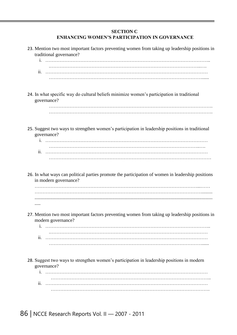#### **SECTION C ENHANCING WOMEN'S PARTICIPATION IN GOVERNANCE**

| 23. Mention two most important factors preventing women from taking up leadership positions in<br>traditional governance?  |
|----------------------------------------------------------------------------------------------------------------------------|
| 11.                                                                                                                        |
| 24. In what specific way do cultural beliefs minimize women's participation in traditional<br>governance?                  |
| 25. Suggest two ways to strengthen women's participation in leadership positions in traditional<br>governance?             |
| 11.                                                                                                                        |
| 26. In what ways can political parties promote the participation of women in leadership positions<br>in modern governance? |
|                                                                                                                            |
| 27. Mention two most important factors preventing women from taking up leadership positions in<br>modern governance?<br>1. |
| 11.                                                                                                                        |
| 28. Suggest two ways to strengthen women's participation in leadership positions in modern<br>governance?<br>1.            |
| 11.                                                                                                                        |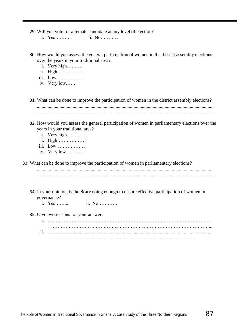29. Will you vote for a female candidate at any level of election?

- i. Yes……….. ii. No…………
- 30. How would you assess the general participation of women in the district assembly elections over the years in your traditional area?
	- i. Very high………..
	- ii. High………………
	- iii. Low………………
	- iv. Very low……
- 31. What can be done to improve the participation of women in the district assembly elections? .................................................................................................................................................... ......................................................................................................................................................
- 32. How would you assess the general participation of women in parliamentary elections over the years in your traditional area?
	- i. Very high………..
	- ii. High………………
	- iii. Low………………
	- iv. Very low….......…

33. What can be done to improve the participation of women in parliamentary elections?

.................................................................................................................................................... ......................................................................................................................................................

- 34. In your opinion, is the **State** doing enough to ensure effective participation of women in governance?
	- i. Yes……... ii. No…………
- 35. Give two reasons for your answer.

i. ………………………………………………………………………………………… ………………………………………………………………………………………... ii. .......................................................................................................................................... ........................................................................................................................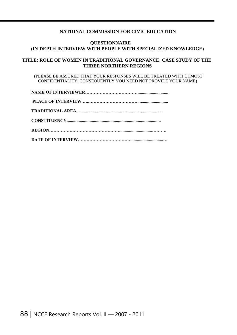#### **NATIONAL COMMISSION FOR CIVIC EDUCATION**

#### **QUESTIONNAIRE (IN-DEPTH INTERVIEW WITH PEOPLE WITH SPECIALIZED KNOWLEDGE)**

#### **TITLE: ROLE OF WOMEN IN TRADITIONAL GOVERNANCE: CASE STUDY OF THE THREE NORTHERN REGIONS**

(PLEASE BE ASSURED THAT YOUR RESPONSES WILL BE TREATED WITH UTMOST CONFIDENTIALITY. CONSEQUENTLY YOU NEED NOT PROVIDE YOUR NAME)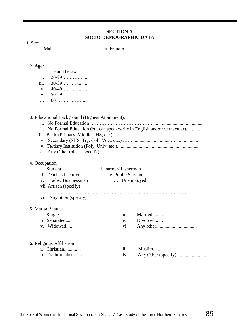#### **SECTION A SOCIO-DEMOGRAPHIC DATA**

| ۰,<br>۰.<br>× |
|---------------|
|---------------|

i. Male ……….

ii. Female……...

|  | ъ<br>71<br>r.<br>г. |
|--|---------------------|
|--|---------------------|

- i. 19 and below….…
- ii. 20-29….……….....
- iii. 30-39……….........
- iv. 40-49…….…...….
- v. 50-59……….….…
- vi. 60 <sup>+</sup> ……………....

#### 3. Educational Background (Highest Attainment):

- i. No Formal Education …………………………………...........................................
- ii. No Formal Education (but can speak/write in English and/or vernacular)...........
- iii. Basic (Primary, Middle, JHS, etc.) …………………..............................................
- iv. Secondary (SHS, Trg. Col., Voc., etc.).……................................……...............
- v. Tertiary Institution (Poly, Univ. etc.)....................................................................
- vi. Any Other (please specify)…...………….......…..........…..........….…...............…

#### 4. Occupation:

| Student<br>1 <sup>1</sup> | ii. Farmer/Fisherman |                |
|---------------------------|----------------------|----------------|
| iii. Teacher/Lecturer     | iv. Public Servant   |                |
| v. Trader/Businessman     |                      | vi. Unemployed |
| vii. Artisan (specify)    |                      |                |
|                           |                      |                |
| 5. Marital Status:        |                      |                |
| <i>i.</i> Single          | ii.                  | Married        |
| iii. Separated            | 1V <sub>1</sub>      | Divorced       |
| v. Widowed                | V1.                  |                |
|                           |                      |                |
|                           |                      |                |

#### 6. Religious Affiliation

| i. Christian        | Muslim |
|---------------------|--------|
| iii. Traditionalist |        |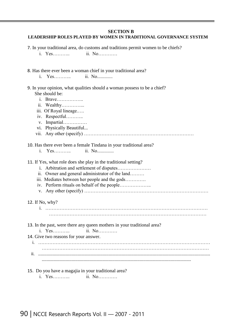#### **SECTION B**

#### **LEADERSHIP ROLES PLAYED BY WOMEN IN TRADITIONAL GOVERNANCE SYSTEM**

7. In your traditional area, do customs and traditions permit women to be chiefs?

- i. Yes……….. ii. No…………
- 8. Has there ever been a woman chief in your traditional area?
	- i. Yes……….. ii. No.............
- 9. In your opinion, what qualities should a woman possess to be a chief? She should be:
	- i. Brave……………..
	- ii. Wealthy…………...
	- iii. Of Royal lineage.….
	- iv. Respectful………..
	- v. Impartial……………
	- vi. Physically Beautiful...
	- vii. Any other (specify) ……………………………………………………………

#### 10. Has there ever been a female Tindana in your traditional area?

i. Yes……….. ii. No..............

#### 11. If Yes, what role does she play in the traditional setting?

- i. Arbitration and settlement of disputes…………………
- ii. Owner and general administrator of the land………
- iii. Mediates between her people and the gods………….
- iv. Perform rituals on behalf of the people………………..
- v. Any other (specify) ……………………………………………………………………
- 12. If No, why?
	- i. ………………………………………………………………………………………… ………………………………………………………………………………………
- 13. In the past, were there any queen mothers in your traditional area?
- i. Yes……….. ii. No…………
- 14. Give two reasons for your answer.

i. ……………………………………………………………………………………………… …………………………………………………………………………………………… ii. ................................................................................................................................................ .............................................................................................................................

#### 15. Do you have a magajia in your traditional area?

i. Yes……….. ii. No…………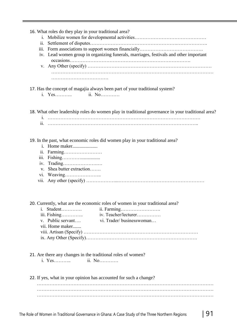| 16. What roles do they play in your traditional area?<br>11.<br>iii.<br>iv. Lead women group in organizing funerals, marriages, festivals and other important                                                  |
|----------------------------------------------------------------------------------------------------------------------------------------------------------------------------------------------------------------|
| 17. Has the concept of magajia always been part of your traditional system?<br>ii. No<br>i. Yes                                                                                                                |
| 18. What other leadership roles do women play in traditional governance in your traditional area?<br>11.                                                                                                       |
| 19. In the past, what economic roles did women play in your traditional area?<br>ii. Farming<br>$\overline{111}$ .<br>iv.<br>Shea butter extraction<br>$V_{\star}$<br>vii.                                     |
| 20. Currently, what are the economic roles of women in your traditional area?<br><i>i.</i> Student<br>iii. Fishing<br>iv. Teacher/lecturer<br>v. Public servant<br>vi. Trader/businesswoman<br>vii. Home maker |
| 21. Are there any changes in the traditional roles of women?                                                                                                                                                   |
| 22. If yes, what in your opinion has accounted for such a change?                                                                                                                                              |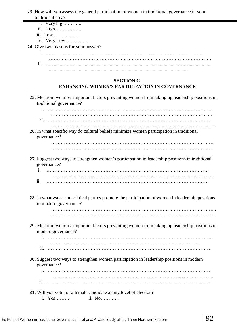23. How will you assess the general participation of women in traditional governance in your traditional area?

- i. Very high………..
- ii. High……………..
- iii. Low……………..
- iv. Very Low……………

24. Give two reasons for your answer?

- i. …………………………………………………………………………………………
- ………………………………………………………………………………………… ii. ..........................................................................................................................................
	- .....................................................................................................................

## **SECTION C**

## **ENHANCING WOMEN'S PARTICIPATION IN GOVERNANCE**

25. Mention two most important factors preventing women from taking up leadership positions in traditional governance? i. ………………………………………………………………………………………….. .……………………………………………………………………………………..…. ii. ………………………………………………………………………………………… ………………………………………………………………………………………...... 26. In what specific way do cultural beliefs minimize women participation in traditional governance? …………………………………………………………………………………………. …………………………………………………………………………………………. 27. Suggest two ways to strengthen women's participation in leadership positions in traditional governance? i. ………………………………………………………………………………………… ……………………………………………………………………………………..…. ii. ………………………………………………………………………………………… 28. In what ways can political parties promote the participation of women in leadership positions in modern governance? ………………………………………………………………………………………….. .………………………………………………………………………………………..... 29. Mention two most important factors preventing women from taking up leadership positions in modern governance? i. ………………………………………………………………………………………….. ii. ………………………………………………………………………………………… 30. Suggest two ways to strengthen women participation in leadership positions in modern governance? i. ………………………………………………………………………………………… ii. ………………………………………………………………………………………… 31. Will you vote for a female candidate at any level of election? i. Yes……….. ii. No…………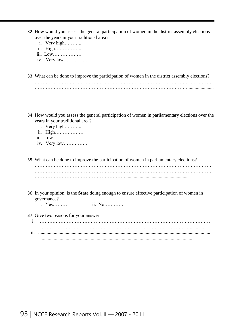- 32. How would you assess the general participation of women in the district assembly elections over the years in your traditional area?
	- i. Very high………..
	- ii. High……………..
	- iii. Low………………
	- iv. Very low……………

33. What can be done to improve the participation of women in the district assembly elections?

- 34. How would you assess the general participation of women in parliamentary elections over the years in your traditional area?
	- i. Very high………..
	- ii. High………………
	- iii. Low………………
	- iv. Very low……………

35. What can be done to improve the participation of women in parliamentary elections?

………………………………………………………………………………………………… …………………………………………………………………………………………………

- 36. In your opinion, is the **State** doing enough to ensure effective participation of women in governance?
	- i. Yes……… ii. No…………
- 37. Give two reasons for your answer.

i. ……………………………………………………………………………………………… …………………………………………………………………………………............. ii. ................................................................................................................................................ ..............................................................................................................................